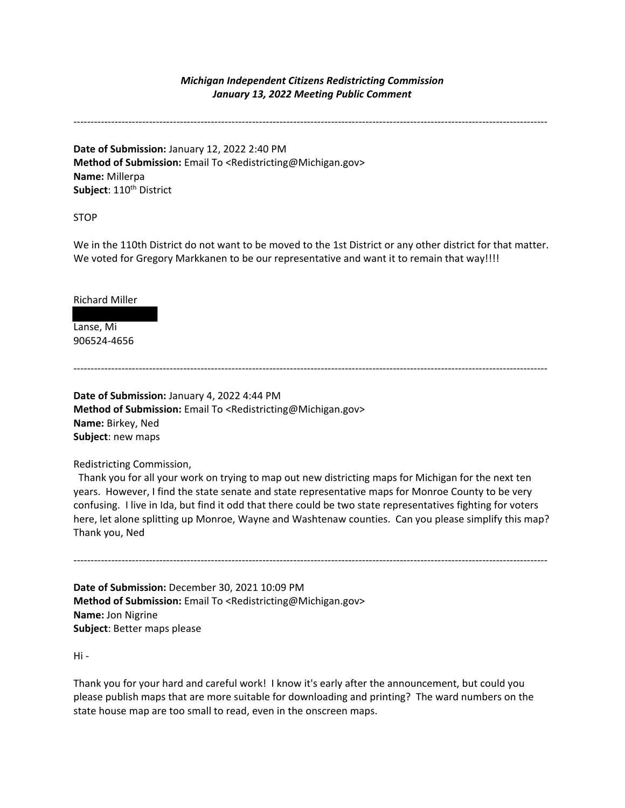#### *Michigan Independent Citizens Redistricting Commission January 13, 2022 Meeting Public Comment*

------------------------------------------------------------------------------------------------------------------------------------------

**Date of Submission:** January 12, 2022 2:40 PM **Method of Submission:** Email To <Redistricting@Michigan.gov> **Name:** Millerpa Subject: 110<sup>th</sup> District

STOP

We in the 110th District do not want to be moved to the 1st District or any other district for that matter. We voted for Gregory Markkanen to be our representative and want it to remain that way!!!!

Richard Miller

Lanse, Mi 906524-4656

------------------------------------------------------------------------------------------------------------------------------------------

**Date of Submission:** January 4, 2022 4:44 PM **Method of Submission:** Email To <Redistricting@Michigan.gov> **Name:** Birkey, Ned **Subject**: new maps

Redistricting Commission,

 Thank you for all your work on trying to map out new districting maps for Michigan for the next ten years. However, I find the state senate and state representative maps for Monroe County to be very confusing. I live in Ida, but find it odd that there could be two state representatives fighting for voters here, let alone splitting up Monroe, Wayne and Washtenaw counties. Can you please simplify this map? Thank you, Ned

------------------------------------------------------------------------------------------------------------------------------------------

**Date of Submission:** December 30, 2021 10:09 PM **Method of Submission:** Email To <Redistricting@Michigan.gov> **Name:** Jon Nigrine **Subject**: Better maps please

Hi -

Thank you for your hard and careful work! I know it's early after the announcement, but could you please publish maps that are more suitable for downloading and printing? The ward numbers on the state house map are too small to read, even in the onscreen maps.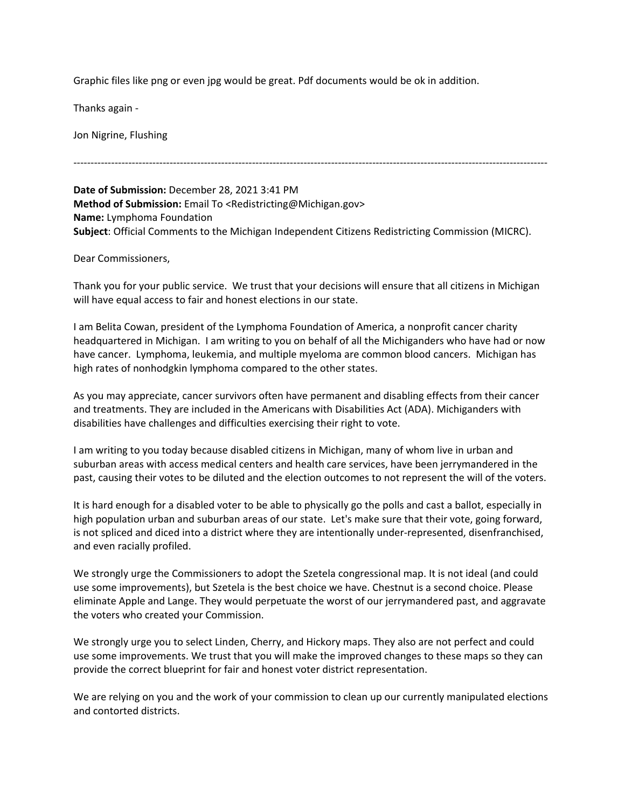Graphic files like png or even jpg would be great. Pdf documents would be ok in addition.

Thanks again -

Jon Nigrine, Flushing

**Date of Submission:** December 28, 2021 3:41 PM **Method of Submission:** Email To <Redistricting@Michigan.gov> **Name:** Lymphoma Foundation **Subject**: Official Comments to the Michigan Independent Citizens Redistricting Commission (MICRC).

------------------------------------------------------------------------------------------------------------------------------------------

Dear Commissioners,

Thank you for your public service. We trust that your decisions will ensure that all citizens in Michigan will have equal access to fair and honest elections in our state.

I am Belita Cowan, president of the Lymphoma Foundation of America, a nonprofit cancer charity headquartered in Michigan. I am writing to you on behalf of all the Michiganders who have had or now have cancer. Lymphoma, leukemia, and multiple myeloma are common blood cancers. Michigan has high rates of nonhodgkin lymphoma compared to the other states.

As you may appreciate, cancer survivors often have permanent and disabling effects from their cancer and treatments. They are included in the Americans with Disabilities Act (ADA). Michiganders with disabilities have challenges and difficulties exercising their right to vote.

I am writing to you today because disabled citizens in Michigan, many of whom live in urban and suburban areas with access medical centers and health care services, have been jerrymandered in the past, causing their votes to be diluted and the election outcomes to not represent the will of the voters.

It is hard enough for a disabled voter to be able to physically go the polls and cast a ballot, especially in high population urban and suburban areas of our state. Let's make sure that their vote, going forward, is not spliced and diced into a district where they are intentionally under-represented, disenfranchised, and even racially profiled.

We strongly urge the Commissioners to adopt the Szetela congressional map. It is not ideal (and could use some improvements), but Szetela is the best choice we have. Chestnut is a second choice. Please eliminate Apple and Lange. They would perpetuate the worst of our jerrymandered past, and aggravate the voters who created your Commission.

We strongly urge you to select Linden, Cherry, and Hickory maps. They also are not perfect and could use some improvements. We trust that you will make the improved changes to these maps so they can provide the correct blueprint for fair and honest voter district representation.

We are relying on you and the work of your commission to clean up our currently manipulated elections and contorted districts.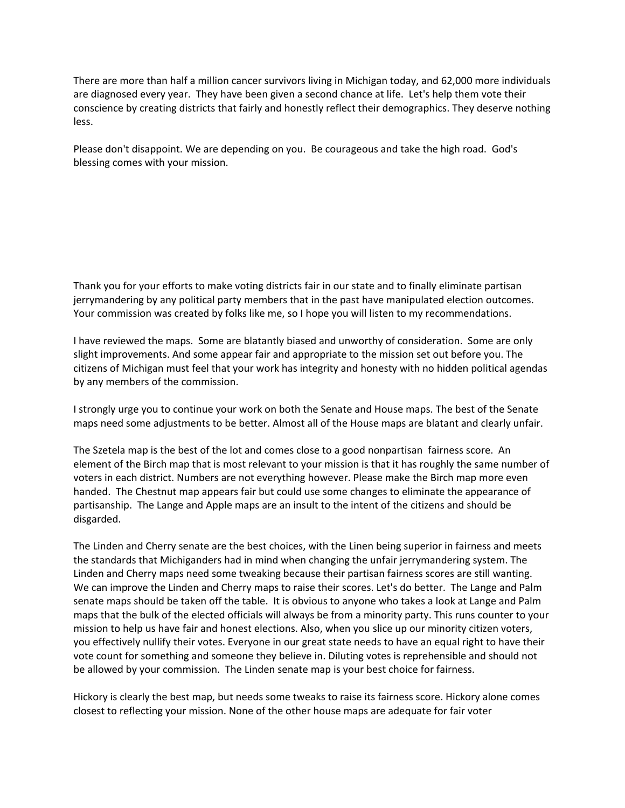There are more than half a million cancer survivors living in Michigan today, and 62,000 more individuals are diagnosed every year. They have been given a second chance at life. Let's help them vote their conscience by creating districts that fairly and honestly reflect their demographics. They deserve nothing less.

Please don't disappoint. We are depending on you. Be courageous and take the high road. God's blessing comes with your mission.

Thank you for your efforts to make voting districts fair in our state and to finally eliminate partisan jerrymandering by any political party members that in the past have manipulated election outcomes. Your commission was created by folks like me, so I hope you will listen to my recommendations.

I have reviewed the maps. Some are blatantly biased and unworthy of consideration. Some are only slight improvements. And some appear fair and appropriate to the mission set out before you. The citizens of Michigan must feel that your work has integrity and honesty with no hidden political agendas by any members of the commission.

I strongly urge you to continue your work on both the Senate and House maps. The best of the Senate maps need some adjustments to be better. Almost all of the House maps are blatant and clearly unfair.

The Szetela map is the best of the lot and comes close to a good nonpartisan fairness score. An element of the Birch map that is most relevant to your mission is that it has roughly the same number of voters in each district. Numbers are not everything however. Please make the Birch map more even handed. The Chestnut map appears fair but could use some changes to eliminate the appearance of partisanship. The Lange and Apple maps are an insult to the intent of the citizens and should be disgarded.

The Linden and Cherry senate are the best choices, with the Linen being superior in fairness and meets the standards that Michiganders had in mind when changing the unfair jerrymandering system. The Linden and Cherry maps need some tweaking because their partisan fairness scores are still wanting. We can improve the Linden and Cherry maps to raise their scores. Let's do better. The Lange and Palm senate maps should be taken off the table. It is obvious to anyone who takes a look at Lange and Palm maps that the bulk of the elected officials will always be from a minority party. This runs counter to your mission to help us have fair and honest elections. Also, when you slice up our minority citizen voters, you effectively nullify their votes. Everyone in our great state needs to have an equal right to have their vote count for something and someone they believe in. Diluting votes is reprehensible and should not be allowed by your commission. The Linden senate map is your best choice for fairness.

Hickory is clearly the best map, but needs some tweaks to raise its fairness score. Hickory alone comes closest to reflecting your mission. None of the other house maps are adequate for fair voter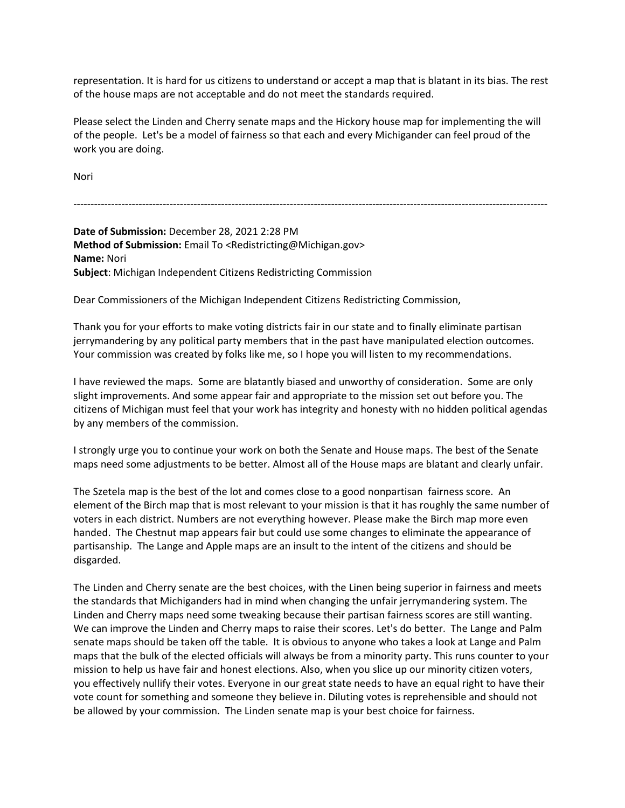representation. It is hard for us citizens to understand or accept a map that is blatant in its bias. The rest of the house maps are not acceptable and do not meet the standards required.

Please select the Linden and Cherry senate maps and the Hickory house map for implementing the will of the people. Let's be a model of fairness so that each and every Michigander can feel proud of the work you are doing.

Nori

------------------------------------------------------------------------------------------------------------------------------------------

**Date of Submission:** December 28, 2021 2:28 PM **Method of Submission:** Email To <Redistricting@Michigan.gov> **Name:** Nori **Subject**: Michigan Independent Citizens Redistricting Commission

Dear Commissioners of the Michigan Independent Citizens Redistricting Commission,

Thank you for your efforts to make voting districts fair in our state and to finally eliminate partisan jerrymandering by any political party members that in the past have manipulated election outcomes. Your commission was created by folks like me, so I hope you will listen to my recommendations.

I have reviewed the maps. Some are blatantly biased and unworthy of consideration. Some are only slight improvements. And some appear fair and appropriate to the mission set out before you. The citizens of Michigan must feel that your work has integrity and honesty with no hidden political agendas by any members of the commission.

I strongly urge you to continue your work on both the Senate and House maps. The best of the Senate maps need some adjustments to be better. Almost all of the House maps are blatant and clearly unfair.

The Szetela map is the best of the lot and comes close to a good nonpartisan fairness score. An element of the Birch map that is most relevant to your mission is that it has roughly the same number of voters in each district. Numbers are not everything however. Please make the Birch map more even handed. The Chestnut map appears fair but could use some changes to eliminate the appearance of partisanship. The Lange and Apple maps are an insult to the intent of the citizens and should be disgarded.

The Linden and Cherry senate are the best choices, with the Linen being superior in fairness and meets the standards that Michiganders had in mind when changing the unfair jerrymandering system. The Linden and Cherry maps need some tweaking because their partisan fairness scores are still wanting. We can improve the Linden and Cherry maps to raise their scores. Let's do better. The Lange and Palm senate maps should be taken off the table. It is obvious to anyone who takes a look at Lange and Palm maps that the bulk of the elected officials will always be from a minority party. This runs counter to your mission to help us have fair and honest elections. Also, when you slice up our minority citizen voters, you effectively nullify their votes. Everyone in our great state needs to have an equal right to have their vote count for something and someone they believe in. Diluting votes is reprehensible and should not be allowed by your commission. The Linden senate map is your best choice for fairness.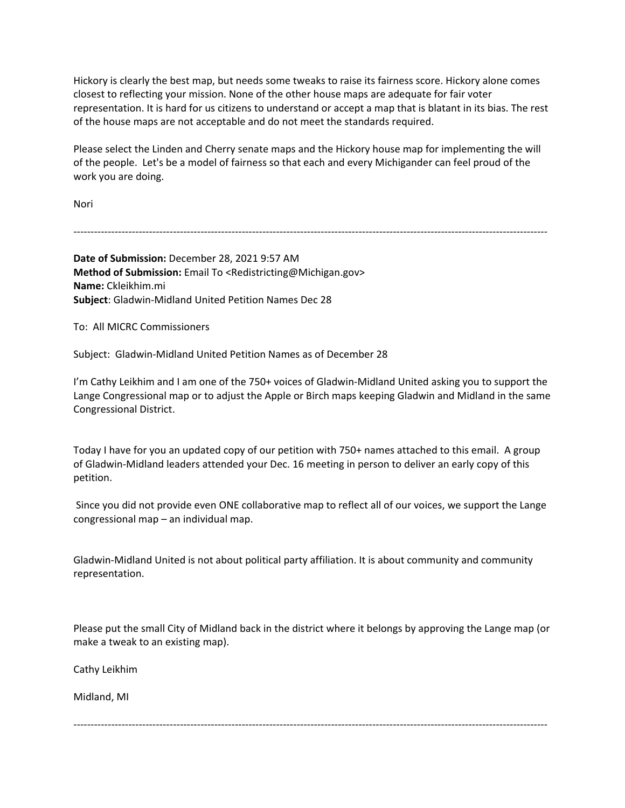Hickory is clearly the best map, but needs some tweaks to raise its fairness score. Hickory alone comes closest to reflecting your mission. None of the other house maps are adequate for fair voter representation. It is hard for us citizens to understand or accept a map that is blatant in its bias. The rest of the house maps are not acceptable and do not meet the standards required.

Please select the Linden and Cherry senate maps and the Hickory house map for implementing the will of the people. Let's be a model of fairness so that each and every Michigander can feel proud of the work you are doing.

Nori

------------------------------------------------------------------------------------------------------------------------------------------

**Date of Submission:** December 28, 2021 9:57 AM **Method of Submission:** Email To <Redistricting@Michigan.gov> **Name:** Ckleikhim.mi **Subject**: Gladwin-Midland United Petition Names Dec 28

To: All MICRC Commissioners

Subject: Gladwin-Midland United Petition Names as of December 28

I'm Cathy Leikhim and I am one of the 750+ voices of Gladwin-Midland United asking you to support the Lange Congressional map or to adjust the Apple or Birch maps keeping Gladwin and Midland in the same Congressional District.

Today I have for you an updated copy of our petition with 750+ names attached to this email. A group of Gladwin-Midland leaders attended your Dec. 16 meeting in person to deliver an early copy of this petition.

Since you did not provide even ONE collaborative map to reflect all of our voices, we support the Lange congressional map – an individual map.

Gladwin-Midland United is not about political party affiliation. It is about community and community representation.

Please put the small City of Midland back in the district where it belongs by approving the Lange map (or make a tweak to an existing map).

Cathy Leikhim

Midland, MI

------------------------------------------------------------------------------------------------------------------------------------------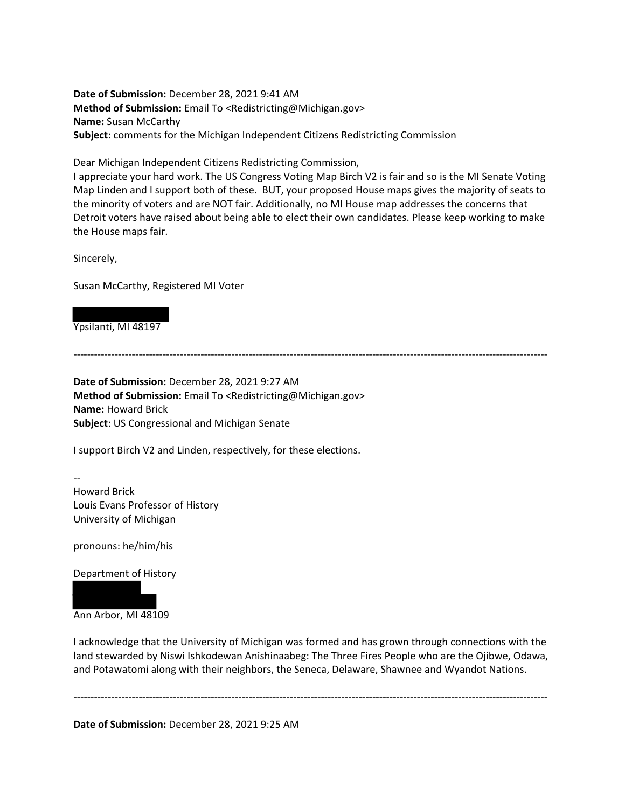**Date of Submission:** December 28, 2021 9:41 AM **Method of Submission:** Email To <Redistricting@Michigan.gov> **Name:** Susan McCarthy **Subject**: comments for the Michigan Independent Citizens Redistricting Commission

Dear Michigan Independent Citizens Redistricting Commission,

I appreciate your hard work. The US Congress Voting Map Birch V2 is fair and so is the MI Senate Voting Map Linden and I support both of these. BUT, your proposed House maps gives the majority of seats to the minority of voters and are NOT fair. Additionally, no MI House map addresses the concerns that Detroit voters have raised about being able to elect their own candidates. Please keep working to make the House maps fair.

Sincerely,

Susan McCarthy, Registered MI Voter

Ypsilanti, MI 48197

------------------------------------------------------------------------------------------------------------------------------------------

**Date of Submission:** December 28, 2021 9:27 AM **Method of Submission:** Email To <Redistricting@Michigan.gov> **Name:** Howard Brick **Subject**: US Congressional and Michigan Senate

I support Birch V2 and Linden, respectively, for these elections.

-- Howard Brick Louis Evans Professor of History University of Michigan

pronouns: he/him/his

Department of History

Ann Arbor, MI 48109

I acknowledge that the University of Michigan was formed and has grown through connections with the land stewarded by Niswi Ishkodewan Anishinaabeg: The Three Fires People who are the Ojibwe, Odawa, and Potawatomi along with their neighbors, the Seneca, Delaware, Shawnee and Wyandot Nations.

------------------------------------------------------------------------------------------------------------------------------------------

**Date of Submission:** December 28, 2021 9:25 AM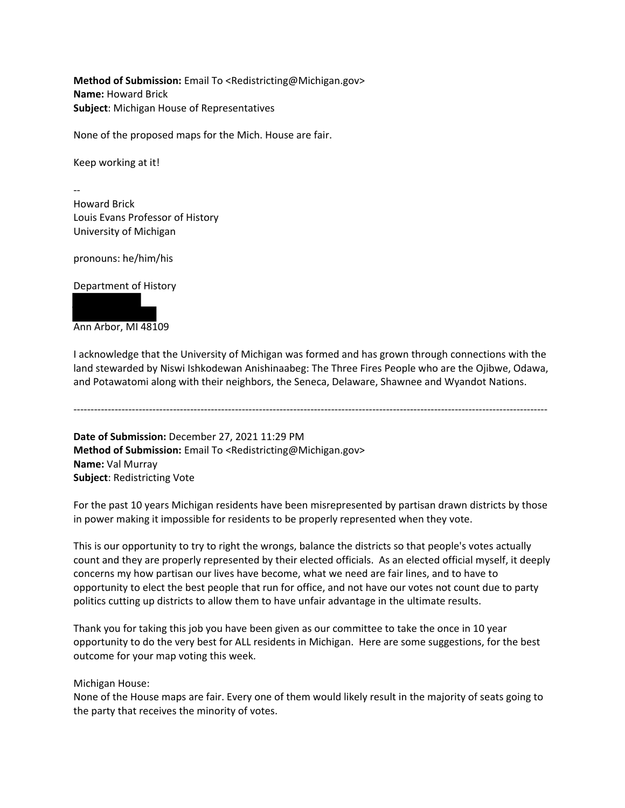**Method of Submission:** Email To <Redistricting@Michigan.gov> **Name:** Howard Brick **Subject**: Michigan House of Representatives

None of the proposed maps for the Mich. House are fair.

Keep working at it!

-- Howard Brick Louis Evans Professor of History University of Michigan

pronouns: he/him/his

Department of History



I acknowledge that the University of Michigan was formed and has grown through connections with the land stewarded by Niswi Ishkodewan Anishinaabeg: The Three Fires People who are the Ojibwe, Odawa, and Potawatomi along with their neighbors, the Seneca, Delaware, Shawnee and Wyandot Nations.

------------------------------------------------------------------------------------------------------------------------------------------

**Date of Submission:** December 27, 2021 11:29 PM **Method of Submission:** Email To <Redistricting@Michigan.gov> **Name:** Val Murray **Subject**: Redistricting Vote

For the past 10 years Michigan residents have been misrepresented by partisan drawn districts by those in power making it impossible for residents to be properly represented when they vote.

This is our opportunity to try to right the wrongs, balance the districts so that people's votes actually count and they are properly represented by their elected officials. As an elected official myself, it deeply concerns my how partisan our lives have become, what we need are fair lines, and to have to opportunity to elect the best people that run for office, and not have our votes not count due to party politics cutting up districts to allow them to have unfair advantage in the ultimate results.

Thank you for taking this job you have been given as our committee to take the once in 10 year opportunity to do the very best for ALL residents in Michigan. Here are some suggestions, for the best outcome for your map voting this week.

Michigan House:

None of the House maps are fair. Every one of them would likely result in the majority of seats going to the party that receives the minority of votes.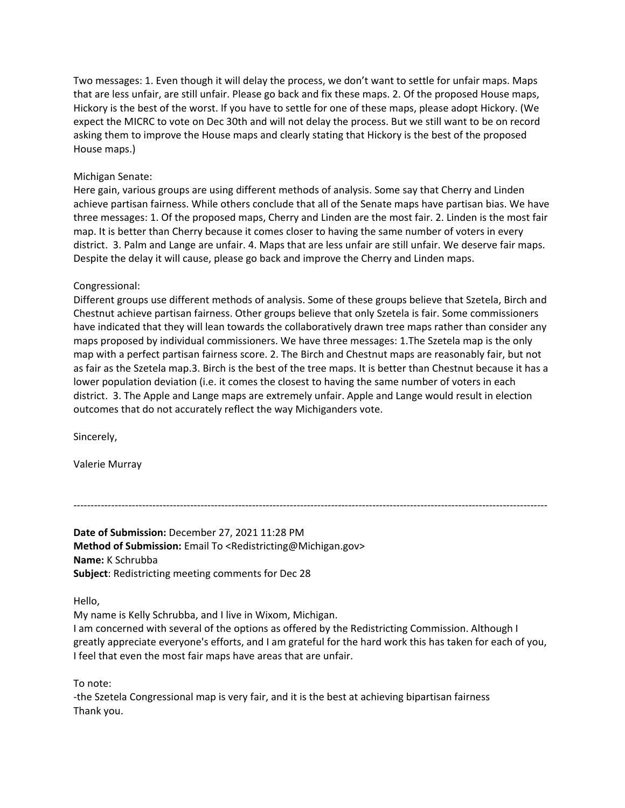Two messages: 1. Even though it will delay the process, we don't want to settle for unfair maps. Maps that are less unfair, are still unfair. Please go back and fix these maps. 2. Of the proposed House maps, Hickory is the best of the worst. If you have to settle for one of these maps, please adopt Hickory. (We expect the MICRC to vote on Dec 30th and will not delay the process. But we still want to be on record asking them to improve the House maps and clearly stating that Hickory is the best of the proposed House maps.)

#### Michigan Senate:

Here gain, various groups are using different methods of analysis. Some say that Cherry and Linden achieve partisan fairness. While others conclude that all of the Senate maps have partisan bias. We have three messages: 1. Of the proposed maps, Cherry and Linden are the most fair. 2. Linden is the most fair map. It is better than Cherry because it comes closer to having the same number of voters in every district. 3. Palm and Lange are unfair. 4. Maps that are less unfair are still unfair. We deserve fair maps. Despite the delay it will cause, please go back and improve the Cherry and Linden maps.

#### Congressional:

Different groups use different methods of analysis. Some of these groups believe that Szetela, Birch and Chestnut achieve partisan fairness. Other groups believe that only Szetela is fair. Some commissioners have indicated that they will lean towards the collaboratively drawn tree maps rather than consider any maps proposed by individual commissioners. We have three messages: 1.The Szetela map is the only map with a perfect partisan fairness score. 2. The Birch and Chestnut maps are reasonably fair, but not as fair as the Szetela map.3. Birch is the best of the tree maps. It is better than Chestnut because it has a lower population deviation (i.e. it comes the closest to having the same number of voters in each district. 3. The Apple and Lange maps are extremely unfair. Apple and Lange would result in election outcomes that do not accurately reflect the way Michiganders vote.

Sincerely,

Valerie Murray

------------------------------------------------------------------------------------------------------------------------------------------

**Date of Submission:** December 27, 2021 11:28 PM **Method of Submission:** Email To <Redistricting@Michigan.gov> **Name:** K Schrubba **Subject**: Redistricting meeting comments for Dec 28

Hello,

My name is Kelly Schrubba, and I live in Wixom, Michigan.

I am concerned with several of the options as offered by the Redistricting Commission. Although I greatly appreciate everyone's efforts, and I am grateful for the hard work this has taken for each of you, I feel that even the most fair maps have areas that are unfair.

To note:

-the Szetela Congressional map is very fair, and it is the best at achieving bipartisan fairness Thank you.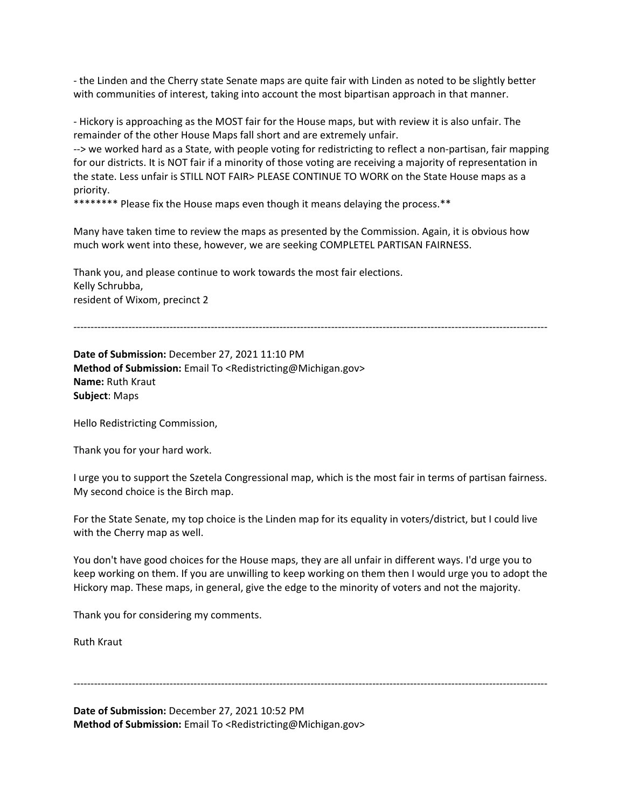- the Linden and the Cherry state Senate maps are quite fair with Linden as noted to be slightly better with communities of interest, taking into account the most bipartisan approach in that manner.

- Hickory is approaching as the MOST fair for the House maps, but with review it is also unfair. The remainder of the other House Maps fall short and are extremely unfair.

--> we worked hard as a State, with people voting for redistricting to reflect a non-partisan, fair mapping for our districts. It is NOT fair if a minority of those voting are receiving a majority of representation in the state. Less unfair is STILL NOT FAIR> PLEASE CONTINUE TO WORK on the State House maps as a priority.

\*\*\*\*\*\*\*\* Please fix the House maps even though it means delaying the process.\*\*

Many have taken time to review the maps as presented by the Commission. Again, it is obvious how much work went into these, however, we are seeking COMPLETEL PARTISAN FAIRNESS.

Thank you, and please continue to work towards the most fair elections. Kelly Schrubba, resident of Wixom, precinct 2

------------------------------------------------------------------------------------------------------------------------------------------

**Date of Submission:** December 27, 2021 11:10 PM **Method of Submission:** Email To <Redistricting@Michigan.gov> **Name:** Ruth Kraut **Subject**: Maps

Hello Redistricting Commission,

Thank you for your hard work.

I urge you to support the Szetela Congressional map, which is the most fair in terms of partisan fairness. My second choice is the Birch map.

For the State Senate, my top choice is the Linden map for its equality in voters/district, but I could live with the Cherry map as well.

You don't have good choices for the House maps, they are all unfair in different ways. I'd urge you to keep working on them. If you are unwilling to keep working on them then I would urge you to adopt the Hickory map. These maps, in general, give the edge to the minority of voters and not the majority.

Thank you for considering my comments.

Ruth Kraut

------------------------------------------------------------------------------------------------------------------------------------------

**Date of Submission:** December 27, 2021 10:52 PM **Method of Submission:** Email To <Redistricting@Michigan.gov>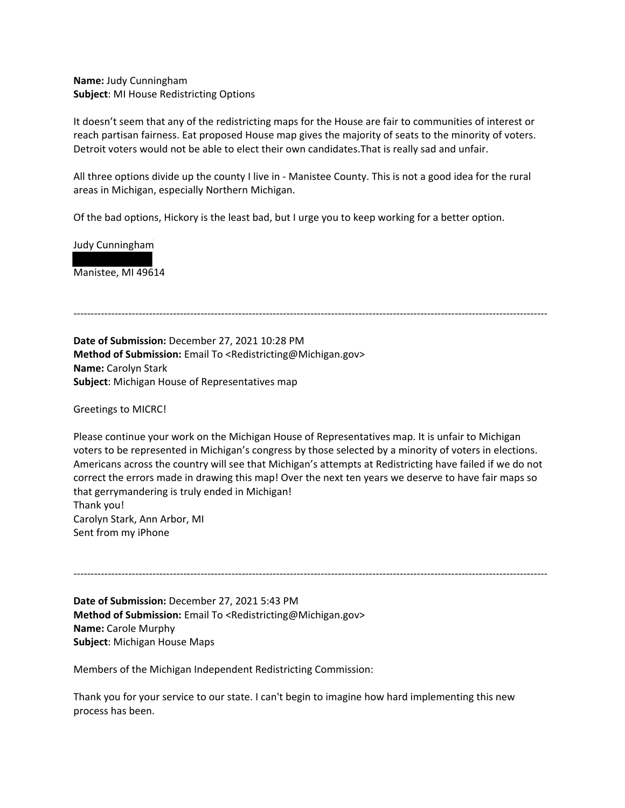**Name:** Judy Cunningham **Subject**: MI House Redistricting Options

It doesn't seem that any of the redistricting maps for the House are fair to communities of interest or reach partisan fairness. Eat proposed House map gives the majority of seats to the minority of voters. Detroit voters would not be able to elect their own candidates.That is really sad and unfair.

All three options divide up the county I live in - Manistee County. This is not a good idea for the rural areas in Michigan, especially Northern Michigan.

------------------------------------------------------------------------------------------------------------------------------------------

Of the bad options, Hickory is the least bad, but I urge you to keep working for a better option.

Judy Cunningham

Manistee, MI 49614

**Date of Submission:** December 27, 2021 10:28 PM **Method of Submission:** Email To <Redistricting@Michigan.gov> **Name:** Carolyn Stark **Subject**: Michigan House of Representatives map

Greetings to MICRC!

Please continue your work on the Michigan House of Representatives map. It is unfair to Michigan voters to be represented in Michigan's congress by those selected by a minority of voters in elections. Americans across the country will see that Michigan's attempts at Redistricting have failed if we do not correct the errors made in drawing this map! Over the next ten years we deserve to have fair maps so that gerrymandering is truly ended in Michigan! Thank you! Carolyn Stark, Ann Arbor, MI Sent from my iPhone

------------------------------------------------------------------------------------------------------------------------------------------

**Date of Submission:** December 27, 2021 5:43 PM **Method of Submission:** Email To <Redistricting@Michigan.gov> **Name:** Carole Murphy **Subject**: Michigan House Maps

Members of the Michigan Independent Redistricting Commission:

Thank you for your service to our state. I can't begin to imagine how hard implementing this new process has been.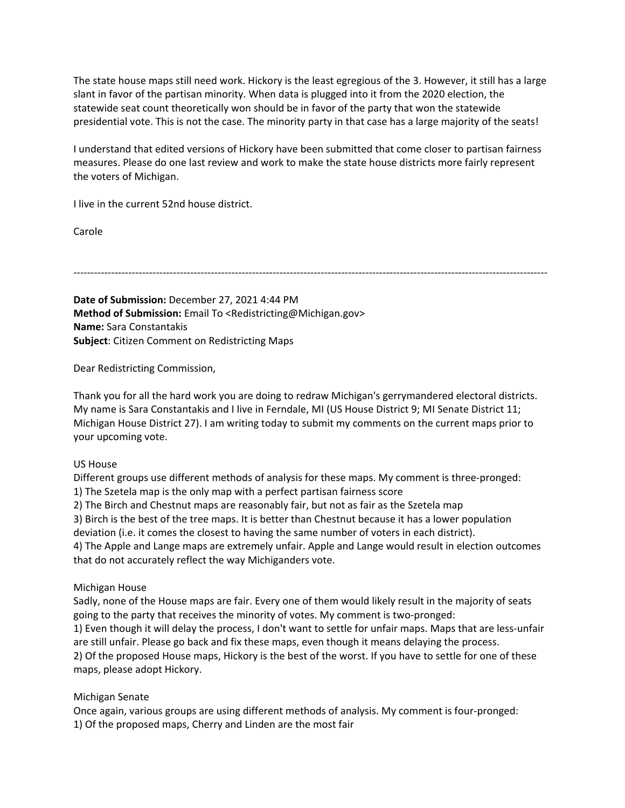The state house maps still need work. Hickory is the least egregious of the 3. However, it still has a large slant in favor of the partisan minority. When data is plugged into it from the 2020 election, the statewide seat count theoretically won should be in favor of the party that won the statewide presidential vote. This is not the case. The minority party in that case has a large majority of the seats!

I understand that edited versions of Hickory have been submitted that come closer to partisan fairness measures. Please do one last review and work to make the state house districts more fairly represent the voters of Michigan.

I live in the current 52nd house district.

Carole

------------------------------------------------------------------------------------------------------------------------------------------

**Date of Submission:** December 27, 2021 4:44 PM **Method of Submission:** Email To <Redistricting@Michigan.gov> **Name:** Sara Constantakis **Subject**: Citizen Comment on Redistricting Maps

Dear Redistricting Commission,

Thank you for all the hard work you are doing to redraw Michigan's gerrymandered electoral districts. My name is Sara Constantakis and I live in Ferndale, MI (US House District 9; MI Senate District 11; Michigan House District 27). I am writing today to submit my comments on the current maps prior to your upcoming vote.

#### US House

Different groups use different methods of analysis for these maps. My comment is three-pronged: 1) The Szetela map is the only map with a perfect partisan fairness score

2) The Birch and Chestnut maps are reasonably fair, but not as fair as the Szetela map

3) Birch is the best of the tree maps. It is better than Chestnut because it has a lower population

deviation (i.e. it comes the closest to having the same number of voters in each district).

4) The Apple and Lange maps are extremely unfair. Apple and Lange would result in election outcomes that do not accurately reflect the way Michiganders vote.

#### Michigan House

Sadly, none of the House maps are fair. Every one of them would likely result in the majority of seats going to the party that receives the minority of votes. My comment is two-pronged:

1) Even though it will delay the process, I don't want to settle for unfair maps. Maps that are less-unfair are still unfair. Please go back and fix these maps, even though it means delaying the process.

2) Of the proposed House maps, Hickory is the best of the worst. If you have to settle for one of these maps, please adopt Hickory.

#### Michigan Senate

Once again, various groups are using different methods of analysis. My comment is four-pronged: 1) Of the proposed maps, Cherry and Linden are the most fair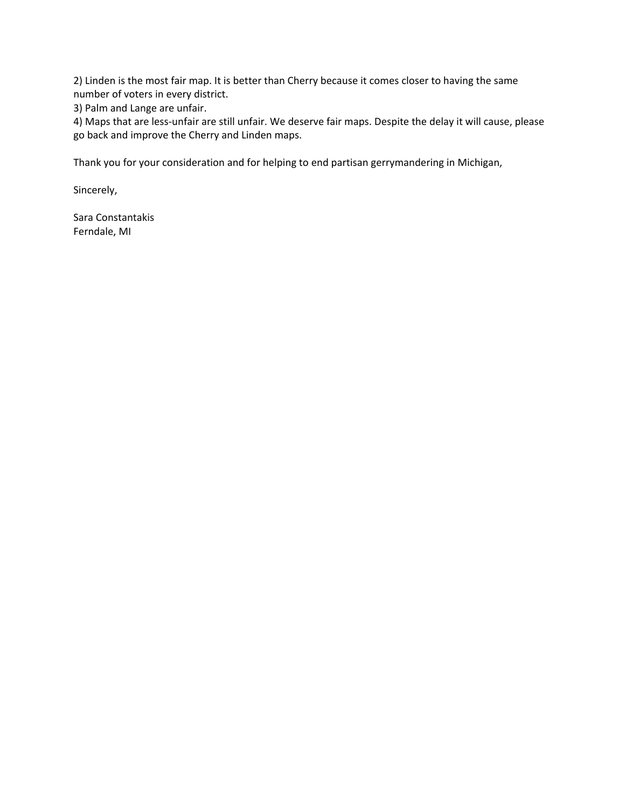2) Linden is the most fair map. It is better than Cherry because it comes closer to having the same number of voters in every district.

3) Palm and Lange are unfair.

4) Maps that are less-unfair are still unfair. We deserve fair maps. Despite the delay it will cause, please go back and improve the Cherry and Linden maps.

Thank you for your consideration and for helping to end partisan gerrymandering in Michigan,

Sincerely,

Sara Constantakis Ferndale, MI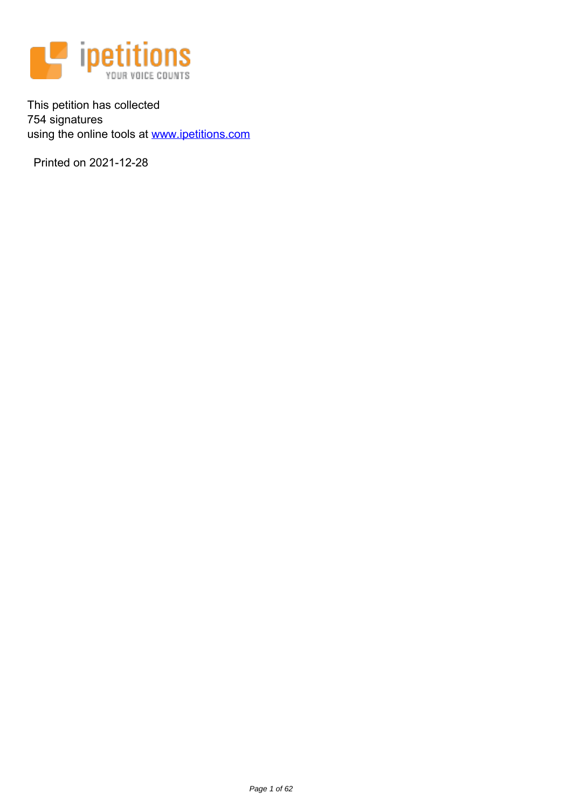

This petition has collected 754 signatures using the online tools at www.ipetitions.com

Printed on 2021-12-28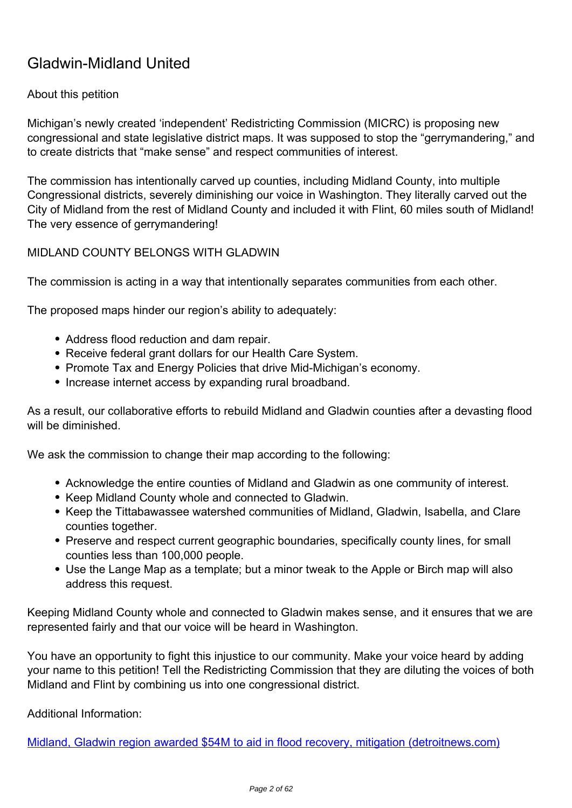# **Gladwin-Midland United**

## About this petition

Michigan's newly created 'independent' Redistricting Commission (MICRC) is proposing new congressional and state legislative district maps. It was supposed to stop the "gerrymandering," and to create districts that "make sense" and respect communities of interest.

The commission has intentionally carved up counties, including Midland County, into multiple Congressional districts, severely diminishing our voice in Washington. They literally carved out the City of Midland from the rest of Midland County and included it with Flint, 60 miles south of Midland! The very essence of gerrymandering!

### **MIDLAND COUNTY BELONGS WITH GLADWIN**

The commission is acting in a way that intentionally separates communities from each other.

The proposed maps hinder our region's ability to adequately:

- *Address flood reduction and dam repair.*
- *Receive federal grant dollars for our Health Care System.*
- *Promote Tax and Energy Policies that drive Mid-Michigan's economy.*
- *Increase internet access by expanding rural broadband.*

As a result, our collaborative efforts to rebuild Midland and Gladwin counties after a devasting flood will be diminished.

**We ask the commission to change their map according to the following:**

- *Acknowledge the entire counties of Midland and Gladwin as one community of interest.*
- *Keep Midland County whole and connected to Gladwin.*
- *Keep the Tittabawassee watershed communities of Midland, Gladwin, Isabella, and Clare counties together.*
- *Preserve and respect current geographic boundaries, specifically county lines, for small counties less than 100,000 people.*
- *Use the Lange Map as a template; but a minor tweak to the Apple or Birch map will also address this request.*

Keeping Midland County whole and connected to Gladwin makes sense, and it ensures that we are represented fairly and that our voice will be heard in Washington.

*You have an opportunity to fight this injustice to our community. Make your voice heard by adding your name to this petition! Tell the Redistricting Commission that they are diluting the voices of both Midland and Flint by combining us into one congressional district.*

**Additional Information**:

Midland, Gladwin region awarded \$54M to aid in flood recovery, mitigation (detroitnews.com)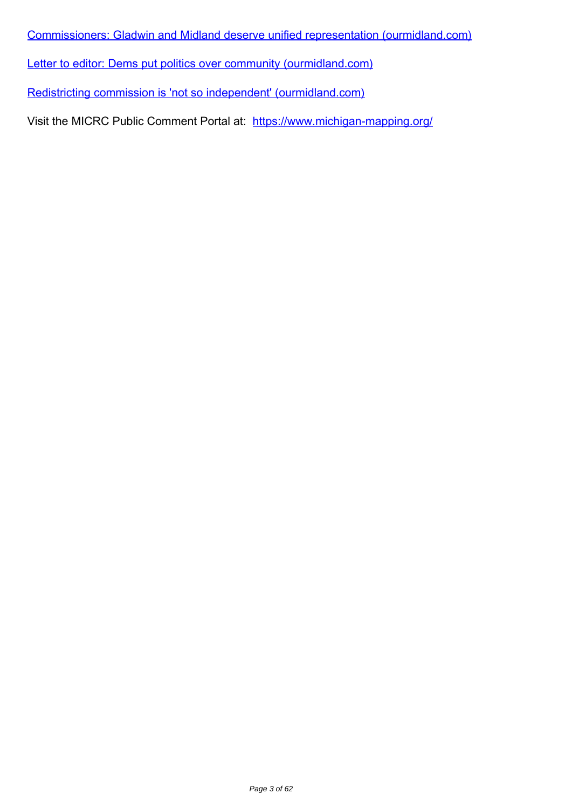Commissioners: Gladwin and Midland deserve unified representation (ourmidland.com)

Letter to editor: Dems put politics over community (ourmidland.com)

Redistricting commission is 'not so independent' (ourmidland.com)

*Visit the MICRC Public Comment Portal at:* https://www.michigan-mapping.org/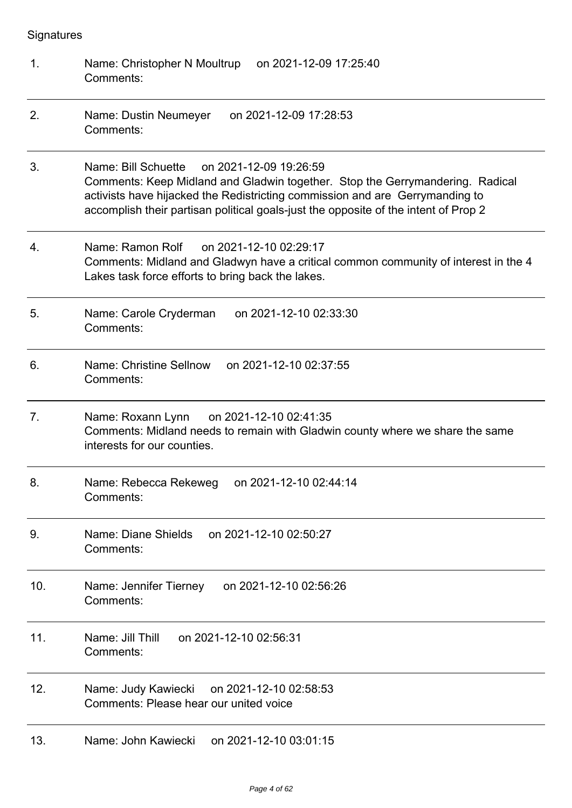**Signatures** 

| 1.             | Name: Christopher N Moultrup<br>on 2021-12-09 17:25:40<br>Comments:                                                                                                                                                                                                                                |
|----------------|----------------------------------------------------------------------------------------------------------------------------------------------------------------------------------------------------------------------------------------------------------------------------------------------------|
| 2.             | Name: Dustin Neumeyer<br>on 2021-12-09 17:28:53<br>Comments:                                                                                                                                                                                                                                       |
| 3.             | Name: Bill Schuette on 2021-12-09 19:26:59<br>Comments: Keep Midland and Gladwin together. Stop the Gerrymandering. Radical<br>activists have hijacked the Redistricting commission and are Gerrymanding to<br>accomplish their partisan political goals-just the opposite of the intent of Prop 2 |
| 4.             | Name: Ramon Rolf<br>on 2021-12-10 02:29:17<br>Comments: Midland and Gladwyn have a critical common community of interest in the 4<br>Lakes task force efforts to bring back the lakes.                                                                                                             |
| 5.             | on 2021-12-10 02:33:30<br>Name: Carole Cryderman<br>Comments:                                                                                                                                                                                                                                      |
| 6.             | Name: Christine Sellnow<br>on 2021-12-10 02:37:55<br>Comments:                                                                                                                                                                                                                                     |
| 7 <sub>1</sub> | Name: Roxann Lynn<br>on 2021-12-10 02:41:35<br>Comments: Midland needs to remain with Gladwin county where we share the same<br>interests for our counties.                                                                                                                                        |
| 8.             | Name: Rebecca Rekeweg<br>on 2021-12-10 02:44:14<br>Comments:                                                                                                                                                                                                                                       |
| 9.             | Name: Diane Shields<br>on 2021-12-10 02:50:27<br>Comments:                                                                                                                                                                                                                                         |
| 10.            | on 2021-12-10 02:56:26<br>Name: Jennifer Tierney<br>Comments:                                                                                                                                                                                                                                      |
| 11.            | Name: Jill Thill<br>on 2021-12-10 02:56:31<br>Comments:                                                                                                                                                                                                                                            |
| 12.            | on 2021-12-10 02:58:53<br>Name: Judy Kawiecki<br>Comments: Please hear our united voice                                                                                                                                                                                                            |
| 13.            | Name: John Kawiecki<br>on 2021-12-10 03:01:15                                                                                                                                                                                                                                                      |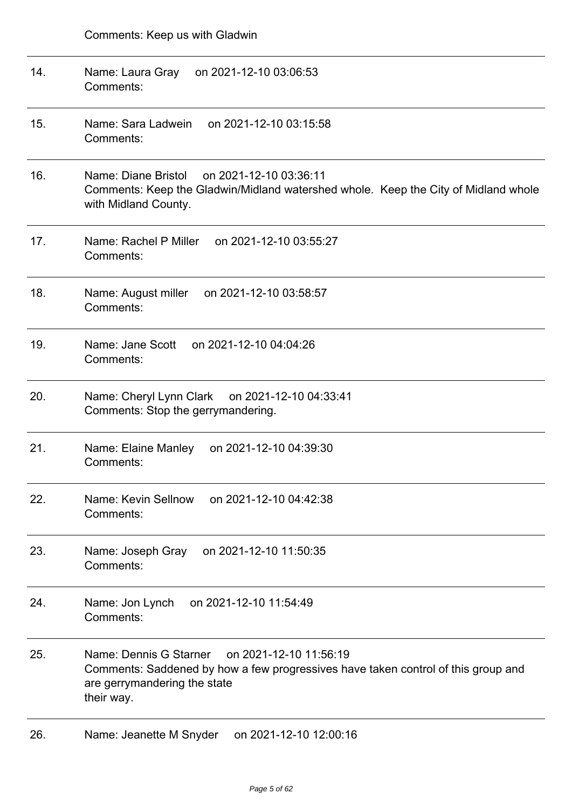| 14. | Name: Laura Gray<br>on 2021-12-10 03:06:53<br>Comments:                                                                                                                             |
|-----|-------------------------------------------------------------------------------------------------------------------------------------------------------------------------------------|
| 15. | on 2021-12-10 03:15:58<br>Name: Sara Ladwein<br>Comments:                                                                                                                           |
| 16. | Name: Diane Bristol<br>on 2021-12-10 03:36:11<br>Comments: Keep the Gladwin/Midland watershed whole. Keep the City of Midland whole<br>with Midland County.                         |
| 17. | Name: Rachel P Miller<br>on 2021-12-10 03:55:27<br>Comments:                                                                                                                        |
| 18. | Name: August miller<br>on 2021-12-10 03:58:57<br>Comments:                                                                                                                          |
| 19. | Name: Jane Scott<br>on 2021-12-10 04:04:26<br>Comments:                                                                                                                             |
| 20. | Name: Cheryl Lynn Clark<br>on 2021-12-10 04:33:41<br>Comments: Stop the gerrymandering.                                                                                             |
| 21. | on 2021-12-10 04:39:30<br>Name: Elaine Manley<br>Comments:                                                                                                                          |
| 22. | on 2021-12-10 04:42:38<br>Name: Kevin Sellnow<br>Comments:                                                                                                                          |
| 23. | Name: Joseph Gray<br>on 2021-12-10 11:50:35<br>Comments:                                                                                                                            |
| 24. | on 2021-12-10 11:54:49<br>Name: Jon Lynch<br>Comments:                                                                                                                              |
| 25. | Name: Dennis G Starner<br>on 2021-12-10 11:56:19<br>Comments: Saddened by how a few progressives have taken control of this group and<br>are gerrymandering the state<br>their way. |
| 26. | Name: Jeanette M Snyder<br>on 2021-12-10 12:00:16                                                                                                                                   |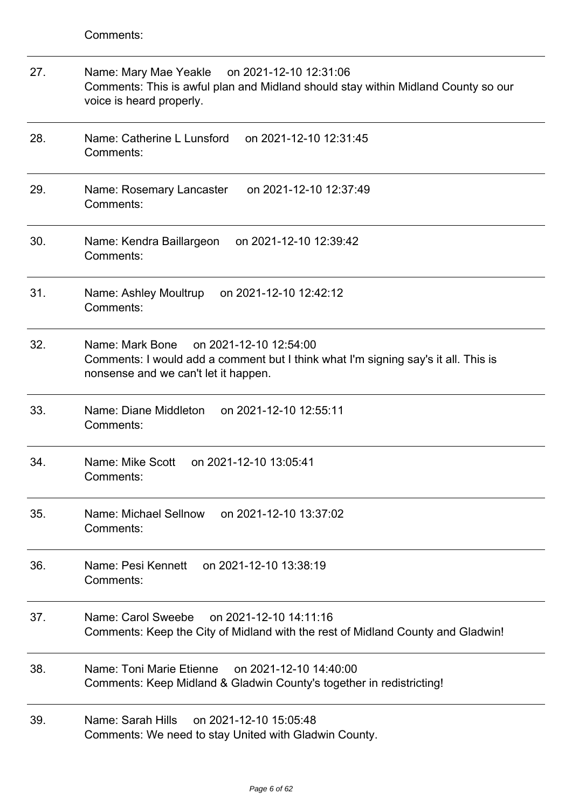Comments:

| 27. | Name: Mary Mae Yeakle<br>on 2021-12-10 12:31:06<br>Comments: This is awful plan and Midland should stay within Midland County so our<br>voice is heard properly.        |
|-----|-------------------------------------------------------------------------------------------------------------------------------------------------------------------------|
| 28. | Name: Catherine L Lunsford<br>on 2021-12-10 12:31:45<br>Comments:                                                                                                       |
| 29. | on 2021-12-10 12:37:49<br>Name: Rosemary Lancaster<br>Comments:                                                                                                         |
| 30. | Name: Kendra Baillargeon<br>on 2021-12-10 12:39:42<br>Comments:                                                                                                         |
| 31. | Name: Ashley Moultrup<br>on 2021-12-10 12:42:12<br>Comments:                                                                                                            |
| 32. | Name: Mark Bone<br>on 2021-12-10 12:54:00<br>Comments: I would add a comment but I think what I'm signing say's it all. This is<br>nonsense and we can't let it happen. |
| 33. | Name: Diane Middleton<br>on 2021-12-10 12:55:11<br>Comments:                                                                                                            |
| 34. | Name: Mike Scott<br>on 2021-12-10 13:05:41<br>Comments:                                                                                                                 |
| 35. | Name: Michael Sellnow<br>on 2021-12-10 13:37:02<br>Comments:                                                                                                            |
| 36. | Name: Pesi Kennett on 2021-12-10 13:38:19<br>Comments:                                                                                                                  |
| 37. | Name: Carol Sweebe on 2021-12-10 14:11:16<br>Comments: Keep the City of Midland with the rest of Midland County and Gladwin!                                            |
| 38. | Name: Toni Marie Etienne on 2021-12-10 14:40:00<br>Comments: Keep Midland & Gladwin County's together in redistricting!                                                 |
| 39. | Name: Sarah Hills<br>on 2021-12-10 15:05:48<br>Comments: We need to stay United with Gladwin County.                                                                    |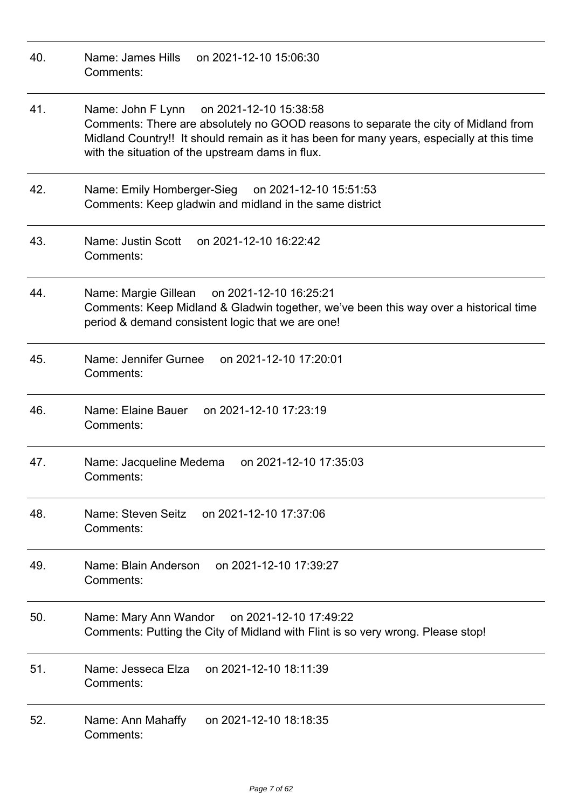| 40. | Name: James Hills<br>on 2021-12-10 15:06:30<br>Comments:                                                                                                                                                                                                                         |
|-----|----------------------------------------------------------------------------------------------------------------------------------------------------------------------------------------------------------------------------------------------------------------------------------|
| 41. | Name: John F Lynn on 2021-12-10 15:38:58<br>Comments: There are absolutely no GOOD reasons to separate the city of Midland from<br>Midland Country!! It should remain as it has been for many years, especially at this time<br>with the situation of the upstream dams in flux. |
| 42. | Name: Emily Homberger-Sieg on 2021-12-10 15:51:53<br>Comments: Keep gladwin and midland in the same district                                                                                                                                                                     |
| 43. | Name: Justin Scott<br>on 2021-12-10 16:22:42<br>Comments:                                                                                                                                                                                                                        |
| 44. | Name: Margie Gillean on 2021-12-10 16:25:21<br>Comments: Keep Midland & Gladwin together, we've been this way over a historical time<br>period & demand consistent logic that we are one!                                                                                        |
| 45. | Name: Jennifer Gurnee<br>on 2021-12-10 17:20:01<br>Comments:                                                                                                                                                                                                                     |
| 46. | Name: Elaine Bauer<br>on 2021-12-10 17:23:19<br>Comments:                                                                                                                                                                                                                        |
| 47. | on 2021-12-10 17:35:03<br>Name: Jacqueline Medema<br>Comments:                                                                                                                                                                                                                   |
| 48. | Name: Steven Seitz<br>on 2021-12-10 17:37:06<br>Comments:                                                                                                                                                                                                                        |
| 49. | on 2021-12-10 17:39:27<br>Name: Blain Anderson<br>Comments:                                                                                                                                                                                                                      |
| 50. | Name: Mary Ann Wandor<br>on 2021-12-10 17:49:22<br>Comments: Putting the City of Midland with Flint is so very wrong. Please stop!                                                                                                                                               |
| 51. | on 2021-12-10 18:11:39<br>Name: Jesseca Elza<br>Comments:                                                                                                                                                                                                                        |
| 52. | on 2021-12-10 18:18:35<br>Name: Ann Mahaffy<br>Comments:                                                                                                                                                                                                                         |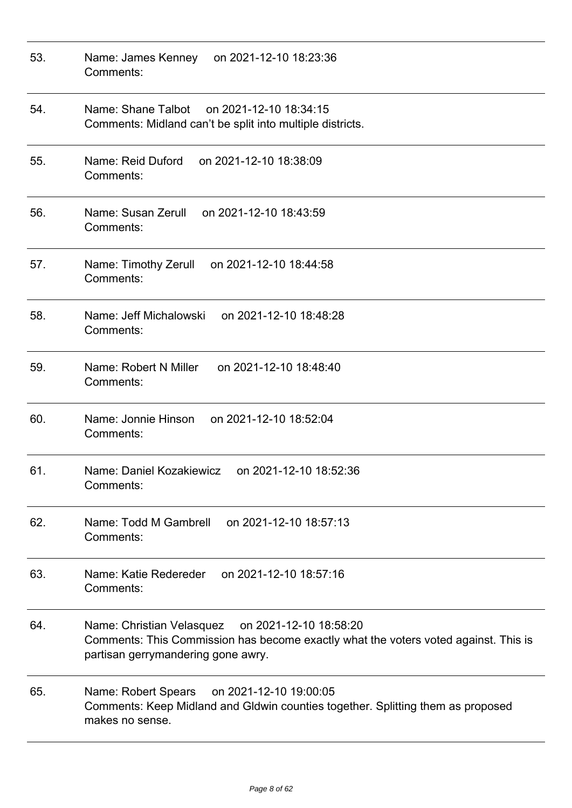| 53. | on 2021-12-10 18:23:36<br>Name: James Kenney<br>Comments:                                                                                                                        |
|-----|----------------------------------------------------------------------------------------------------------------------------------------------------------------------------------|
| 54. | Name: Shane Talbot on 2021-12-10 18:34:15<br>Comments: Midland can't be split into multiple districts.                                                                           |
| 55. | Name: Reid Duford<br>on 2021-12-10 18:38:09<br>Comments:                                                                                                                         |
| 56. | Name: Susan Zerull<br>on 2021-12-10 18:43:59<br>Comments:                                                                                                                        |
| 57. | Name: Timothy Zerull<br>on 2021-12-10 18:44:58<br>Comments:                                                                                                                      |
| 58. | Name: Jeff Michalowski<br>on 2021-12-10 18:48:28<br>Comments:                                                                                                                    |
| 59. | Name: Robert N Miller<br>on 2021-12-10 18:48:40<br>Comments:                                                                                                                     |
| 60. | Name: Jonnie Hinson<br>on 2021-12-10 18:52:04<br>Comments:                                                                                                                       |
| 61. | Name: Daniel Kozakiewicz<br>on 2021-12-10 18:52:36<br>Comments:                                                                                                                  |
| 62. | Name: Todd M Gambrell<br>on 2021-12-10 18:57:13<br>Comments:                                                                                                                     |
| 63. | Name: Katie Redereder<br>on 2021-12-10 18:57:16<br>Comments:                                                                                                                     |
| 64. | Name: Christian Velasquez<br>on 2021-12-10 18:58:20<br>Comments: This Commission has become exactly what the voters voted against. This is<br>partisan gerrymandering gone awry. |
| 65. | Name: Robert Spears<br>on 2021-12-10 19:00:05<br>Comments: Keep Midland and Gldwin counties together. Splitting them as proposed<br>makes no sense.                              |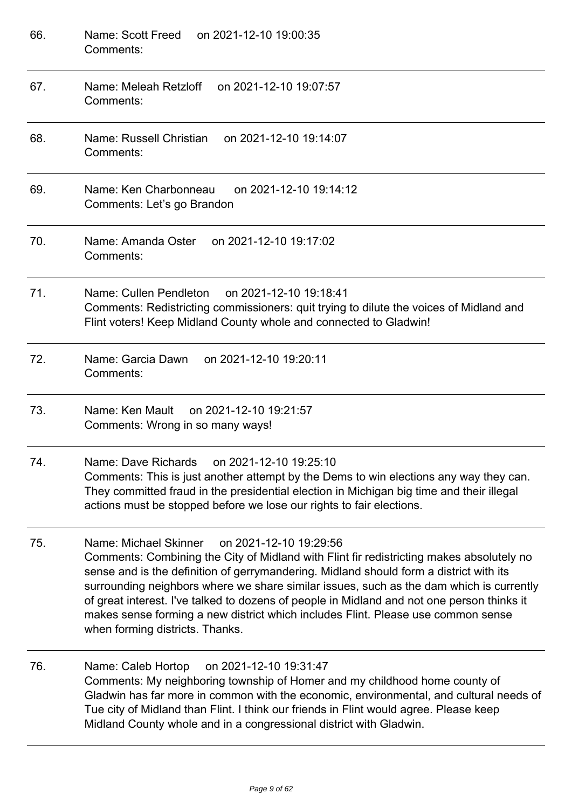| 66. | Name: Scott Freed<br>on 2021-12-10 19:00:35<br>Comments:                                                                                                                                                                                                                                                                                                                                                                                                                                                                                              |
|-----|-------------------------------------------------------------------------------------------------------------------------------------------------------------------------------------------------------------------------------------------------------------------------------------------------------------------------------------------------------------------------------------------------------------------------------------------------------------------------------------------------------------------------------------------------------|
| 67. | Name: Meleah Retzloff<br>on 2021-12-10 19:07:57<br>Comments:                                                                                                                                                                                                                                                                                                                                                                                                                                                                                          |
| 68. | Name: Russell Christian<br>on 2021-12-10 19:14:07<br>Comments:                                                                                                                                                                                                                                                                                                                                                                                                                                                                                        |
| 69. | Name: Ken Charbonneau<br>on 2021-12-10 19:14:12<br>Comments: Let's go Brandon                                                                                                                                                                                                                                                                                                                                                                                                                                                                         |
| 70. | on 2021-12-10 19:17:02<br>Name: Amanda Oster<br>Comments:                                                                                                                                                                                                                                                                                                                                                                                                                                                                                             |
| 71. | Name: Cullen Pendleton<br>on 2021-12-10 19:18:41<br>Comments: Redistricting commissioners: quit trying to dilute the voices of Midland and<br>Flint voters! Keep Midland County whole and connected to Gladwin!                                                                                                                                                                                                                                                                                                                                       |
| 72. | Name: Garcia Dawn<br>on 2021-12-10 19:20:11<br>Comments:                                                                                                                                                                                                                                                                                                                                                                                                                                                                                              |
| 73. | on 2021-12-10 19:21:57<br>Name: Ken Mault<br>Comments: Wrong in so many ways!                                                                                                                                                                                                                                                                                                                                                                                                                                                                         |
| 74. | Name: Dave Richards on 2021-12-10 19:25:10<br>Comments: This is just another attempt by the Dems to win elections any way they can.<br>They committed fraud in the presidential election in Michigan big time and their illegal<br>actions must be stopped before we lose our rights to fair elections.                                                                                                                                                                                                                                               |
| 75. | Name: Michael Skinner<br>on 2021-12-10 19:29:56<br>Comments: Combining the City of Midland with Flint fir redistricting makes absolutely no<br>sense and is the definition of gerrymandering. Midland should form a district with its<br>surrounding neighbors where we share similar issues, such as the dam which is currently<br>of great interest. I've talked to dozens of people in Midland and not one person thinks it<br>makes sense forming a new district which includes Flint. Please use common sense<br>when forming districts. Thanks. |
| 76. | on 2021-12-10 19:31:47<br>Name: Caleb Hortop<br>Comments: My neighboring township of Homer and my childhood home county of<br>Gladwin has far more in common with the economic, environmental, and cultural needs of<br>Tue city of Midland than Flint. I think our friends in Flint would agree. Please keep<br>Midland County whole and in a congressional district with Gladwin.                                                                                                                                                                   |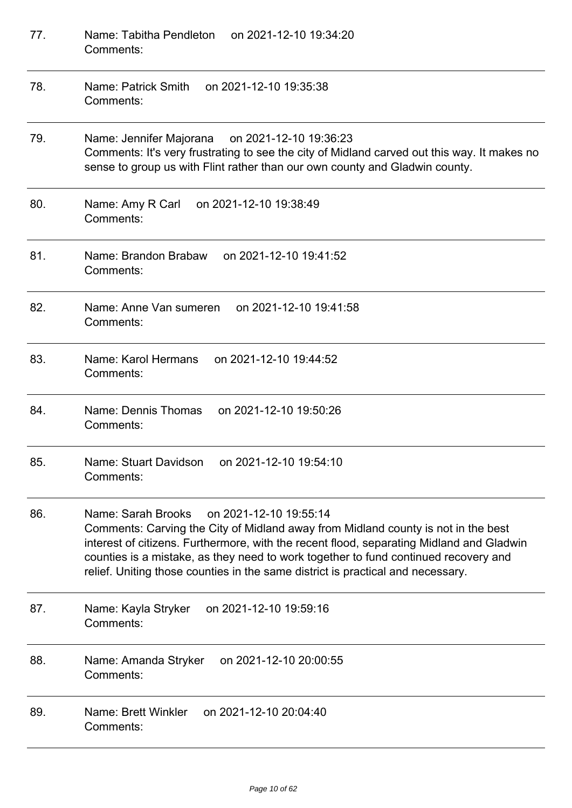| 77. | on 2021-12-10 19:34:20<br>Name: Tabitha Pendleton<br>Comments:                                                                                                                                                                                                                                                                                                                                          |
|-----|---------------------------------------------------------------------------------------------------------------------------------------------------------------------------------------------------------------------------------------------------------------------------------------------------------------------------------------------------------------------------------------------------------|
| 78. | Name: Patrick Smith<br>on 2021-12-10 19:35:38<br>Comments:                                                                                                                                                                                                                                                                                                                                              |
| 79. | Name: Jennifer Majorana on 2021-12-10 19:36:23<br>Comments: It's very frustrating to see the city of Midland carved out this way. It makes no<br>sense to group us with Flint rather than our own county and Gladwin county.                                                                                                                                                                            |
| 80. | Name: Amy R Carl<br>on 2021-12-10 19:38:49<br>Comments:                                                                                                                                                                                                                                                                                                                                                 |
| 81. | Name: Brandon Brabaw<br>on 2021-12-10 19:41:52<br>Comments:                                                                                                                                                                                                                                                                                                                                             |
| 82. | Name: Anne Van sumeren<br>on 2021-12-10 19:41:58<br>Comments:                                                                                                                                                                                                                                                                                                                                           |
| 83. | Name: Karol Hermans<br>on 2021-12-10 19:44:52<br>Comments:                                                                                                                                                                                                                                                                                                                                              |
| 84. | Name: Dennis Thomas<br>on 2021-12-10 19:50:26<br>Comments:                                                                                                                                                                                                                                                                                                                                              |
| 85. | Name: Stuart Davidson on 2021-12-10 19:54:10<br>Comments:                                                                                                                                                                                                                                                                                                                                               |
| 86. | Name: Sarah Brooks<br>on 2021-12-10 19:55:14<br>Comments: Carving the City of Midland away from Midland county is not in the best<br>interest of citizens. Furthermore, with the recent flood, separating Midland and Gladwin<br>counties is a mistake, as they need to work together to fund continued recovery and<br>relief. Uniting those counties in the same district is practical and necessary. |
| 87. | Name: Kayla Stryker<br>on 2021-12-10 19:59:16<br>Comments:                                                                                                                                                                                                                                                                                                                                              |
| 88. | on 2021-12-10 20:00:55<br>Name: Amanda Stryker<br>Comments:                                                                                                                                                                                                                                                                                                                                             |
| 89. | Name: Brett Winkler<br>on 2021-12-10 20:04:40<br>Comments:                                                                                                                                                                                                                                                                                                                                              |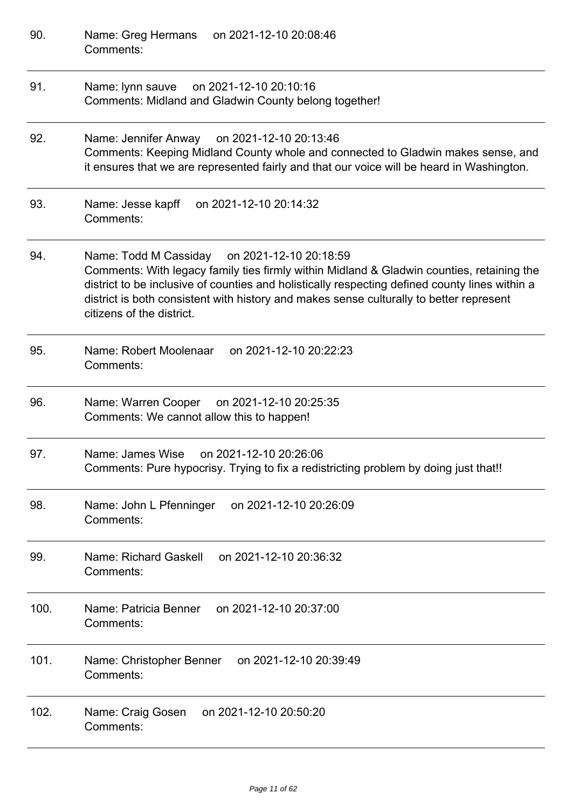| 90.  | on 2021-12-10 20:08:46<br>Name: Greg Hermans<br>Comments:                                                                                                                                                                                                                                                                                                              |
|------|------------------------------------------------------------------------------------------------------------------------------------------------------------------------------------------------------------------------------------------------------------------------------------------------------------------------------------------------------------------------|
| 91.  | Name: lynn sauve<br>on 2021-12-10 20:10:16<br>Comments: Midland and Gladwin County belong together!                                                                                                                                                                                                                                                                    |
| 92.  | Name: Jennifer Anway on 2021-12-10 20:13:46<br>Comments: Keeping Midland County whole and connected to Gladwin makes sense, and<br>it ensures that we are represented fairly and that our voice will be heard in Washington.                                                                                                                                           |
| 93.  | on 2021-12-10 20:14:32<br>Name: Jesse kapff<br>Comments:                                                                                                                                                                                                                                                                                                               |
| 94.  | Name: Todd M Cassiday<br>on 2021-12-10 20:18:59<br>Comments: With legacy family ties firmly within Midland & Gladwin counties, retaining the<br>district to be inclusive of counties and holistically respecting defined county lines within a<br>district is both consistent with history and makes sense culturally to better represent<br>citizens of the district. |
| 95.  | Name: Robert Moolenaar<br>on 2021-12-10 20:22:23<br>Comments:                                                                                                                                                                                                                                                                                                          |
| 96.  | Name: Warren Cooper on 2021-12-10 20:25:35<br>Comments: We cannot allow this to happen!                                                                                                                                                                                                                                                                                |
| 97.  | Name: James Wise<br>on 2021-12-10 20:26:06<br>Comments: Pure hypocrisy. Trying to fix a redistricting problem by doing just that!!                                                                                                                                                                                                                                     |
| 98.  | Name: John L Pfenninger<br>on 2021-12-10 20:26:09<br>Comments:                                                                                                                                                                                                                                                                                                         |
| 99.  | Name: Richard Gaskell<br>on 2021-12-10 20:36:32<br>Comments:                                                                                                                                                                                                                                                                                                           |
| 100. | Name: Patricia Benner<br>on 2021-12-10 20:37:00<br>Comments:                                                                                                                                                                                                                                                                                                           |
| 101. | on 2021-12-10 20:39:49<br>Name: Christopher Benner<br>Comments:                                                                                                                                                                                                                                                                                                        |
| 102. | Name: Craig Gosen<br>on 2021-12-10 20:50:20<br>Comments:                                                                                                                                                                                                                                                                                                               |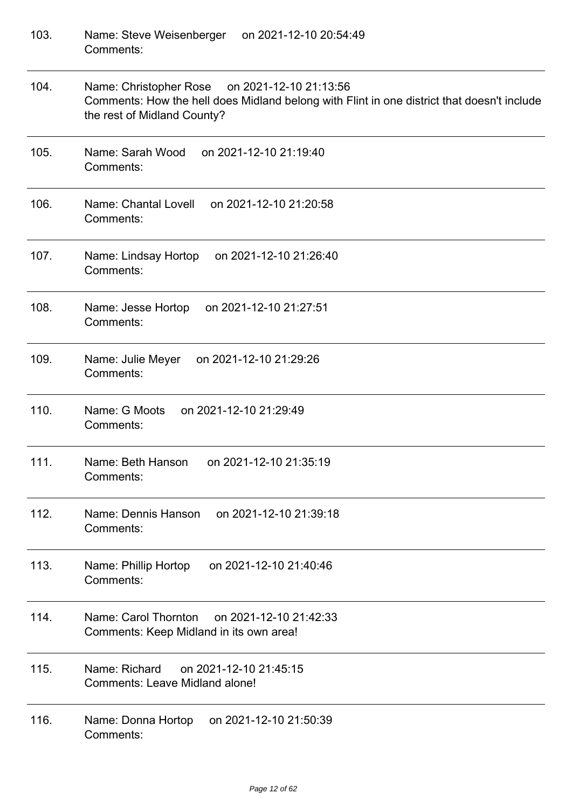| 103. | Name: Steve Weisenberger on 2021-12-10 20:54:49<br>Comments:                                                                                                               |
|------|----------------------------------------------------------------------------------------------------------------------------------------------------------------------------|
| 104. | Name: Christopher Rose on 2021-12-10 21:13:56<br>Comments: How the hell does Midland belong with Flint in one district that doesn't include<br>the rest of Midland County? |
| 105. | Name: Sarah Wood<br>on 2021-12-10 21:19:40<br>Comments:                                                                                                                    |
| 106. | on 2021-12-10 21:20:58<br>Name: Chantal Lovell<br>Comments:                                                                                                                |
| 107. | Name: Lindsay Hortop<br>on 2021-12-10 21:26:40<br>Comments:                                                                                                                |
| 108. | Name: Jesse Hortop<br>on 2021-12-10 21:27:51<br>Comments:                                                                                                                  |
| 109. | Name: Julie Meyer<br>on 2021-12-10 21:29:26<br>Comments:                                                                                                                   |
| 110. | Name: G Moots<br>on 2021-12-10 21:29:49<br>Comments:                                                                                                                       |
| 111. | Name: Beth Hanson on 2021-12-10 21:35:19<br>Comments:                                                                                                                      |
| 112. | Name: Dennis Hanson<br>on 2021-12-10 21:39:18<br>Comments:                                                                                                                 |
| 113. | on 2021-12-10 21:40:46<br>Name: Phillip Hortop<br>Comments:                                                                                                                |
| 114. | Name: Carol Thornton on 2021-12-10 21:42:33<br>Comments: Keep Midland in its own area!                                                                                     |
| 115. | Name: Richard<br>on 2021-12-10 21:45:15<br><b>Comments: Leave Midland alone!</b>                                                                                           |
| 116. | on 2021-12-10 21:50:39<br>Name: Donna Hortop<br>Comments:                                                                                                                  |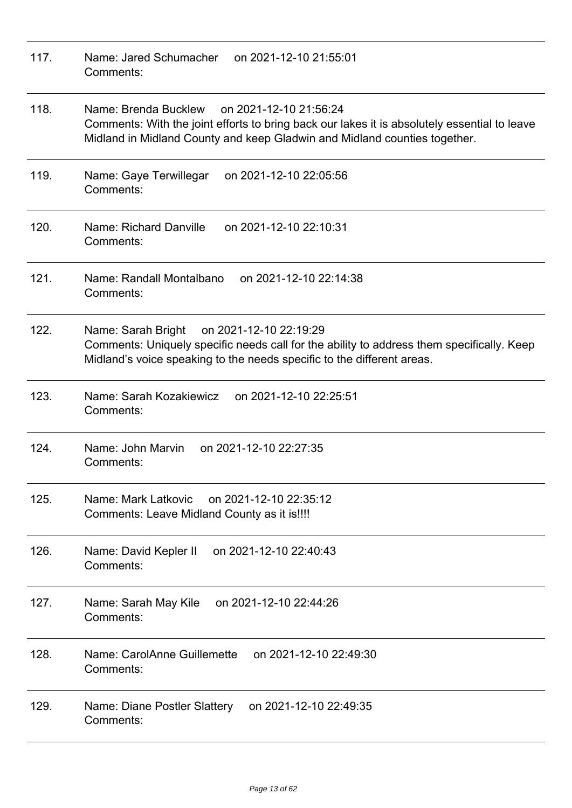| 117. | Name: Jared Schumacher<br>on 2021-12-10 21:55:01<br>Comments:                                                                                                                                                               |
|------|-----------------------------------------------------------------------------------------------------------------------------------------------------------------------------------------------------------------------------|
| 118. | Name: Brenda Bucklew<br>on 2021-12-10 21:56:24<br>Comments: With the joint efforts to bring back our lakes it is absolutely essential to leave<br>Midland in Midland County and keep Gladwin and Midland counties together. |
| 119. | on 2021-12-10 22:05:56<br>Name: Gaye Terwillegar<br>Comments:                                                                                                                                                               |
| 120. | Name: Richard Danville<br>on 2021-12-10 22:10:31<br>Comments:                                                                                                                                                               |
| 121. | Name: Randall Montalbano<br>on 2021-12-10 22:14:38<br>Comments:                                                                                                                                                             |
| 122. | on 2021-12-10 22:19:29<br>Name: Sarah Bright<br>Comments: Uniquely specific needs call for the ability to address them specifically. Keep<br>Midland's voice speaking to the needs specific to the different areas.         |
| 123. | Name: Sarah Kozakiewicz<br>on 2021-12-10 22:25:51<br>Comments:                                                                                                                                                              |
| 124. | Name: John Marvin<br>on 2021-12-10 22:27:35<br>Comments:                                                                                                                                                                    |
| 125. | Name: Mark Latkovic<br>on 2021-12-10 22:35:12<br>Comments: Leave Midland County as it is!!!!                                                                                                                                |
| 126. | on 2021-12-10 22:40:43<br>Name: David Kepler II<br>Comments:                                                                                                                                                                |
| 127. | Name: Sarah May Kile on 2021-12-10 22:44:26<br>Comments:                                                                                                                                                                    |
| 128. | Name: CarolAnne Guillemette<br>on 2021-12-10 22:49:30<br>Comments:                                                                                                                                                          |
| 129. | Name: Diane Postler Slattery<br>on 2021-12-10 22:49:35<br>Comments:                                                                                                                                                         |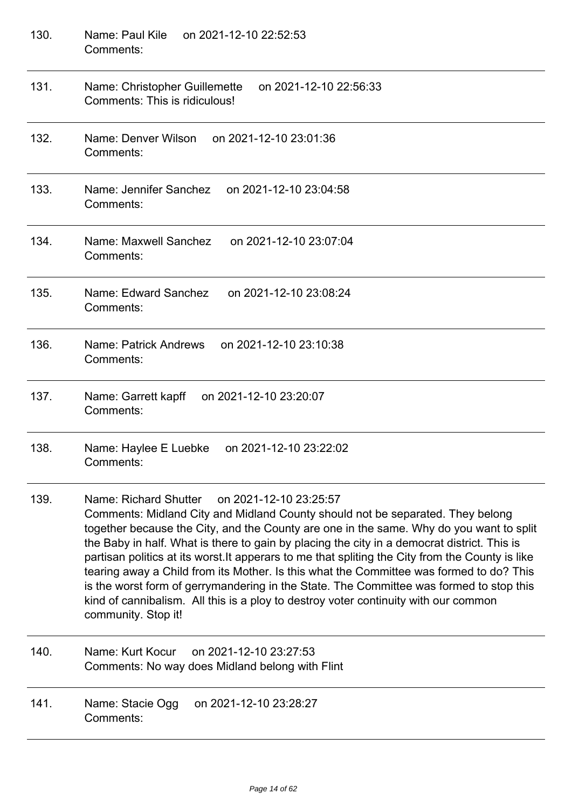| 130. | Name: Paul Kile on 2021-12-10 22:52:53<br>Comments:                                                                                                                                                                                                                                                                                                                                                                                                                                                                                                                                                                                                                                                                                 |
|------|-------------------------------------------------------------------------------------------------------------------------------------------------------------------------------------------------------------------------------------------------------------------------------------------------------------------------------------------------------------------------------------------------------------------------------------------------------------------------------------------------------------------------------------------------------------------------------------------------------------------------------------------------------------------------------------------------------------------------------------|
| 131. | Name: Christopher Guillemette<br>on 2021-12-10 22:56:33<br>Comments: This is ridiculous!                                                                                                                                                                                                                                                                                                                                                                                                                                                                                                                                                                                                                                            |
| 132. | Name: Denver Wilson<br>on 2021-12-10 23:01:36<br>Comments:                                                                                                                                                                                                                                                                                                                                                                                                                                                                                                                                                                                                                                                                          |
| 133. | Name: Jennifer Sanchez<br>on 2021-12-10 23:04:58<br>Comments:                                                                                                                                                                                                                                                                                                                                                                                                                                                                                                                                                                                                                                                                       |
| 134. | Name: Maxwell Sanchez<br>on 2021-12-10 23:07:04<br>Comments:                                                                                                                                                                                                                                                                                                                                                                                                                                                                                                                                                                                                                                                                        |
| 135. | Name: Edward Sanchez<br>on 2021-12-10 23:08:24<br>Comments:                                                                                                                                                                                                                                                                                                                                                                                                                                                                                                                                                                                                                                                                         |
| 136. | Name: Patrick Andrews<br>on 2021-12-10 23:10:38<br>Comments:                                                                                                                                                                                                                                                                                                                                                                                                                                                                                                                                                                                                                                                                        |
| 137. | on 2021-12-10 23:20:07<br>Name: Garrett kapff<br>Comments:                                                                                                                                                                                                                                                                                                                                                                                                                                                                                                                                                                                                                                                                          |
| 138. | on 2021-12-10 23:22:02<br>Name: Haylee E Luebke<br>Comments:                                                                                                                                                                                                                                                                                                                                                                                                                                                                                                                                                                                                                                                                        |
| 139. | Name: Richard Shutter<br>on 2021-12-10 23:25:57<br>Comments: Midland City and Midland County should not be separated. They belong<br>together because the City, and the County are one in the same. Why do you want to split<br>the Baby in half. What is there to gain by placing the city in a democrat district. This is<br>partisan politics at its worst. It apperars to me that spliting the City from the County is like<br>tearing away a Child from its Mother. Is this what the Committee was formed to do? This<br>is the worst form of gerrymandering in the State. The Committee was formed to stop this<br>kind of cannibalism. All this is a ploy to destroy voter continuity with our common<br>community. Stop it! |
| 140. | Name: Kurt Kocur<br>on 2021-12-10 23:27:53<br>Comments: No way does Midland belong with Flint                                                                                                                                                                                                                                                                                                                                                                                                                                                                                                                                                                                                                                       |
| 141. | on 2021-12-10 23:28:27<br>Name: Stacie Ogg<br>Comments:                                                                                                                                                                                                                                                                                                                                                                                                                                                                                                                                                                                                                                                                             |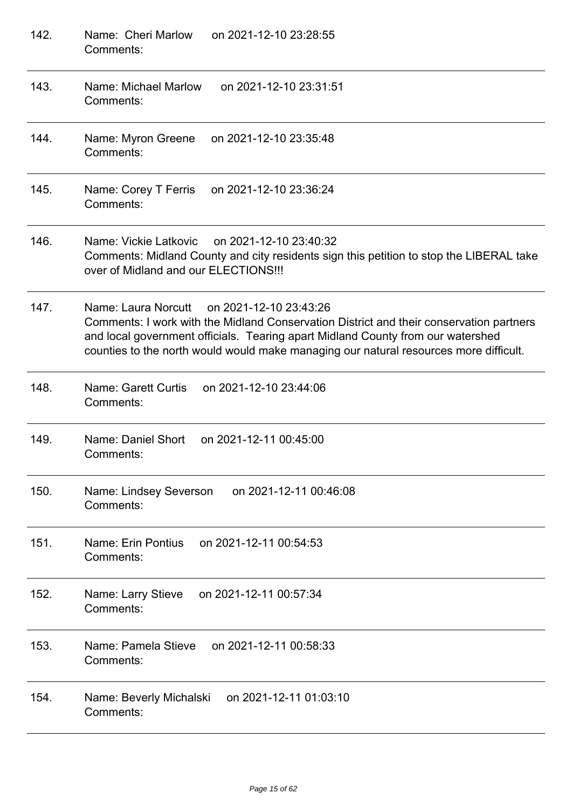| 142. | Name: Cheri Marlow<br>on 2021-12-10 23:28:55<br>Comments:                                                                                                                                                                                                                                                            |
|------|----------------------------------------------------------------------------------------------------------------------------------------------------------------------------------------------------------------------------------------------------------------------------------------------------------------------|
| 143. | Name: Michael Marlow<br>on 2021-12-10 23:31:51<br>Comments:                                                                                                                                                                                                                                                          |
| 144. | on 2021-12-10 23:35:48<br>Name: Myron Greene<br>Comments:                                                                                                                                                                                                                                                            |
| 145. | Name: Corey T Ferris<br>on 2021-12-10 23:36:24<br>Comments:                                                                                                                                                                                                                                                          |
| 146. | Name: Vickie Latkovic<br>on 2021-12-10 23:40:32<br>Comments: Midland County and city residents sign this petition to stop the LIBERAL take<br>over of Midland and our ELECTIONS!!!                                                                                                                                   |
| 147. | Name: Laura Norcutt<br>on 2021-12-10 23:43:26<br>Comments: I work with the Midland Conservation District and their conservation partners<br>and local government officials. Tearing apart Midland County from our watershed<br>counties to the north would would make managing our natural resources more difficult. |
| 148. | Name: Garett Curtis<br>on 2021-12-10 23:44:06<br>Comments:                                                                                                                                                                                                                                                           |
| 149. | Name: Daniel Short<br>on 2021-12-11 00:45:00<br>Comments:                                                                                                                                                                                                                                                            |
| 150. | on 2021-12-11 00:46:08<br>Name: Lindsey Severson<br>Comments:                                                                                                                                                                                                                                                        |
| 151. | Name: Erin Pontius<br>on 2021-12-11 00:54:53<br>Comments:                                                                                                                                                                                                                                                            |
| 152. | on 2021-12-11 00:57:34<br>Name: Larry Stieve<br>Comments:                                                                                                                                                                                                                                                            |
| 153. | Name: Pamela Stieve<br>on 2021-12-11 00:58:33<br>Comments:                                                                                                                                                                                                                                                           |
| 154. | on 2021-12-11 01:03:10<br>Name: Beverly Michalski<br>Comments:                                                                                                                                                                                                                                                       |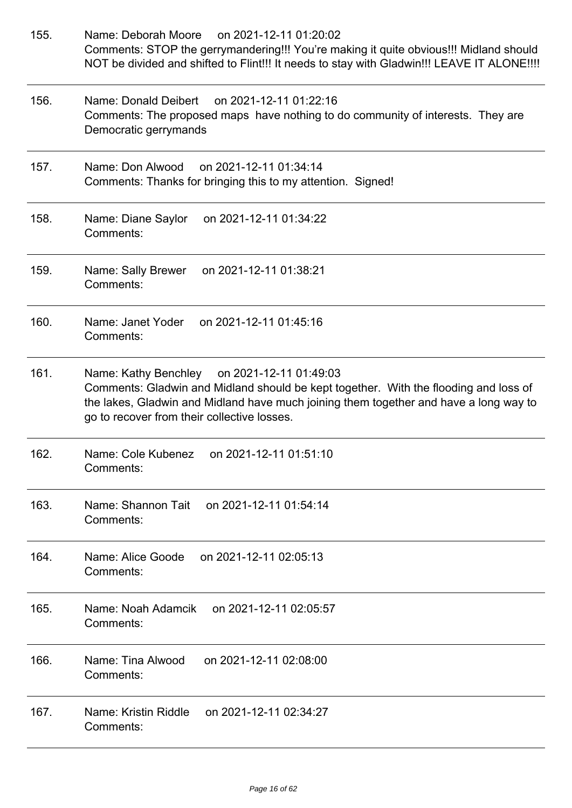| 155. | Name: Deborah Moore<br>on 2021-12-11 01:20:02<br>Comments: STOP the gerrymandering!!! You're making it quite obvious!!! Midland should<br>NOT be divided and shifted to Flint!!! It needs to stay with Gladwin!!! LEAVE IT ALONE!!!!                                        |
|------|-----------------------------------------------------------------------------------------------------------------------------------------------------------------------------------------------------------------------------------------------------------------------------|
| 156. | Name: Donald Deibert on 2021-12-11 01:22:16<br>Comments: The proposed maps have nothing to do community of interests. They are<br>Democratic gerrymands                                                                                                                     |
| 157. | on 2021-12-11 01:34:14<br>Name: Don Alwood<br>Comments: Thanks for bringing this to my attention. Signed!                                                                                                                                                                   |
| 158. | Name: Diane Saylor<br>on 2021-12-11 01:34:22<br>Comments:                                                                                                                                                                                                                   |
| 159. | on 2021-12-11 01:38:21<br>Name: Sally Brewer<br>Comments:                                                                                                                                                                                                                   |
| 160. | Name: Janet Yoder<br>on 2021-12-11 01:45:16<br>Comments:                                                                                                                                                                                                                    |
| 161. | Name: Kathy Benchley on 2021-12-11 01:49:03<br>Comments: Gladwin and Midland should be kept together. With the flooding and loss of<br>the lakes, Gladwin and Midland have much joining them together and have a long way to<br>go to recover from their collective losses. |
| 162. | Name: Cole Kubenez on 2021-12-11 01:51:10<br>Comments:                                                                                                                                                                                                                      |
| 163. | Name: Shannon Tait<br>on 2021-12-11 01:54:14<br>Comments:                                                                                                                                                                                                                   |
| 164. | Name: Alice Goode<br>on 2021-12-11 02:05:13<br>Comments:                                                                                                                                                                                                                    |
| 165. | Name: Noah Adamcik<br>on 2021-12-11 02:05:57<br>Comments:                                                                                                                                                                                                                   |
| 166. | Name: Tina Alwood<br>on 2021-12-11 02:08:00<br>Comments:                                                                                                                                                                                                                    |
| 167. | Name: Kristin Riddle<br>on 2021-12-11 02:34:27<br>Comments:                                                                                                                                                                                                                 |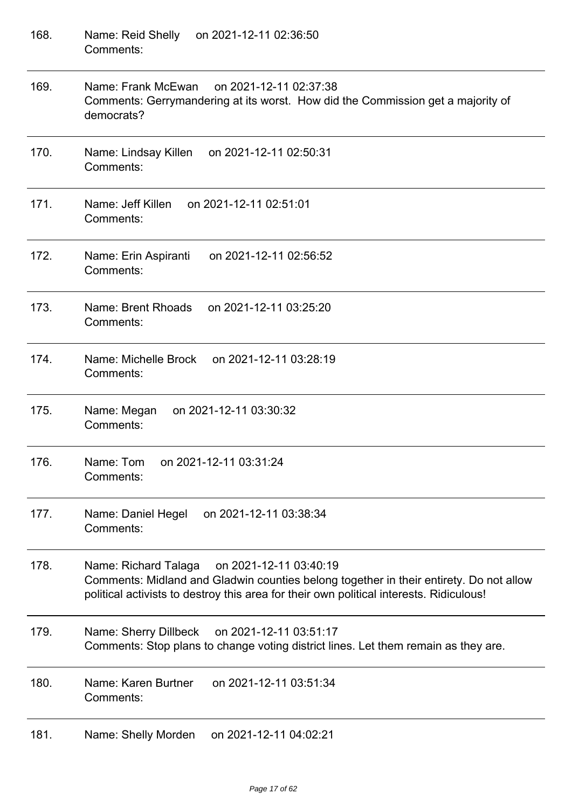| 168. | on 2021-12-11 02:36:50<br>Name: Reid Shelly<br>Comments:                                                                                                                                                                            |
|------|-------------------------------------------------------------------------------------------------------------------------------------------------------------------------------------------------------------------------------------|
| 169. | Name: Frank McEwan<br>on 2021-12-11 02:37:38<br>Comments: Gerrymandering at its worst. How did the Commission get a majority of<br>democrats?                                                                                       |
| 170. | Name: Lindsay Killen<br>on 2021-12-11 02:50:31<br>Comments:                                                                                                                                                                         |
| 171. | Name: Jeff Killen<br>on 2021-12-11 02:51:01<br>Comments:                                                                                                                                                                            |
| 172. | on 2021-12-11 02:56:52<br>Name: Erin Aspiranti<br>Comments:                                                                                                                                                                         |
| 173. | on 2021-12-11 03:25:20<br>Name: Brent Rhoads<br>Comments:                                                                                                                                                                           |
| 174. | on 2021-12-11 03:28:19<br>Name: Michelle Brock<br>Comments:                                                                                                                                                                         |
| 175. | on 2021-12-11 03:30:32<br>Name: Megan<br>Comments:                                                                                                                                                                                  |
| 176. | on 2021-12-11 03:31:24<br>Name: Tom<br>Comments:                                                                                                                                                                                    |
| 177. | on 2021-12-11 03:38:34<br>Name: Daniel Hegel<br>Comments:                                                                                                                                                                           |
| 178. | Name: Richard Talaga<br>on 2021-12-11 03:40:19<br>Comments: Midland and Gladwin counties belong together in their entirety. Do not allow<br>political activists to destroy this area for their own political interests. Ridiculous! |
| 179. | Name: Sherry Dillbeck<br>on 2021-12-11 03:51:17<br>Comments: Stop plans to change voting district lines. Let them remain as they are.                                                                                               |
| 180. | Name: Karen Burtner<br>on 2021-12-11 03:51:34<br>Comments:                                                                                                                                                                          |
| 181. | Name: Shelly Morden<br>on 2021-12-11 04:02:21                                                                                                                                                                                       |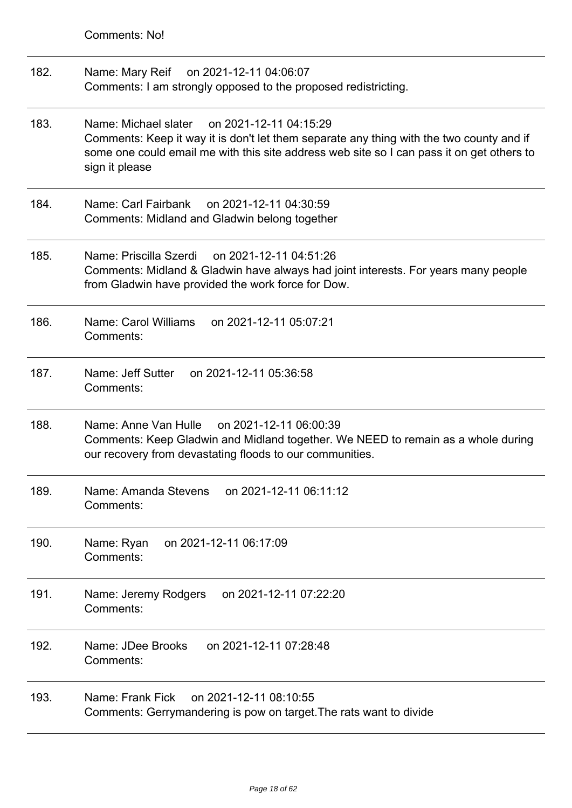| 182. | Name: Mary Reif on 2021-12-11 04:06:07                         |
|------|----------------------------------------------------------------|
|      | Comments: I am strongly opposed to the proposed redistricting. |

- 183. Name: Michael slater on 2021-12-11 04:15:29 Comments: Keep it way it is don't let them separate any thing with the two county and if some one could email me with this site address web site so I can pass it on get others to sign it please
- 184. Name: Carl Fairbank on 2021-12-11 04:30:59 Comments: Midland and Gladwin belong together
- 185. Name: Priscilla Szerdi on 2021-12-11 04:51:26 Comments: Midland & Gladwin have always had joint interests. For years many people from Gladwin have provided the work force for Dow.
- 186. Name: Carol Williams on 2021-12-11 05:07:21 Comments:
- 187. Name: Jeff Sutter on 2021-12-11 05:36:58 Comments:
- 188. Name: Anne Van Hulle on 2021-12-11 06:00:39 Comments: Keep Gladwin and Midland together. We NEED to remain as a whole during our recovery from devastating floods to our communities.
- 189. Name: Amanda Stevens on 2021-12-11 06:11:12 Comments:
- 190. Name: Ryan on 2021-12-11 06:17:09 Comments:
- 191. Name: Jeremy Rodgers on 2021-12-11 07:22:20 Comments:
- 192. Name: JDee Brooks on 2021-12-11 07:28:48 Comments:
- 193. Name: Frank Fick on 2021-12-11 08:10:55 Comments: Gerrymandering is pow on target.The rats want to divide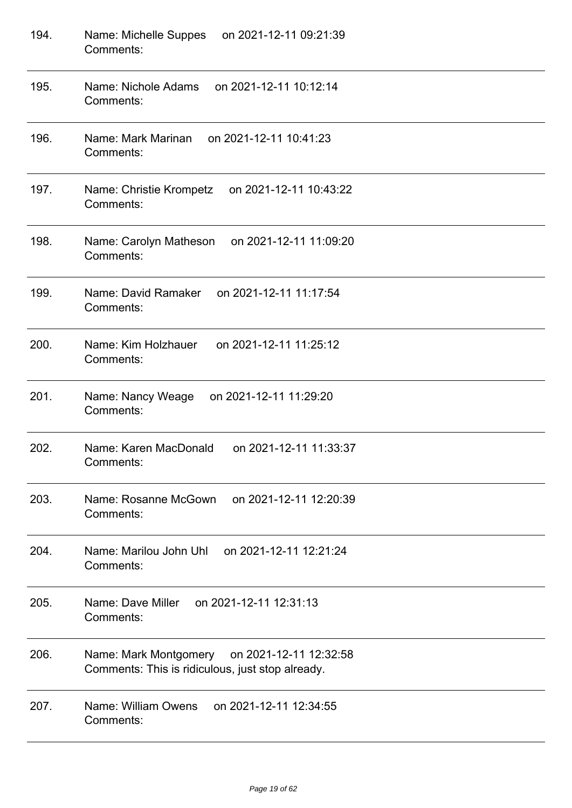| 194. | Name: Michelle Suppes<br>on 2021-12-11 09:21:39<br>Comments:                                        |
|------|-----------------------------------------------------------------------------------------------------|
| 195. | Name: Nichole Adams<br>on 2021-12-11 10:12:14<br>Comments:                                          |
| 196. | Name: Mark Marinan<br>on 2021-12-11 10:41:23<br>Comments:                                           |
| 197. | Name: Christie Krompetz<br>on 2021-12-11 10:43:22<br>Comments:                                      |
| 198. | on 2021-12-11 11:09:20<br>Name: Carolyn Matheson<br>Comments:                                       |
| 199. | Name: David Ramaker<br>on 2021-12-11 11:17:54<br>Comments:                                          |
| 200. | Name: Kim Holzhauer<br>on 2021-12-11 11:25:12<br>Comments:                                          |
| 201. | Name: Nancy Weage<br>on 2021-12-11 11:29:20<br>Comments:                                            |
| 202. | Name: Karen MacDonald<br>on 2021-12-11 11:33:37<br>Comments:                                        |
| 203. | Name: Rosanne McGown<br>on 2021-12-11 12:20:39<br>Comments:                                         |
| 204. | Name: Marilou John Uhl<br>on 2021-12-11 12:21:24<br>Comments:                                       |
| 205. | on 2021-12-11 12:31:13<br>Name: Dave Miller<br>Comments:                                            |
| 206. | Name: Mark Montgomery<br>on 2021-12-11 12:32:58<br>Comments: This is ridiculous, just stop already. |
| 207. | Name: William Owens<br>on 2021-12-11 12:34:55<br>Comments:                                          |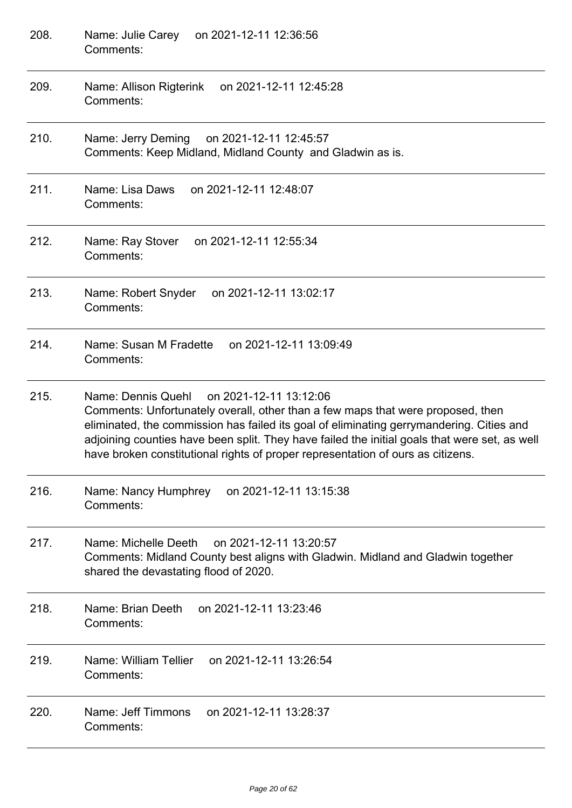| 208. | Name: Julie Carey on 2021-12-11 12:36:56<br>Comments:                                                                                                                                                                                                                                                                                                                                                           |
|------|-----------------------------------------------------------------------------------------------------------------------------------------------------------------------------------------------------------------------------------------------------------------------------------------------------------------------------------------------------------------------------------------------------------------|
| 209. | Name: Allison Rigterink<br>on 2021-12-11 12:45:28<br>Comments:                                                                                                                                                                                                                                                                                                                                                  |
| 210. | Name: Jerry Deming<br>on 2021-12-11 12:45:57<br>Comments: Keep Midland, Midland County and Gladwin as is.                                                                                                                                                                                                                                                                                                       |
| 211. | Name: Lisa Daws<br>on 2021-12-11 12:48:07<br>Comments:                                                                                                                                                                                                                                                                                                                                                          |
| 212. | on 2021-12-11 12:55:34<br>Name: Ray Stover<br>Comments:                                                                                                                                                                                                                                                                                                                                                         |
| 213. | Name: Robert Snyder<br>on 2021-12-11 13:02:17<br>Comments:                                                                                                                                                                                                                                                                                                                                                      |
| 214. | Name: Susan M Fradette<br>on 2021-12-11 13:09:49<br>Comments:                                                                                                                                                                                                                                                                                                                                                   |
| 215. | Name: Dennis Quehl<br>on 2021-12-11 13:12:06<br>Comments: Unfortunately overall, other than a few maps that were proposed, then<br>eliminated, the commission has failed its goal of eliminating gerrymandering. Cities and<br>adjoining counties have been split. They have failed the initial goals that were set, as well<br>have broken constitutional rights of proper representation of ours as citizens. |
| 216. | Name: Nancy Humphrey on 2021-12-11 13:15:38<br>Comments:                                                                                                                                                                                                                                                                                                                                                        |
| 217. | Name: Michelle Deeth<br>on 2021-12-11 13:20:57<br>Comments: Midland County best aligns with Gladwin. Midland and Gladwin together<br>shared the devastating flood of 2020.                                                                                                                                                                                                                                      |
| 218. | Name: Brian Deeth<br>on 2021-12-11 13:23:46<br>Comments:                                                                                                                                                                                                                                                                                                                                                        |
| 219. | Name: William Tellier<br>on 2021-12-11 13:26:54<br>Comments:                                                                                                                                                                                                                                                                                                                                                    |
| 220. | Name: Jeff Timmons<br>on 2021-12-11 13:28:37<br>Comments:                                                                                                                                                                                                                                                                                                                                                       |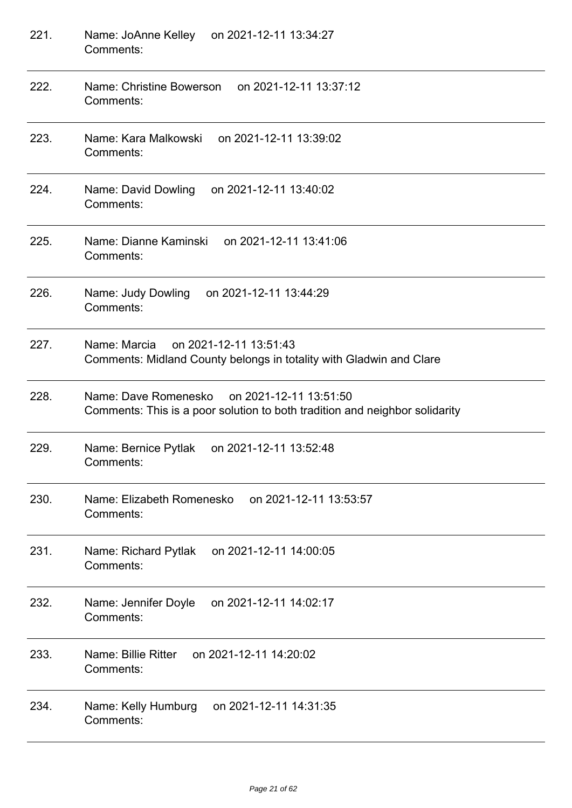| 221. | Name: JoAnne Kelley on 2021-12-11 13:34:27<br>Comments:                                                                    |
|------|----------------------------------------------------------------------------------------------------------------------------|
| 222. | Name: Christine Bowerson<br>on 2021-12-11 13:37:12<br>Comments:                                                            |
| 223. | Name: Kara Malkowski<br>on 2021-12-11 13:39:02<br>Comments:                                                                |
| 224. | Name: David Dowling<br>on 2021-12-11 13:40:02<br>Comments:                                                                 |
| 225. | Name: Dianne Kaminski<br>on 2021-12-11 13:41:06<br>Comments:                                                               |
| 226. | Name: Judy Dowling<br>on 2021-12-11 13:44:29<br>Comments:                                                                  |
| 227. | on 2021-12-11 13:51:43<br>Name: Marcia<br>Comments: Midland County belongs in totality with Gladwin and Clare              |
| 228. | Name: Dave Romenesko on 2021-12-11 13:51:50<br>Comments: This is a poor solution to both tradition and neighbor solidarity |
| 229. | Name: Bernice Pytlak<br>on 2021-12-11 13:52:48<br>Comments:                                                                |
| 230. | Name: Elizabeth Romenesko<br>on 2021-12-11 13:53:57<br>Comments:                                                           |
| 231. | Name: Richard Pytlak<br>on 2021-12-11 14:00:05<br>Comments:                                                                |
| 232. | on 2021-12-11 14:02:17<br>Name: Jennifer Doyle<br>Comments:                                                                |
| 233. | Name: Billie Ritter<br>on 2021-12-11 14:20:02<br>Comments:                                                                 |
| 234. | on 2021-12-11 14:31:35<br>Name: Kelly Humburg<br>Comments:                                                                 |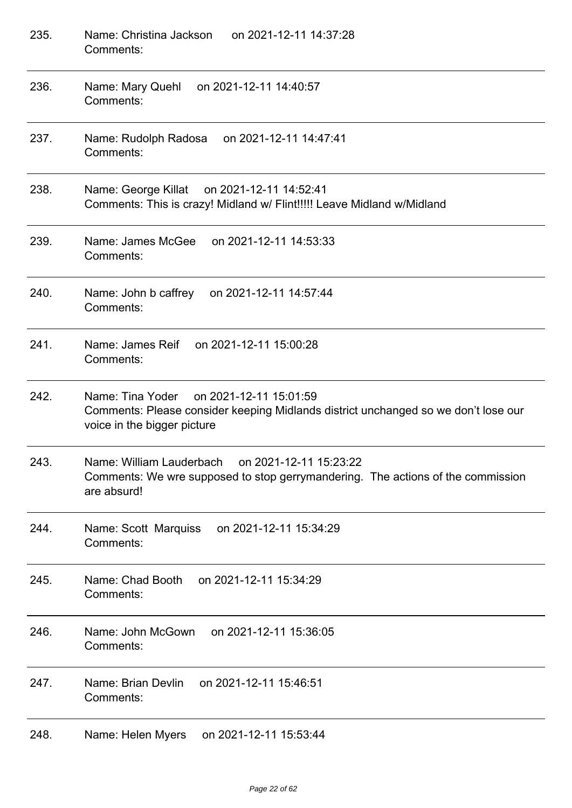| 235. | Name: Christina Jackson<br>on 2021-12-11 14:37:28<br>Comments:                                                                                                  |
|------|-----------------------------------------------------------------------------------------------------------------------------------------------------------------|
| 236. | Name: Mary Quehl<br>on 2021-12-11 14:40:57<br>Comments:                                                                                                         |
| 237. | on 2021-12-11 14:47:41<br>Name: Rudolph Radosa<br>Comments:                                                                                                     |
| 238. | Name: George Killat on 2021-12-11 14:52:41<br>Comments: This is crazy! Midland w/ Flint!!!!! Leave Midland w/Midland                                            |
| 239. | on 2021-12-11 14:53:33<br>Name: James McGee<br>Comments:                                                                                                        |
| 240. | Name: John b caffrey<br>on 2021-12-11 14:57:44<br>Comments:                                                                                                     |
| 241. | Name: James Reif<br>on 2021-12-11 15:00:28<br>Comments:                                                                                                         |
| 242. | on 2021-12-11 15:01:59<br>Name: Tina Yoder<br>Comments: Please consider keeping Midlands district unchanged so we don't lose our<br>voice in the bigger picture |
| 243. | Name: William Lauderbach on 2021-12-11 15:23:22<br>Comments: We wre supposed to stop gerrymandering. The actions of the commission<br>are absurd!               |
| 244. | Name: Scott Marquiss<br>on 2021-12-11 15:34:29<br>Comments:                                                                                                     |
| 245. | Name: Chad Booth<br>on 2021-12-11 15:34:29<br>Comments:                                                                                                         |
| 246. | Name: John McGown<br>on 2021-12-11 15:36:05<br>Comments:                                                                                                        |
| 247. | Name: Brian Devlin<br>on 2021-12-11 15:46:51<br>Comments:                                                                                                       |
| 248. | Name: Helen Myers<br>on 2021-12-11 15:53:44                                                                                                                     |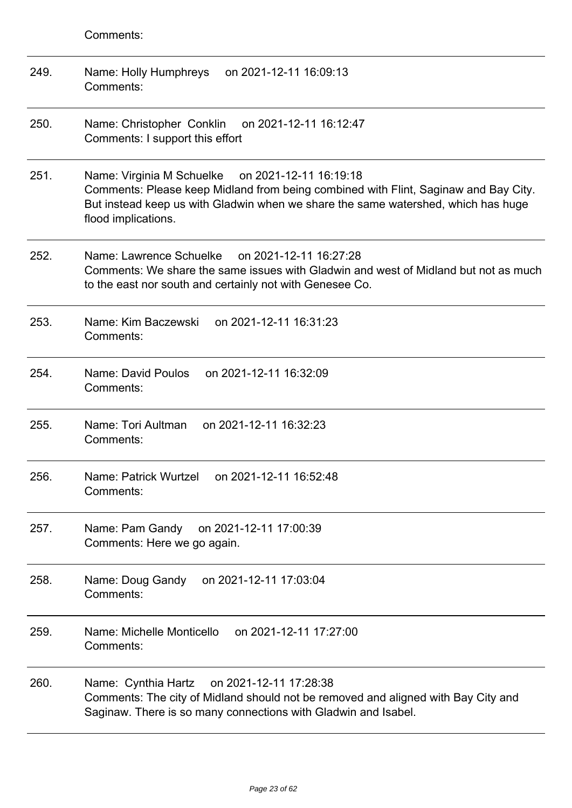| 249. | Name: Holly Humphreys<br>on 2021-12-11 16:09:13<br>Comments:                                                                                                                                                                                           |
|------|--------------------------------------------------------------------------------------------------------------------------------------------------------------------------------------------------------------------------------------------------------|
| 250. | Name: Christopher Conklin<br>on 2021-12-11 16:12:47<br>Comments: I support this effort                                                                                                                                                                 |
| 251. | Name: Virginia M Schuelke<br>on 2021-12-11 16:19:18<br>Comments: Please keep Midland from being combined with Flint, Saginaw and Bay City.<br>But instead keep us with Gladwin when we share the same watershed, which has huge<br>flood implications. |
| 252. | Name: Lawrence Schuelke on 2021-12-11 16:27:28<br>Comments: We share the same issues with Gladwin and west of Midland but not as much<br>to the east nor south and certainly not with Genesee Co.                                                      |
| 253. | Name: Kim Baczewski<br>on 2021-12-11 16:31:23<br>Comments:                                                                                                                                                                                             |
| 254. | Name: David Poulos<br>on 2021-12-11 16:32:09<br>Comments:                                                                                                                                                                                              |
| 255. | Name: Tori Aultman<br>on 2021-12-11 16:32:23<br>Comments:                                                                                                                                                                                              |
| 256. | Name: Patrick Wurtzel<br>on 2021-12-11 16:52:48<br>Comments:                                                                                                                                                                                           |
| 257. | Name: Pam Gandy<br>on 2021-12-11 17:00:39<br>Comments: Here we go again.                                                                                                                                                                               |
| 258. | on 2021-12-11 17:03:04<br>Name: Doug Gandy<br>Comments:                                                                                                                                                                                                |
| 259. | Name: Michelle Monticello<br>on 2021-12-11 17:27:00<br>Comments:                                                                                                                                                                                       |
| 260. | Name: Cynthia Hartz<br>on 2021-12-11 17:28:38<br>Comments: The city of Midland should not be removed and aligned with Bay City and<br>Saginaw. There is so many connections with Gladwin and Isabel.                                                   |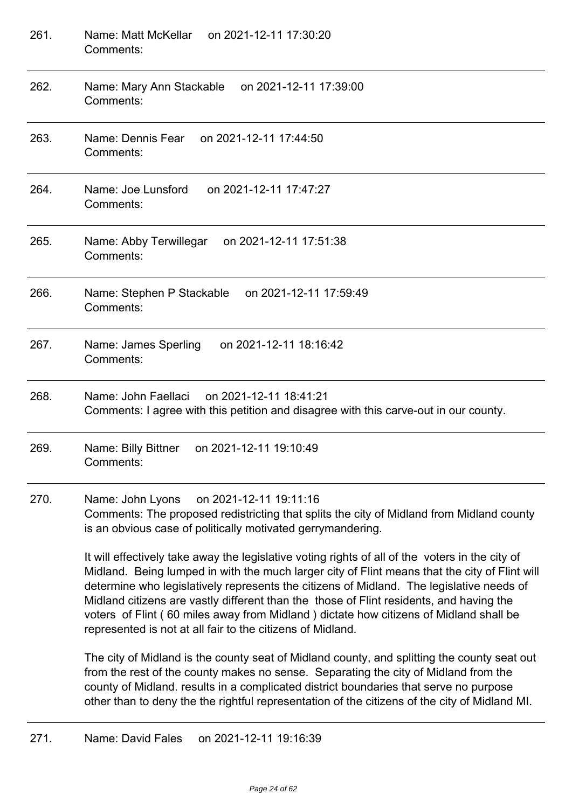| 261. | on 2021-12-11 17:30:20<br>Name: Matt McKellar<br>Comments:                                                                                                                                                                                                                                                                                                                                                                                                                                                                                     |
|------|------------------------------------------------------------------------------------------------------------------------------------------------------------------------------------------------------------------------------------------------------------------------------------------------------------------------------------------------------------------------------------------------------------------------------------------------------------------------------------------------------------------------------------------------|
| 262. | Name: Mary Ann Stackable<br>on 2021-12-11 17:39:00<br>Comments:                                                                                                                                                                                                                                                                                                                                                                                                                                                                                |
| 263. | Name: Dennis Fear<br>on 2021-12-11 17:44:50<br>Comments:                                                                                                                                                                                                                                                                                                                                                                                                                                                                                       |
| 264. | Name: Joe Lunsford<br>on 2021-12-11 17:47:27<br>Comments:                                                                                                                                                                                                                                                                                                                                                                                                                                                                                      |
| 265. | Name: Abby Terwillegar<br>on 2021-12-11 17:51:38<br>Comments:                                                                                                                                                                                                                                                                                                                                                                                                                                                                                  |
| 266. | on 2021-12-11 17:59:49<br>Name: Stephen P Stackable<br>Comments:                                                                                                                                                                                                                                                                                                                                                                                                                                                                               |
| 267. | on 2021-12-11 18:16:42<br>Name: James Sperling<br>Comments:                                                                                                                                                                                                                                                                                                                                                                                                                                                                                    |
| 268. | on 2021-12-11 18:41:21<br>Name: John Faellaci<br>Comments: I agree with this petition and disagree with this carve-out in our county.                                                                                                                                                                                                                                                                                                                                                                                                          |
| 269. | on 2021-12-11 19:10:49<br>Name: Billy Bittner<br>Comments:                                                                                                                                                                                                                                                                                                                                                                                                                                                                                     |
| 270. | Name: John Lyons<br>on 2021-12-11 19:11:16<br>Comments: The proposed redistricting that splits the city of Midland from Midland county<br>is an obvious case of politically motivated gerrymandering.                                                                                                                                                                                                                                                                                                                                          |
|      | It will effectively take away the legislative voting rights of all of the voters in the city of<br>Midland. Being lumped in with the much larger city of Flint means that the city of Flint will<br>determine who legislatively represents the citizens of Midland. The legislative needs of<br>Midland citizens are vastly different than the those of Flint residents, and having the<br>voters of Flint (60 miles away from Midland) dictate how citizens of Midland shall be<br>represented is not at all fair to the citizens of Midland. |
|      | The city of Midland is the county seat of Midland county, and splitting the county seat out<br>from the rest of the county makes no sense. Separating the city of Midland from the<br>county of Midland. results in a complicated district boundaries that serve no purpose                                                                                                                                                                                                                                                                    |

271. Name: David Fales on 2021-12-11 19:16:39

other than to deny the the rightful representation of the citizens of the city of Midland MI.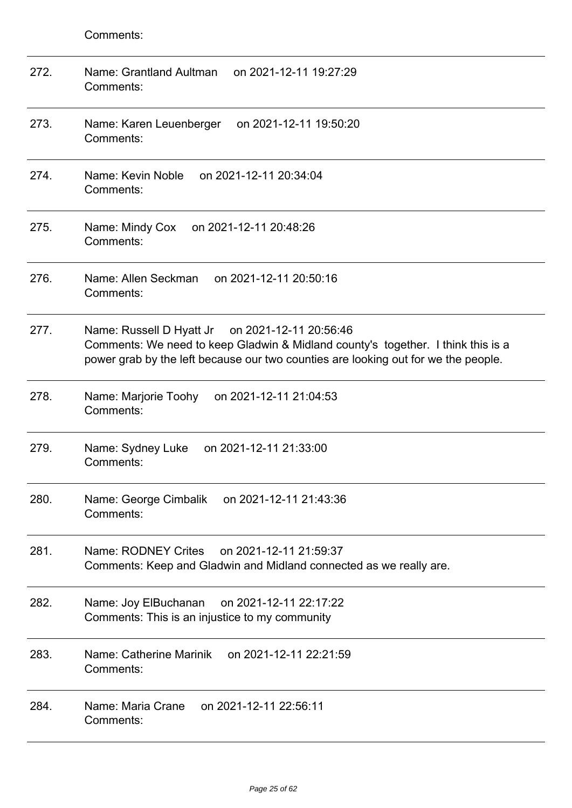| 272. | Name: Grantland Aultman<br>on 2021-12-11 19:27:29<br>Comments:                                                                                                                                                            |
|------|---------------------------------------------------------------------------------------------------------------------------------------------------------------------------------------------------------------------------|
| 273. | on 2021-12-11 19:50:20<br>Name: Karen Leuenberger<br>Comments:                                                                                                                                                            |
| 274. | Name: Kevin Noble<br>on 2021-12-11 20:34:04<br>Comments:                                                                                                                                                                  |
| 275. | on 2021-12-11 20:48:26<br>Name: Mindy Cox<br>Comments:                                                                                                                                                                    |
| 276. | Name: Allen Seckman<br>on 2021-12-11 20:50:16<br>Comments:                                                                                                                                                                |
| 277. | Name: Russell D Hyatt Jr on 2021-12-11 20:56:46<br>Comments: We need to keep Gladwin & Midland county's together. I think this is a<br>power grab by the left because our two counties are looking out for we the people. |
| 278. | Name: Marjorie Toohy<br>on 2021-12-11 21:04:53<br>Comments:                                                                                                                                                               |
| 279. | on 2021-12-11 21:33:00<br>Name: Sydney Luke<br>Comments:                                                                                                                                                                  |
| 280. | Name: George Cimbalik<br>on 2021-12-11 21:43:36<br>Comments:                                                                                                                                                              |
| 281. | Name: RODNEY Crites<br>on 2021-12-11 21:59:37<br>Comments: Keep and Gladwin and Midland connected as we really are.                                                                                                       |
| 282. | on 2021-12-11 22:17:22<br>Name: Joy ElBuchanan<br>Comments: This is an injustice to my community                                                                                                                          |
| 283. | Name: Catherine Marinik<br>on 2021-12-11 22:21:59<br>Comments:                                                                                                                                                            |
| 284. | Name: Maria Crane<br>on 2021-12-11 22:56:11<br>Comments:                                                                                                                                                                  |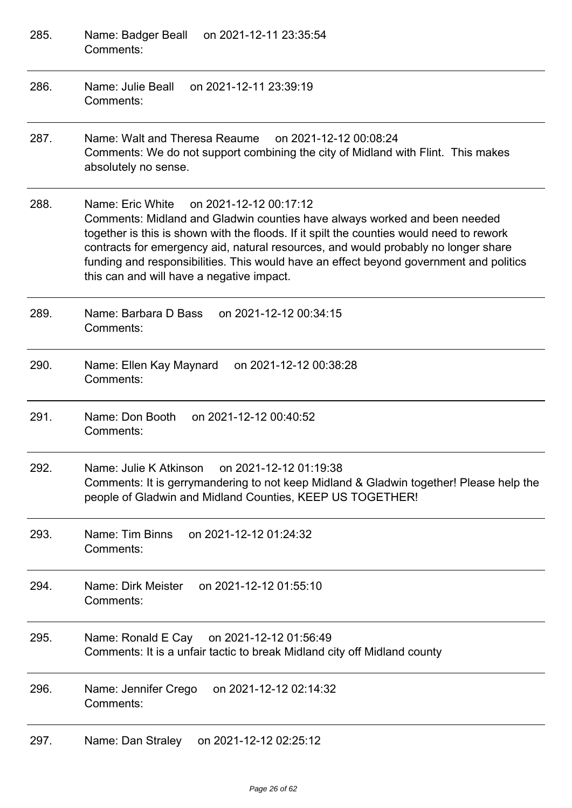| 285. | on 2021-12-11 23:35:54<br>Name: Badger Beall<br>Comments:                                                                                                                                                                                                                                                                                                                                                                                        |
|------|--------------------------------------------------------------------------------------------------------------------------------------------------------------------------------------------------------------------------------------------------------------------------------------------------------------------------------------------------------------------------------------------------------------------------------------------------|
| 286. | Name: Julie Beall<br>on 2021-12-11 23:39:19<br>Comments:                                                                                                                                                                                                                                                                                                                                                                                         |
| 287. | Name: Walt and Theresa Reaume<br>on 2021-12-12 00:08:24<br>Comments: We do not support combining the city of Midland with Flint. This makes<br>absolutely no sense.                                                                                                                                                                                                                                                                              |
| 288. | on 2021-12-12 00:17:12<br>Name: Eric White<br>Comments: Midland and Gladwin counties have always worked and been needed<br>together is this is shown with the floods. If it spilt the counties would need to rework<br>contracts for emergency aid, natural resources, and would probably no longer share<br>funding and responsibilities. This would have an effect beyond government and politics<br>this can and will have a negative impact. |
| 289. | Name: Barbara D Bass<br>on 2021-12-12 00:34:15<br>Comments:                                                                                                                                                                                                                                                                                                                                                                                      |
| 290. | on 2021-12-12 00:38:28<br>Name: Ellen Kay Maynard<br>Comments:                                                                                                                                                                                                                                                                                                                                                                                   |
| 291. | Name: Don Booth<br>on 2021-12-12 00:40:52<br>Comments:                                                                                                                                                                                                                                                                                                                                                                                           |
| 292. | Name: Julie K Atkinson<br>on 2021-12-12 01:19:38<br>Comments: It is gerrymandering to not keep Midland & Gladwin together! Please help the<br>people of Gladwin and Midland Counties, KEEP US TOGETHER!                                                                                                                                                                                                                                          |
| 293. | Name: Tim Binns<br>on 2021-12-12 01:24:32<br>Comments:                                                                                                                                                                                                                                                                                                                                                                                           |
| 294. | Name: Dirk Meister<br>on 2021-12-12 01:55:10<br>Comments:                                                                                                                                                                                                                                                                                                                                                                                        |
| 295. | Name: Ronald E Cay on 2021-12-12 01:56:49<br>Comments: It is a unfair tactic to break Midland city off Midland county                                                                                                                                                                                                                                                                                                                            |
| 296. | Name: Jennifer Crego<br>on 2021-12-12 02:14:32<br>Comments:                                                                                                                                                                                                                                                                                                                                                                                      |
| 297. | Name: Dan Straley<br>on 2021-12-12 02:25:12                                                                                                                                                                                                                                                                                                                                                                                                      |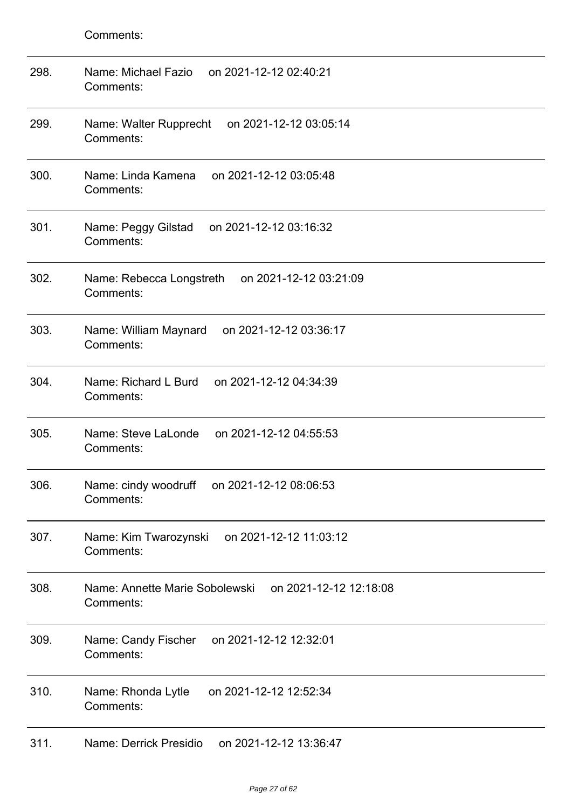| 298. | Name: Michael Fazio<br>on 2021-12-12 02:40:21<br>Comments:            |
|------|-----------------------------------------------------------------------|
| 299. | Name: Walter Rupprecht<br>on 2021-12-12 03:05:14<br>Comments:         |
| 300. | Name: Linda Kamena<br>on 2021-12-12 03:05:48<br>Comments:             |
| 301. | Name: Peggy Gilstad<br>on 2021-12-12 03:16:32<br>Comments:            |
| 302. | on 2021-12-12 03:21:09<br>Name: Rebecca Longstreth<br>Comments:       |
| 303. | on 2021-12-12 03:36:17<br>Name: William Maynard<br>Comments:          |
| 304. | Name: Richard L Burd<br>on 2021-12-12 04:34:39<br>Comments:           |
| 305. | Name: Steve LaLonde<br>on 2021-12-12 04:55:53<br>Comments:            |
| 306. | Name: cindy woodruff on 2021-12-12 08:06:53<br>Comments:              |
| 307. | Name: Kim Twarozynski<br>on 2021-12-12 11:03:12<br>Comments:          |
| 308. | Name: Annette Marie Sobolewski<br>on 2021-12-12 12:18:08<br>Comments: |
| 309. | on 2021-12-12 12:32:01<br>Name: Candy Fischer<br>Comments:            |
| 310. | Name: Rhonda Lytle<br>on 2021-12-12 12:52:34<br>Comments:             |
| 311. | Name: Derrick Presidio<br>on 2021-12-12 13:36:47                      |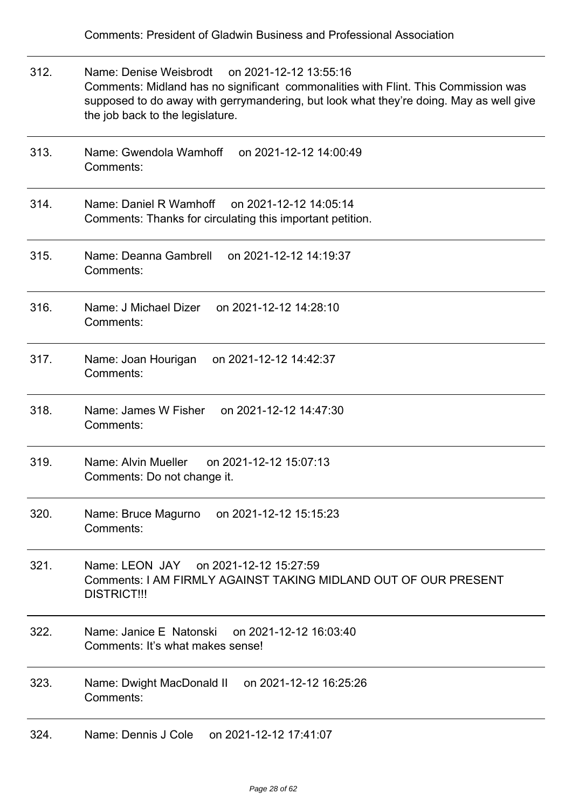312. Name: Denise Weisbrodt on 2021-12-12 13:55:16 Comments: Midland has no significant commonalities with Flint. This Commission was supposed to do away with gerrymandering, but look what they're doing. May as well give the job back to the legislature. 313. Name: Gwendola Wamhoff on 2021-12-12 14:00:49 Comments: 314. Name: Daniel R Wamhoff on 2021-12-12 14:05:14 Comments: Thanks for circulating this important petition. 315. Name: Deanna Gambrell on 2021-12-12 14:19:37 Comments: 316. Name: J Michael Dizer on 2021-12-12 14:28:10 Comments: 317. Name: Joan Hourigan on 2021-12-12 14:42:37 Comments: 318. Name: James W Fisher on 2021-12-12 14:47:30 Comments: 319. Name: Alvin Mueller on 2021-12-12 15:07:13 Comments: Do not change it. 320. Name: Bruce Magurno on 2021-12-12 15:15:23 Comments: 321. Name: LEON JAY on 2021-12-12 15:27:59 Comments: I AM FIRMLY AGAINST TAKING MIDLAND OUT OF OUR PRESENT DISTRICT!!! 322. Name: Janice E Natonski on 2021-12-12 16:03:40 Comments: It's what makes sense! 323. Name: Dwight MacDonald II on 2021-12-12 16:25:26 Comments: 324. Name: Dennis J Cole on 2021-12-12 17:41:07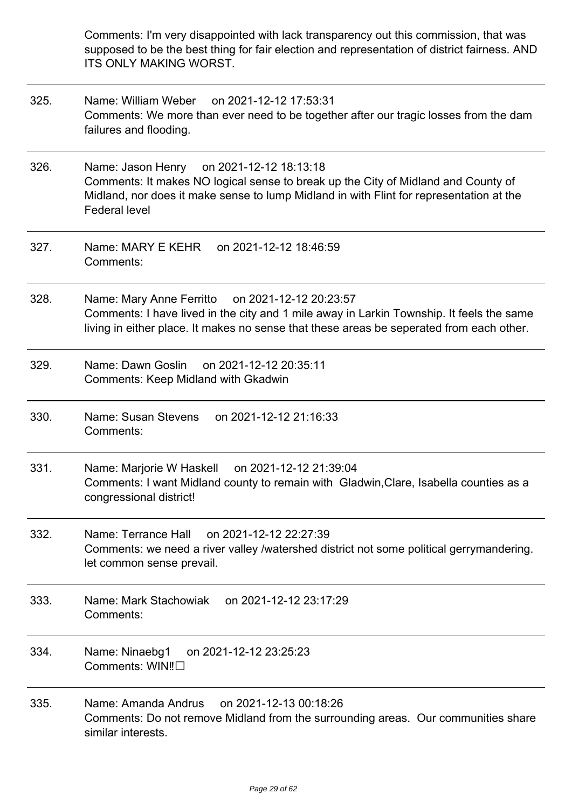Comments: I'm very disappointed with lack transparency out this commission, that was supposed to be the best thing for fair election and representation of district fairness. AND ITS ONLY MAKING WORST.

- 325. Name: William Weber on 2021-12-12 17:53:31 Comments: We more than ever need to be together after our tragic losses from the dam failures and flooding.
- 326. Name: Jason Henry on 2021-12-12 18:13:18 Comments: It makes NO logical sense to break up the City of Midland and County of Midland, nor does it make sense to lump Midland in with Flint for representation at the Federal level
- 327. Name: MARY E KEHR on 2021-12-12 18:46:59 Comments:
- 328. Name: Mary Anne Ferritto on 2021-12-12 20:23:57 Comments: I have lived in the city and 1 mile away in Larkin Township. It feels the same living in either place. It makes no sense that these areas be seperated from each other.
- 329. Name: Dawn Goslin on 2021-12-12 20:35:11 Comments: Keep Midland with Gkadwin
- 330. Name: Susan Stevens on 2021-12-12 21:16:33 Comments:
- 331. Name: Marjorie W Haskell on 2021-12-12 21:39:04 Comments: I want Midland county to remain with Gladwin,Clare, Isabella counties as a congressional district!
- 332. Name: Terrance Hall on 2021-12-12 22:27:39 Comments: we need a river valley /watershed district not some political gerrymandering. let common sense prevail.
- 333. Name: Mark Stachowiak on 2021-12-12 23:17:29 Comments:
- 334. Name: Ninaebg1 on 2021-12-12 23:25:23 Comments: WIN‼️
- 335. Name: Amanda Andrus on 2021-12-13 00:18:26 Comments: Do not remove Midland from the surrounding areas. Our communities share similar interests.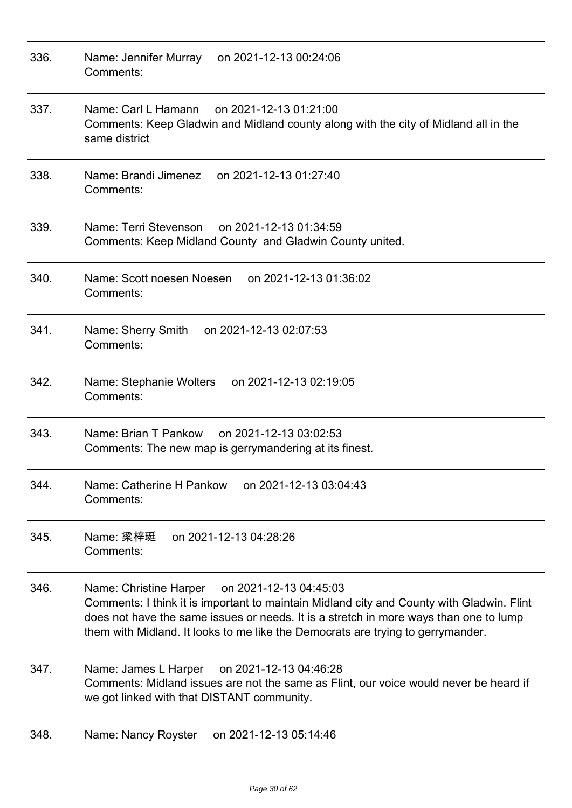| 336. | Name: Jennifer Murray<br>on 2021-12-13 00:24:06<br>Comments:                                                                                                                                                                                                                                                              |
|------|---------------------------------------------------------------------------------------------------------------------------------------------------------------------------------------------------------------------------------------------------------------------------------------------------------------------------|
| 337. | Name: Carl L Hamann<br>on 2021-12-13 01:21:00<br>Comments: Keep Gladwin and Midland county along with the city of Midland all in the<br>same district                                                                                                                                                                     |
| 338. | Name: Brandi Jimenez<br>on 2021-12-13 01:27:40<br>Comments:                                                                                                                                                                                                                                                               |
| 339. | on 2021-12-13 01:34:59<br>Name: Terri Stevenson<br>Comments: Keep Midland County and Gladwin County united.                                                                                                                                                                                                               |
| 340. | on 2021-12-13 01:36:02<br>Name: Scott noesen Noesen<br>Comments:                                                                                                                                                                                                                                                          |
| 341. | Name: Sherry Smith<br>on 2021-12-13 02:07:53<br>Comments:                                                                                                                                                                                                                                                                 |
| 342. | on 2021-12-13 02:19:05<br>Name: Stephanie Wolters<br>Comments:                                                                                                                                                                                                                                                            |
| 343. | Name: Brian T Pankow<br>on 2021-12-13 03:02:53<br>Comments: The new map is gerrymandering at its finest.                                                                                                                                                                                                                  |
| 344. | on 2021-12-13 03:04:43<br>Name: Catherine H Pankow<br>Comments:                                                                                                                                                                                                                                                           |
| 345. | Name: 梁梓珽<br>on 2021-12-13 04:28:26<br>Comments:                                                                                                                                                                                                                                                                          |
| 346. | Name: Christine Harper<br>on 2021-12-13 04:45:03<br>Comments: I think it is important to maintain Midland city and County with Gladwin. Flint<br>does not have the same issues or needs. It is a stretch in more ways than one to lump<br>them with Midland. It looks to me like the Democrats are trying to gerrymander. |
| 347. | Name: James L Harper<br>on 2021-12-13 04:46:28<br>Comments: Midland issues are not the same as Flint, our voice would never be heard if<br>we got linked with that DISTANT community.                                                                                                                                     |
| 348. | Name: Nancy Royster<br>on 2021-12-13 05:14:46                                                                                                                                                                                                                                                                             |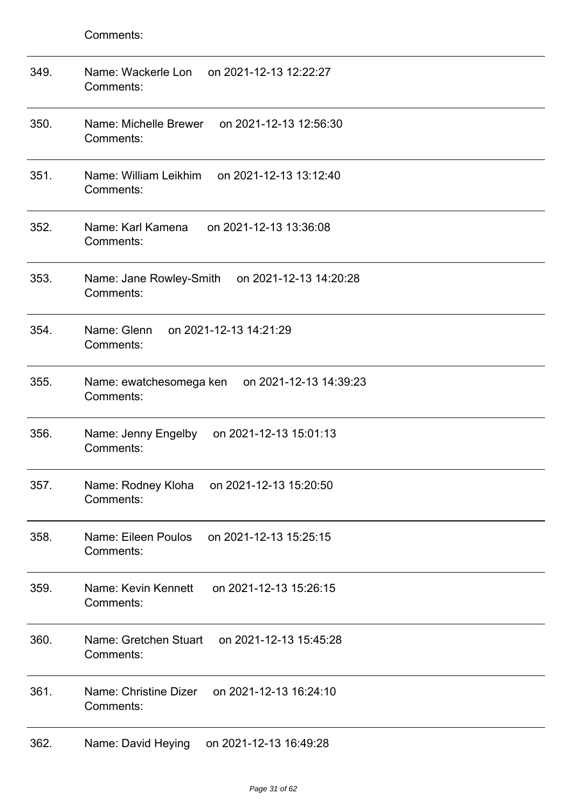| 349. | Name: Wackerle Lon<br>on 2021-12-13 12:22:27<br>Comments:      |
|------|----------------------------------------------------------------|
| 350. | Name: Michelle Brewer<br>on 2021-12-13 12:56:30<br>Comments:   |
| 351. | Name: William Leikhim<br>on 2021-12-13 13:12:40<br>Comments:   |
| 352. | Name: Karl Kamena<br>on 2021-12-13 13:36:08<br>Comments:       |
| 353. | Name: Jane Rowley-Smith<br>on 2021-12-13 14:20:28<br>Comments: |
| 354. | Name: Glenn<br>on 2021-12-13 14:21:29<br>Comments:             |
| 355. | Name: ewatchesomega ken on 2021-12-13 14:39:23<br>Comments:    |
| 356. | Name: Jenny Engelby<br>on 2021-12-13 15:01:13<br>Comments:     |
| 357. | Name: Rodney Kloha on 2021-12-13 15:20:50<br>Comments:         |
| 358. | Name: Eileen Poulos<br>on 2021-12-13 15:25:15<br>Comments:     |
| 359. | Name: Kevin Kennett<br>on 2021-12-13 15:26:15<br>Comments:     |
| 360. | Name: Gretchen Stuart<br>on 2021-12-13 15:45:28<br>Comments:   |
| 361. | Name: Christine Dizer<br>on 2021-12-13 16:24:10<br>Comments:   |
| 362. | Name: David Heying<br>on 2021-12-13 16:49:28                   |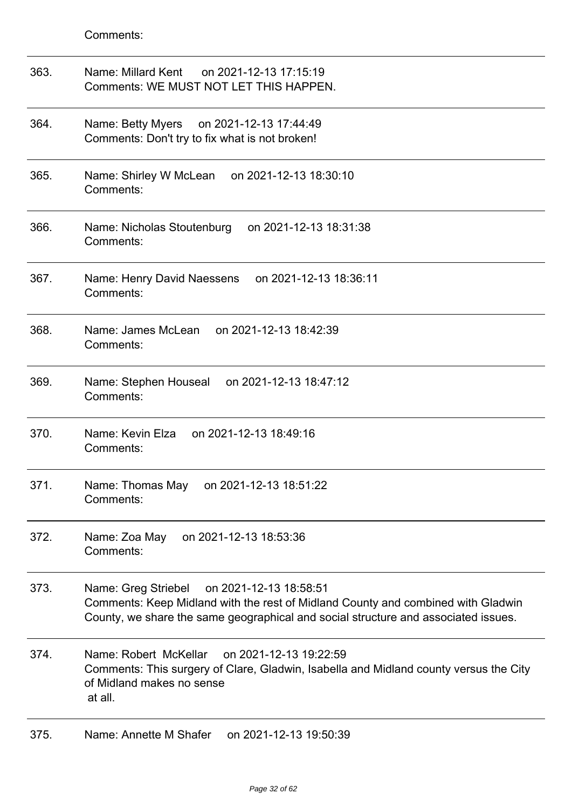| 363. | Name: Millard Kent<br>on 2021-12-13 17:15:19<br>Comments: WE MUST NOT LET THIS HAPPEN.                                                                                                                                  |
|------|-------------------------------------------------------------------------------------------------------------------------------------------------------------------------------------------------------------------------|
| 364. | Name: Betty Myers<br>on 2021-12-13 17:44:49<br>Comments: Don't try to fix what is not broken!                                                                                                                           |
| 365. | on 2021-12-13 18:30:10<br>Name: Shirley W McLean<br>Comments:                                                                                                                                                           |
| 366. | Name: Nicholas Stoutenburg<br>on 2021-12-13 18:31:38<br>Comments:                                                                                                                                                       |
| 367. | Name: Henry David Naessens<br>on 2021-12-13 18:36:11<br>Comments:                                                                                                                                                       |
| 368. | Name: James McLean<br>on 2021-12-13 18:42:39<br>Comments:                                                                                                                                                               |
| 369. | on 2021-12-13 18:47:12<br>Name: Stephen Houseal<br>Comments:                                                                                                                                                            |
| 370. | Name: Kevin Elza<br>on 2021-12-13 18:49:16<br>Comments:                                                                                                                                                                 |
| 371. | Name: Thomas May<br>on 2021-12-13 18:51:22<br>Comments:                                                                                                                                                                 |
| 372. | on 2021-12-13 18:53:36<br>Name: Zoa May<br>Comments:                                                                                                                                                                    |
| 373. | on 2021-12-13 18:58:51<br>Name: Greg Striebel<br>Comments: Keep Midland with the rest of Midland County and combined with Gladwin<br>County, we share the same geographical and social structure and associated issues. |
| 374. | Name: Robert McKellar<br>on 2021-12-13 19:22:59<br>Comments: This surgery of Clare, Gladwin, Isabella and Midland county versus the City<br>of Midland makes no sense<br>at all.                                        |
| 375. | Name: Annette M Shafer<br>on 2021-12-13 19:50:39                                                                                                                                                                        |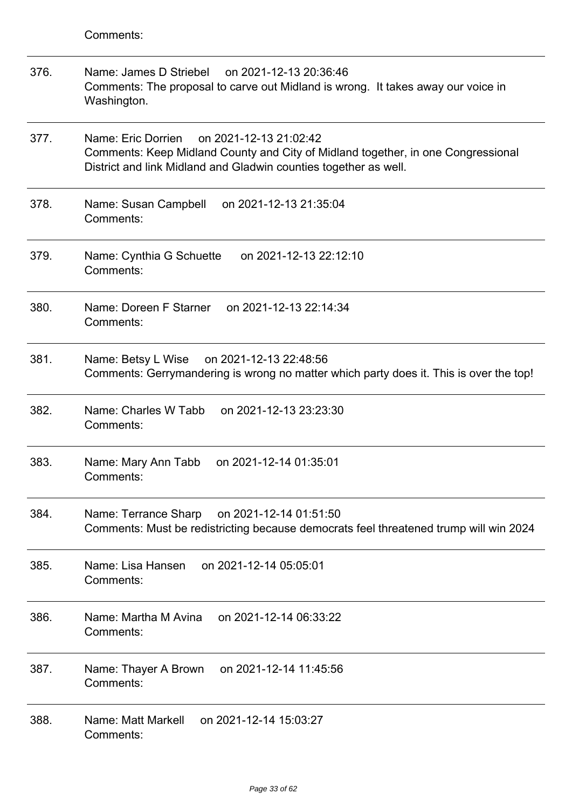- 376. Name: James D Striebel on 2021-12-13 20:36:46 Comments: The proposal to carve out Midland is wrong. It takes away our voice in Washington.
- 377. Name: Eric Dorrien on 2021-12-13 21:02:42 Comments: Keep Midland County and City of Midland together, in one Congressional District and link Midland and Gladwin counties together as well.
- 378. Name: Susan Campbell on 2021-12-13 21:35:04 Comments:
- 379. Name: Cynthia G Schuette on 2021-12-13 22:12:10 Comments:
- 380. Name: Doreen F Starner on 2021-12-13 22:14:34 Comments:
- 381. Name: Betsy L Wise on 2021-12-13 22:48:56 Comments: Gerrymandering is wrong no matter which party does it. This is over the top!
- 382. Name: Charles W Tabb on 2021-12-13 23:23:30 Comments:
- 383. Name: Mary Ann Tabb on 2021-12-14 01:35:01 Comments:
- 384. Name: Terrance Sharp on 2021-12-14 01:51:50 Comments: Must be redistricting because democrats feel threatened trump will win 2024
- 385. Name: Lisa Hansen on 2021-12-14 05:05:01 Comments:
- 386. Name: Martha M Avina on 2021-12-14 06:33:22 Comments:
- 387. Name: Thayer A Brown on 2021-12-14 11:45:56 Comments:
- 388. Name: Matt Markell on 2021-12-14 15:03:27 Comments: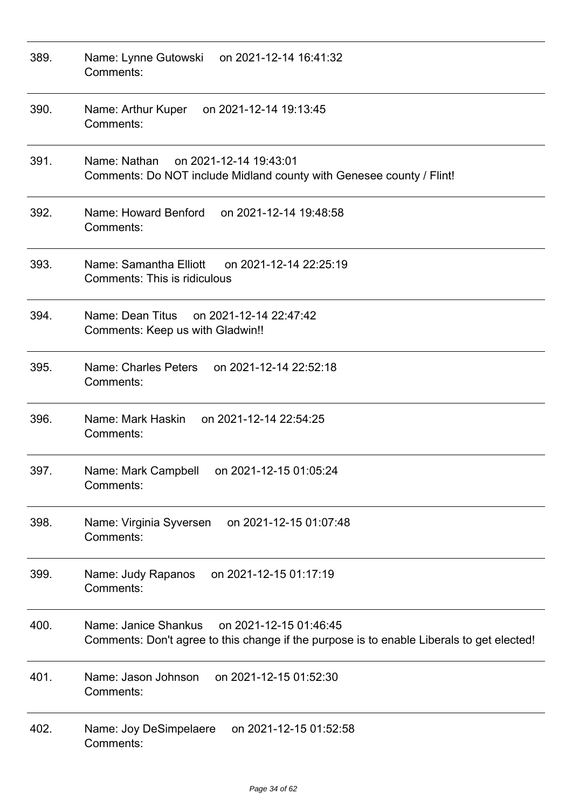| 389. | Name: Lynne Gutowski<br>on 2021-12-14 16:41:32<br>Comments:                                                                                 |
|------|---------------------------------------------------------------------------------------------------------------------------------------------|
| 390. | Name: Arthur Kuper on 2021-12-14 19:13:45<br>Comments:                                                                                      |
| 391. | on 2021-12-14 19:43:01<br>Name: Nathan<br>Comments: Do NOT include Midland county with Genesee county / Flint!                              |
| 392. | Name: Howard Benford<br>on 2021-12-14 19:48:58<br>Comments:                                                                                 |
| 393. | Name: Samantha Elliott<br>on 2021-12-14 22:25:19<br><b>Comments: This is ridiculous</b>                                                     |
| 394. | Name: Dean Titus on 2021-12-14 22:47:42<br>Comments: Keep us with Gladwin!!                                                                 |
| 395. | Name: Charles Peters<br>on 2021-12-14 22:52:18<br>Comments:                                                                                 |
| 396. | Name: Mark Haskin<br>on 2021-12-14 22:54:25<br>Comments:                                                                                    |
| 397. | Name: Mark Campbell<br>on 2021-12-15 01:05:24<br>Comments:                                                                                  |
| 398. | on 2021-12-15 01:07:48<br>Name: Virginia Syversen<br>Comments:                                                                              |
| 399. | on 2021-12-15 01:17:19<br>Name: Judy Rapanos<br>Comments:                                                                                   |
| 400. | Name: Janice Shankus<br>on 2021-12-15 01:46:45<br>Comments: Don't agree to this change if the purpose is to enable Liberals to get elected! |
| 401. | on 2021-12-15 01:52:30<br>Name: Jason Johnson<br>Comments:                                                                                  |
| 402. | Name: Joy DeSimpelaere<br>on 2021-12-15 01:52:58<br>Comments:                                                                               |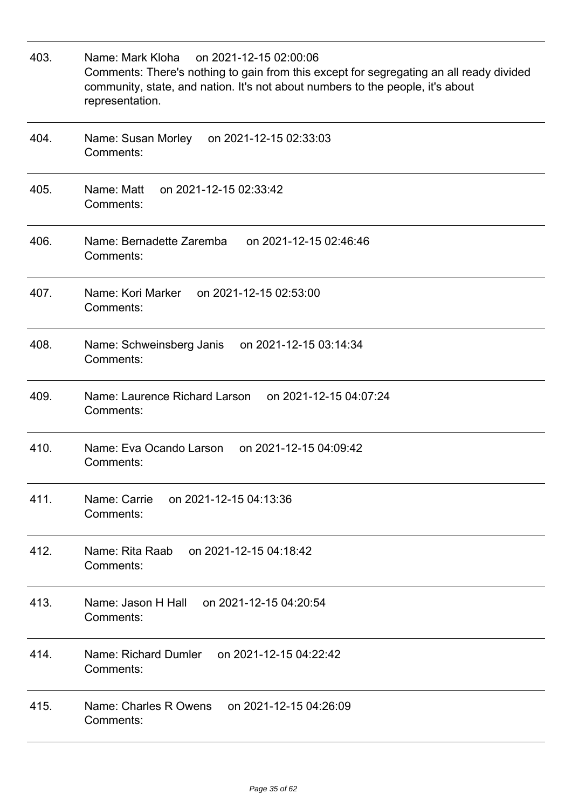| 403. | Name: Mark Kloha<br>on 2021-12-15 02:00:06<br>Comments: There's nothing to gain from this except for segregating an all ready divided<br>community, state, and nation. It's not about numbers to the people, it's about<br>representation. |
|------|--------------------------------------------------------------------------------------------------------------------------------------------------------------------------------------------------------------------------------------------|
| 404. | Name: Susan Morley<br>on 2021-12-15 02:33:03<br>Comments:                                                                                                                                                                                  |
| 405. | Name: Matt<br>on 2021-12-15 02:33:42<br>Comments:                                                                                                                                                                                          |
| 406. | Name: Bernadette Zaremba<br>on 2021-12-15 02:46:46<br>Comments:                                                                                                                                                                            |
| 407. | Name: Kori Marker<br>on 2021-12-15 02:53:00<br>Comments:                                                                                                                                                                                   |
| 408. | on 2021-12-15 03:14:34<br>Name: Schweinsberg Janis<br>Comments:                                                                                                                                                                            |
| 409. | Name: Laurence Richard Larson<br>on 2021-12-15 04:07:24<br>Comments:                                                                                                                                                                       |
| 410. | Name: Eva Ocando Larson<br>on 2021-12-15 04:09:42<br>Comments:                                                                                                                                                                             |
| 411. | Name: Carrie<br>on 2021-12-15 04:13:36<br>Comments:                                                                                                                                                                                        |
| 412. | on 2021-12-15 04:18:42<br>Name: Rita Raab<br>Comments:                                                                                                                                                                                     |
| 413. | Name: Jason H Hall on 2021-12-15 04:20:54<br>Comments:                                                                                                                                                                                     |
| 414. | on 2021-12-15 04:22:42<br>Name: Richard Dumler<br>Comments:                                                                                                                                                                                |
| 415. | Name: Charles R Owens on 2021-12-15 04:26:09<br>Comments:                                                                                                                                                                                  |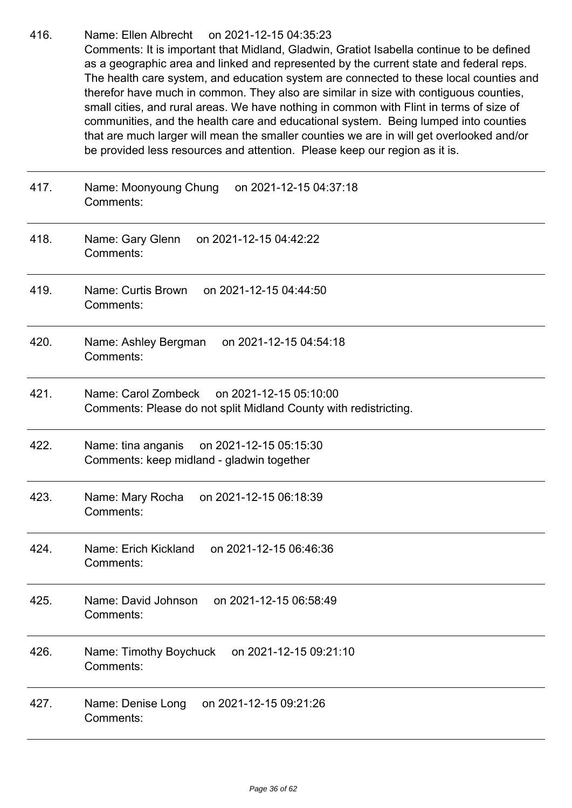416. Name: Ellen Albrecht on 2021-12-15 04:35:23 Comments: It is important that Midland, Gladwin, Gratiot Isabella continue to be defined as a geographic area and linked and represented by the current state and federal reps. The health care system, and education system are connected to these local counties and therefor have much in common. They also are similar in size with contiguous counties, small cities, and rural areas. We have nothing in common with Flint in terms of size of communities, and the health care and educational system. Being lumped into counties that are much larger will mean the smaller counties we are in will get overlooked and/or be provided less resources and attention. Please keep our region as it is.

417. Name: Moonyoung Chung on 2021-12-15 04:37:18

Comments: 418. Name: Gary Glenn on 2021-12-15 04:42:22 Comments: 419. Name: Curtis Brown on 2021-12-15 04:44:50 Comments: 420. Name: Ashley Bergman on 2021-12-15 04:54:18 Comments: 421. Name: Carol Zombeck on 2021-12-15 05:10:00 Comments: Please do not split Midland County with redistricting. 422. Name: tina anganis on 2021-12-15 05:15:30 Comments: keep midland - gladwin together 423. Name: Mary Rocha on 2021-12-15 06:18:39 Comments: 424. Name: Erich Kickland on 2021-12-15 06:46:36 Comments: 425. Name: David Johnson on 2021-12-15 06:58:49 Comments: 426. Name: Timothy Boychuck on 2021-12-15 09:21:10 Comments: 427. Name: Denise Long on 2021-12-15 09:21:26 Comments: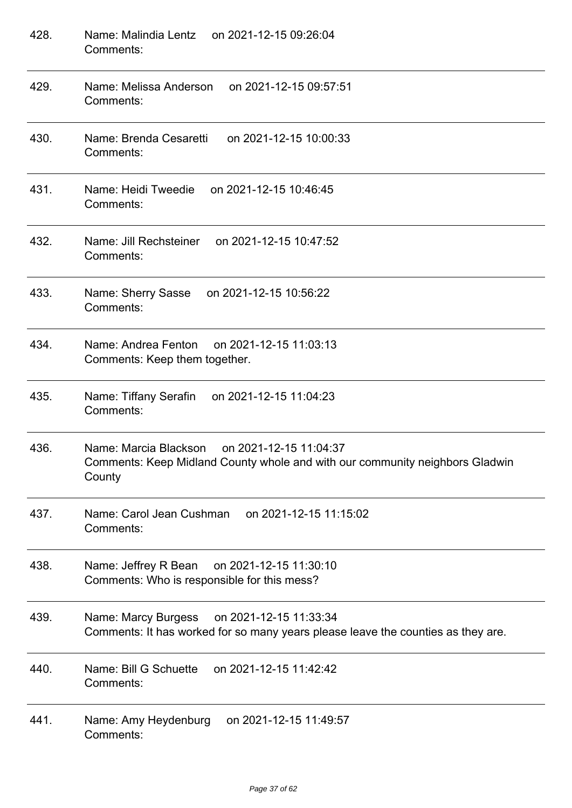| 428. | Name: Malindia Lentz on 2021-12-15 09:26:04<br>Comments:                                                                               |
|------|----------------------------------------------------------------------------------------------------------------------------------------|
| 429. | Name: Melissa Anderson on 2021-12-15 09:57:51<br>Comments:                                                                             |
| 430. | Name: Brenda Cesaretti<br>on 2021-12-15 10:00:33<br>Comments:                                                                          |
| 431. | Name: Heidi Tweedie<br>on 2021-12-15 10:46:45<br>Comments:                                                                             |
| 432. | Name: Jill Rechsteiner<br>on 2021-12-15 10:47:52<br>Comments:                                                                          |
| 433. | Name: Sherry Sasse<br>on 2021-12-15 10:56:22<br>Comments:                                                                              |
| 434. | Name: Andrea Fenton on 2021-12-15 11:03:13<br>Comments: Keep them together.                                                            |
| 435. | Name: Tiffany Serafin<br>on 2021-12-15 11:04:23<br>Comments:                                                                           |
| 436. | Name: Marcia Blackson on 2021-12-15 11:04:37<br>Comments: Keep Midland County whole and with our community neighbors Gladwin<br>County |
| 437. | Name: Carol Jean Cushman<br>on 2021-12-15 11:15:02<br>Comments:                                                                        |
| 438. | Name: Jeffrey R Bean<br>on 2021-12-15 11:30:10<br>Comments: Who is responsible for this mess?                                          |
| 439. | on 2021-12-15 11:33:34<br>Name: Marcy Burgess<br>Comments: It has worked for so many years please leave the counties as they are.      |
| 440. | Name: Bill G Schuette<br>on 2021-12-15 11:42:42<br>Comments:                                                                           |
| 441. | on 2021-12-15 11:49:57<br>Name: Amy Heydenburg<br>Comments:                                                                            |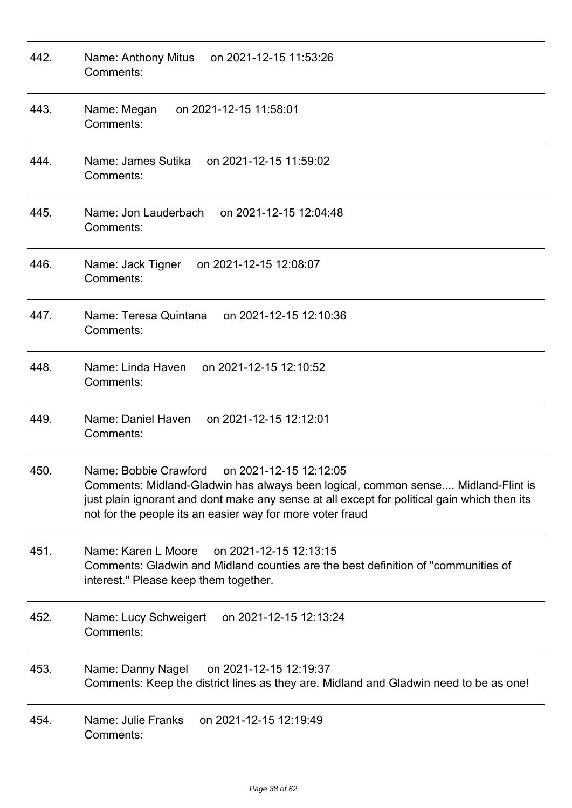| 442. | Name: Anthony Mitus<br>on 2021-12-15 11:53:26<br>Comments:                                                                                                                                                                                                                                      |
|------|-------------------------------------------------------------------------------------------------------------------------------------------------------------------------------------------------------------------------------------------------------------------------------------------------|
| 443. | Name: Megan<br>on 2021-12-15 11:58:01<br>Comments:                                                                                                                                                                                                                                              |
| 444. | Name: James Sutika<br>on 2021-12-15 11:59:02<br>Comments:                                                                                                                                                                                                                                       |
| 445. | Name: Jon Lauderbach<br>on 2021-12-15 12:04:48<br>Comments:                                                                                                                                                                                                                                     |
| 446. | Name: Jack Tigner<br>on 2021-12-15 12:08:07<br>Comments:                                                                                                                                                                                                                                        |
| 447. | Name: Teresa Quintana<br>on 2021-12-15 12:10:36<br>Comments:                                                                                                                                                                                                                                    |
| 448. | Name: Linda Haven<br>on 2021-12-15 12:10:52<br>Comments:                                                                                                                                                                                                                                        |
| 449. | Name: Daniel Haven<br>on 2021-12-15 12:12:01<br>Comments:                                                                                                                                                                                                                                       |
| 450. | Name: Bobbie Crawford<br>on 2021-12-15 12:12:05<br>Comments: Midland-Gladwin has always been logical, common sense Midland-Flint is<br>just plain ignorant and dont make any sense at all except for political gain which then its<br>not for the people its an easier way for more voter fraud |
| 451. | Name: Karen L Moore<br>on 2021-12-15 12:13:15<br>Comments: Gladwin and Midland counties are the best definition of "communities of<br>interest." Please keep them together.                                                                                                                     |
| 452. | on 2021-12-15 12:13:24<br>Name: Lucy Schweigert<br>Comments:                                                                                                                                                                                                                                    |
| 453. | Name: Danny Nagel<br>on 2021-12-15 12:19:37<br>Comments: Keep the district lines as they are. Midland and Gladwin need to be as one!                                                                                                                                                            |
| 454. | on 2021-12-15 12:19:49<br>Name: Julie Franks<br>Comments:                                                                                                                                                                                                                                       |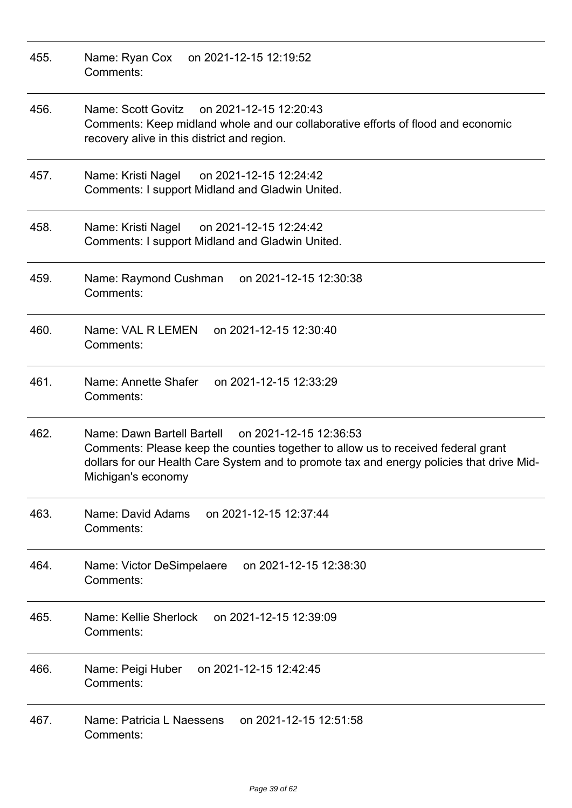| 455. | Name: Ryan Cox<br>on 2021-12-15 12:19:52<br>Comments:                                                                                                                                                                                                        |
|------|--------------------------------------------------------------------------------------------------------------------------------------------------------------------------------------------------------------------------------------------------------------|
| 456. | Name: Scott Govitz on 2021-12-15 12:20:43<br>Comments: Keep midland whole and our collaborative efforts of flood and economic<br>recovery alive in this district and region.                                                                                 |
| 457. | Name: Kristi Nagel<br>on 2021-12-15 12:24:42<br>Comments: I support Midland and Gladwin United.                                                                                                                                                              |
| 458. | on 2021-12-15 12:24:42<br>Name: Kristi Nagel<br>Comments: I support Midland and Gladwin United.                                                                                                                                                              |
| 459. | on 2021-12-15 12:30:38<br>Name: Raymond Cushman<br>Comments:                                                                                                                                                                                                 |
| 460. | Name: VAL R LEMEN<br>on 2021-12-15 12:30:40<br>Comments:                                                                                                                                                                                                     |
| 461. | Name: Annette Shafer<br>on 2021-12-15 12:33:29<br>Comments:                                                                                                                                                                                                  |
| 462. | Name: Dawn Bartell Bartell<br>on 2021-12-15 12:36:53<br>Comments: Please keep the counties together to allow us to received federal grant<br>dollars for our Health Care System and to promote tax and energy policies that drive Mid-<br>Michigan's economy |
| 463. | on 2021-12-15 12:37:44<br>Name: David Adams<br>Comments:                                                                                                                                                                                                     |
| 464. | on 2021-12-15 12:38:30<br>Name: Victor DeSimpelaere<br>Comments:                                                                                                                                                                                             |
| 465. | Name: Kellie Sherlock<br>on 2021-12-15 12:39:09<br>Comments:                                                                                                                                                                                                 |
| 466. | on 2021-12-15 12:42:45<br>Name: Peigi Huber<br>Comments:                                                                                                                                                                                                     |
| 467. | Name: Patricia L Naessens<br>on 2021-12-15 12:51:58<br>Comments:                                                                                                                                                                                             |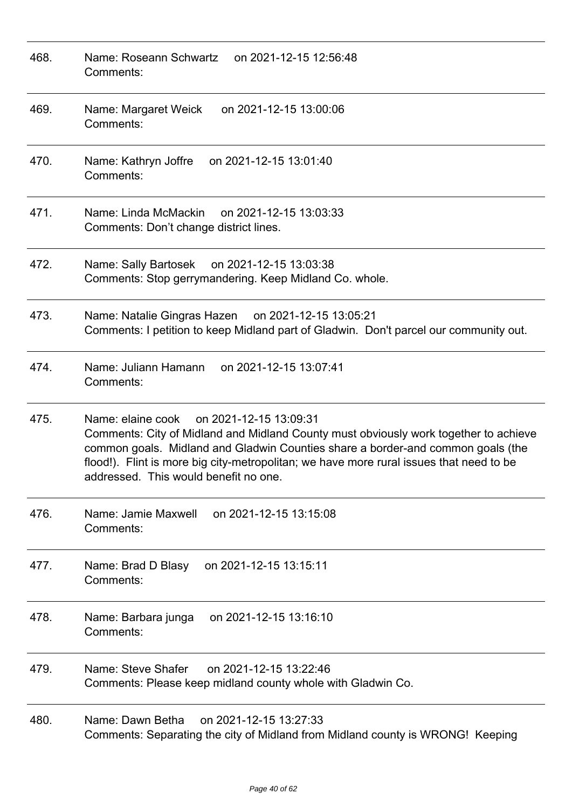| 468. | Name: Roseann Schwartz<br>on 2021-12-15 12:56:48<br>Comments:                                                                                                                                                                                                                                                                                              |
|------|------------------------------------------------------------------------------------------------------------------------------------------------------------------------------------------------------------------------------------------------------------------------------------------------------------------------------------------------------------|
| 469. | Name: Margaret Weick<br>on 2021-12-15 13:00:06<br>Comments:                                                                                                                                                                                                                                                                                                |
| 470. | on 2021-12-15 13:01:40<br>Name: Kathryn Joffre<br>Comments:                                                                                                                                                                                                                                                                                                |
| 471. | Name: Linda McMackin<br>on 2021-12-15 13:03:33<br>Comments: Don't change district lines.                                                                                                                                                                                                                                                                   |
| 472. | Name: Sally Bartosek<br>on 2021-12-15 13:03:38<br>Comments: Stop gerrymandering. Keep Midland Co. whole.                                                                                                                                                                                                                                                   |
| 473. | Name: Natalie Gingras Hazen on 2021-12-15 13:05:21<br>Comments: I petition to keep Midland part of Gladwin. Don't parcel our community out.                                                                                                                                                                                                                |
| 474. | Name: Juliann Hamann<br>on 2021-12-15 13:07:41<br>Comments:                                                                                                                                                                                                                                                                                                |
| 475. | Name: elaine cook<br>on 2021-12-15 13:09:31<br>Comments: City of Midland and Midland County must obviously work together to achieve<br>common goals. Midland and Gladwin Counties share a border-and common goals (the<br>flood!). Flint is more big city-metropolitan; we have more rural issues that need to be<br>addressed. This would benefit no one. |
| 476. | Name: Jamie Maxwell<br>on 2021-12-15 13:15:08<br>Comments:                                                                                                                                                                                                                                                                                                 |
| 477. | Name: Brad D Blasy<br>on 2021-12-15 13:15:11<br>Comments:                                                                                                                                                                                                                                                                                                  |
| 478. | on 2021-12-15 13:16:10<br>Name: Barbara junga<br>Comments:                                                                                                                                                                                                                                                                                                 |
| 479. | Name: Steve Shafer<br>on 2021-12-15 13:22:46<br>Comments: Please keep midland county whole with Gladwin Co.                                                                                                                                                                                                                                                |
| 480. | on 2021-12-15 13:27:33<br>Name: Dawn Betha<br>Comments: Separating the city of Midland from Midland county is WRONG! Keeping                                                                                                                                                                                                                               |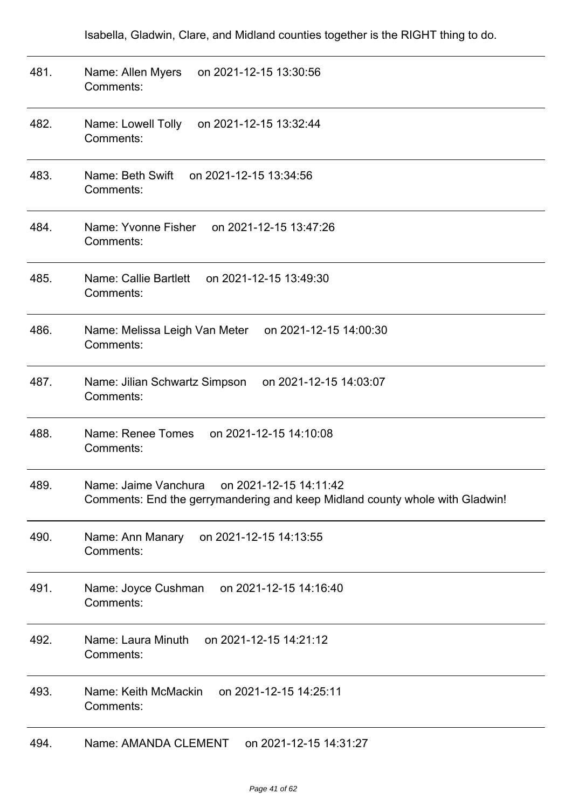Isabella, Gladwin, Clare, and Midland counties together is the RIGHT thing to do.

| 481. | on 2021-12-15 13:30:56<br>Name: Allen Myers<br>Comments:                                                                       |
|------|--------------------------------------------------------------------------------------------------------------------------------|
| 482. | Name: Lowell Tolly<br>on 2021-12-15 13:32:44<br>Comments:                                                                      |
| 483. | on 2021-12-15 13:34:56<br>Name: Beth Swift<br>Comments:                                                                        |
| 484. | Name: Yvonne Fisher<br>on 2021-12-15 13:47:26<br>Comments:                                                                     |
| 485. | Name: Callie Bartlett<br>on 2021-12-15 13:49:30<br>Comments:                                                                   |
| 486. | Name: Melissa Leigh Van Meter<br>on 2021-12-15 14:00:30<br>Comments:                                                           |
| 487. | on 2021-12-15 14:03:07<br>Name: Jilian Schwartz Simpson<br>Comments:                                                           |
| 488. | Name: Renee Tomes<br>on 2021-12-15 14:10:08<br>Comments:                                                                       |
| 489. | on 2021-12-15 14:11:42<br>Name: Jaime Vanchura<br>Comments: End the gerrymandering and keep Midland county whole with Gladwin! |
| 490. | on 2021-12-15 14:13:55<br>Name: Ann Manary<br>Comments:                                                                        |
| 491. | Name: Joyce Cushman<br>on 2021-12-15 14:16:40<br>Comments:                                                                     |
| 492. | Name: Laura Minuth<br>on 2021-12-15 14:21:12<br>Comments:                                                                      |
| 493. | Name: Keith McMackin<br>on 2021-12-15 14:25:11<br>Comments:                                                                    |
| 494. | Name: AMANDA CLEMENT<br>on 2021-12-15 14:31:27                                                                                 |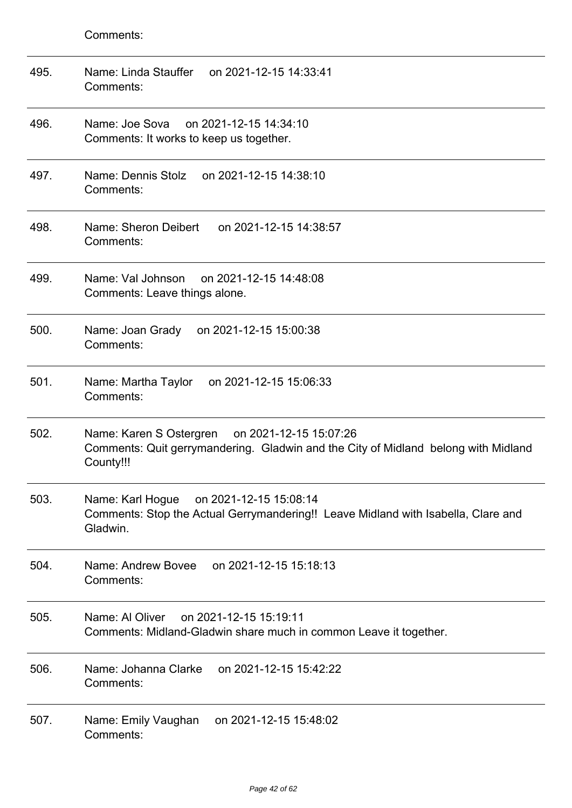| 495. | on 2021-12-15 14:33:41<br>Name: Linda Stauffer<br>Comments:                                                                                       |
|------|---------------------------------------------------------------------------------------------------------------------------------------------------|
| 496. | Name: Joe Sova<br>on 2021-12-15 14:34:10<br>Comments: It works to keep us together.                                                               |
| 497. | Name: Dennis Stolz on 2021-12-15 14:38:10<br>Comments:                                                                                            |
| 498. | Name: Sheron Deibert<br>on 2021-12-15 14:38:57<br>Comments:                                                                                       |
| 499. | Name: Val Johnson on 2021-12-15 14:48:08<br>Comments: Leave things alone.                                                                         |
| 500. | Name: Joan Grady<br>on 2021-12-15 15:00:38<br>Comments:                                                                                           |
| 501. | on 2021-12-15 15:06:33<br>Name: Martha Taylor<br>Comments:                                                                                        |
| 502. | Name: Karen S Ostergren on 2021-12-15 15:07:26<br>Comments: Quit gerrymandering. Gladwin and the City of Midland belong with Midland<br>County!!! |
| 503. | Name: Karl Hogue<br>on 2021-12-15 15:08:14<br>Comments: Stop the Actual Gerrymandering!! Leave Midland with Isabella, Clare and<br>Gladwin.       |
| 504. | Name: Andrew Bovee<br>on 2021-12-15 15:18:13<br>Comments:                                                                                         |
| 505. | on 2021-12-15 15:19:11<br>Name: Al Oliver<br>Comments: Midland-Gladwin share much in common Leave it together.                                    |
| 506. | Name: Johanna Clarke<br>on 2021-12-15 15:42:22<br>Comments:                                                                                       |
| 507. | on 2021-12-15 15:48:02<br>Name: Emily Vaughan<br>Comments:                                                                                        |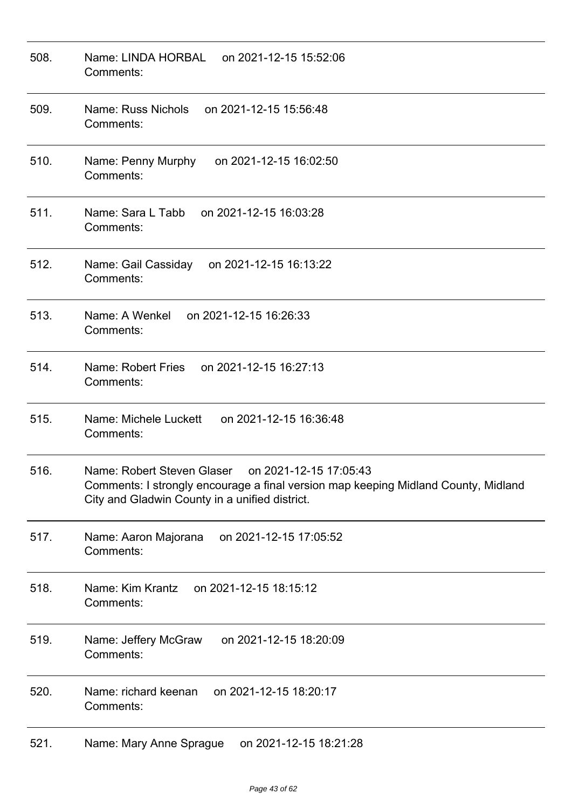| 508. | Name: LINDA HORBAL<br>on 2021-12-15 15:52:06<br>Comments:                                                                                                                                    |
|------|----------------------------------------------------------------------------------------------------------------------------------------------------------------------------------------------|
| 509. | Name: Russ Nichols<br>on 2021-12-15 15:56:48<br>Comments:                                                                                                                                    |
| 510. | Name: Penny Murphy<br>on 2021-12-15 16:02:50<br>Comments:                                                                                                                                    |
| 511. | Name: Sara L Tabb on 2021-12-15 16:03:28<br>Comments:                                                                                                                                        |
| 512. | Name: Gail Cassiday<br>on 2021-12-15 16:13:22<br>Comments:                                                                                                                                   |
| 513. | Name: A Wenkel on 2021-12-15 16:26:33<br>Comments:                                                                                                                                           |
| 514. | Name: Robert Fries<br>on 2021-12-15 16:27:13<br>Comments:                                                                                                                                    |
| 515. | Name: Michele Luckett<br>on 2021-12-15 16:36:48<br>Comments:                                                                                                                                 |
| 516. | Name: Robert Steven Glaser<br>on 2021-12-15 17:05:43<br>Comments: I strongly encourage a final version map keeping Midland County, Midland<br>City and Gladwin County in a unified district. |
| 517. | on 2021-12-15 17:05:52<br>Name: Aaron Majorana<br>Comments:                                                                                                                                  |
| 518. | Name: Kim Krantz<br>on 2021-12-15 18:15:12<br>Comments:                                                                                                                                      |
| 519. | on 2021-12-15 18:20:09<br>Name: Jeffery McGraw<br>Comments:                                                                                                                                  |
| 520. | on 2021-12-15 18:20:17<br>Name: richard keenan<br>Comments:                                                                                                                                  |
| 521. | on 2021-12-15 18:21:28<br>Name: Mary Anne Sprague                                                                                                                                            |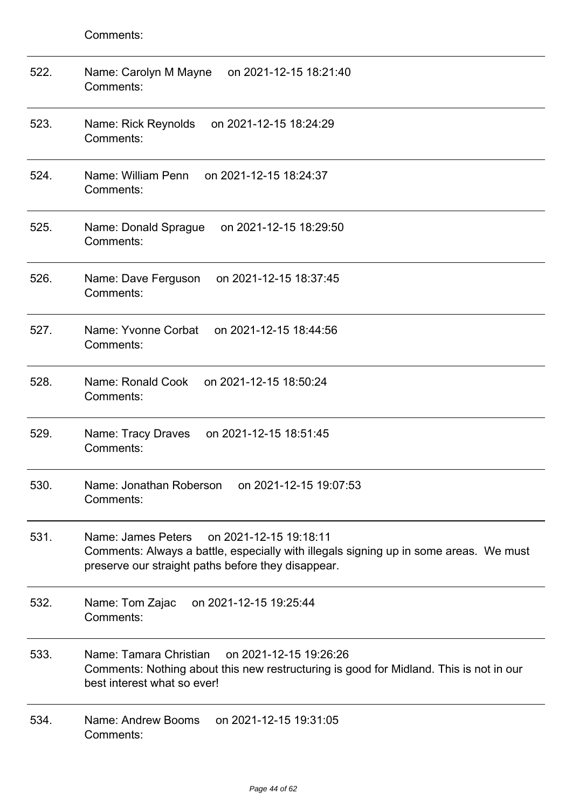| 522. | Name: Carolyn M Mayne<br>on 2021-12-15 18:21:40<br>Comments:                                                                                                                                |
|------|---------------------------------------------------------------------------------------------------------------------------------------------------------------------------------------------|
| 523. | Name: Rick Reynolds<br>on 2021-12-15 18:24:29<br>Comments:                                                                                                                                  |
| 524. | Name: William Penn<br>on 2021-12-15 18:24:37<br>Comments:                                                                                                                                   |
| 525. | Name: Donald Sprague<br>on 2021-12-15 18:29:50<br>Comments:                                                                                                                                 |
| 526. | on 2021-12-15 18:37:45<br>Name: Dave Ferguson<br>Comments:                                                                                                                                  |
| 527. | Name: Yvonne Corbat<br>on 2021-12-15 18:44:56<br>Comments:                                                                                                                                  |
| 528. | on 2021-12-15 18:50:24<br>Name: Ronald Cook<br>Comments:                                                                                                                                    |
| 529. | Name: Tracy Draves<br>on 2021-12-15 18:51:45<br>Comments:                                                                                                                                   |
| 530. | Name: Jonathan Roberson<br>on 2021-12-15 19:07:53<br>Comments:                                                                                                                              |
| 531. | Name: James Peters<br>on 2021-12-15 19:18:11<br>Comments: Always a battle, especially with illegals signing up in some areas. We must<br>preserve our straight paths before they disappear. |
| 532. | on 2021-12-15 19:25:44<br>Name: Tom Zajac<br>Comments:                                                                                                                                      |
| 533. | Name: Tamara Christian<br>on 2021-12-15 19:26:26<br>Comments: Nothing about this new restructuring is good for Midland. This is not in our<br>best interest what so ever!                   |
| 534. | Name: Andrew Booms<br>on 2021-12-15 19:31:05<br>Comments:                                                                                                                                   |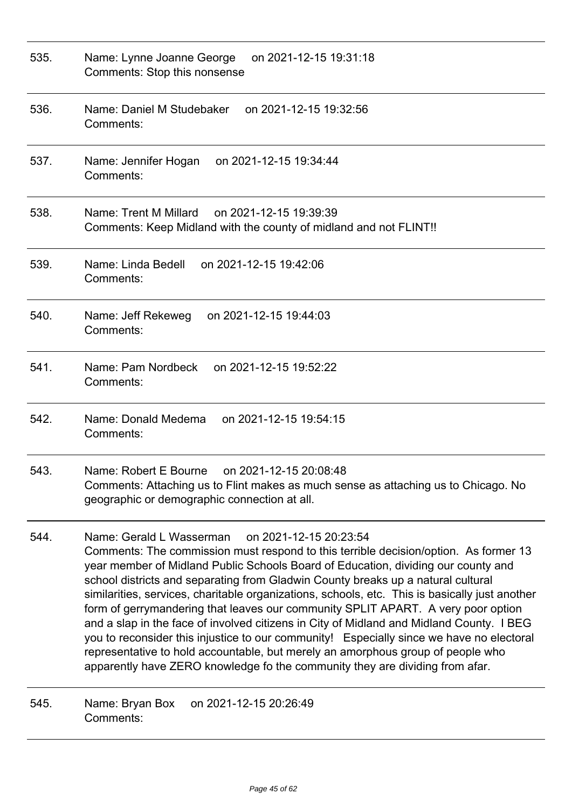| 535. | on 2021-12-15 19:31:18<br>Name: Lynne Joanne George<br>Comments: Stop this nonsense                                                                                                                                                                                                                                                                                                                                                                                                                                                                                                                                                                                                                                                                                                                                                                                  |
|------|----------------------------------------------------------------------------------------------------------------------------------------------------------------------------------------------------------------------------------------------------------------------------------------------------------------------------------------------------------------------------------------------------------------------------------------------------------------------------------------------------------------------------------------------------------------------------------------------------------------------------------------------------------------------------------------------------------------------------------------------------------------------------------------------------------------------------------------------------------------------|
| 536. | Name: Daniel M Studebaker<br>on 2021-12-15 19:32:56<br>Comments:                                                                                                                                                                                                                                                                                                                                                                                                                                                                                                                                                                                                                                                                                                                                                                                                     |
| 537. | on 2021-12-15 19:34:44<br>Name: Jennifer Hogan<br>Comments:                                                                                                                                                                                                                                                                                                                                                                                                                                                                                                                                                                                                                                                                                                                                                                                                          |
| 538. | Name: Trent M Millard<br>on 2021-12-15 19:39:39<br>Comments: Keep Midland with the county of midland and not FLINT!!                                                                                                                                                                                                                                                                                                                                                                                                                                                                                                                                                                                                                                                                                                                                                 |
| 539. | Name: Linda Bedell<br>on 2021-12-15 19:42:06<br>Comments:                                                                                                                                                                                                                                                                                                                                                                                                                                                                                                                                                                                                                                                                                                                                                                                                            |
| 540. | Name: Jeff Rekeweg<br>on 2021-12-15 19:44:03<br>Comments:                                                                                                                                                                                                                                                                                                                                                                                                                                                                                                                                                                                                                                                                                                                                                                                                            |
| 541. | Name: Pam Nordbeck<br>on 2021-12-15 19:52:22<br>Comments:                                                                                                                                                                                                                                                                                                                                                                                                                                                                                                                                                                                                                                                                                                                                                                                                            |
| 542. | Name: Donald Medema<br>on 2021-12-15 19:54:15<br>Comments:                                                                                                                                                                                                                                                                                                                                                                                                                                                                                                                                                                                                                                                                                                                                                                                                           |
| 543. | Name: Robert E Bourne<br>on 2021-12-15 20:08:48<br>Comments: Attaching us to Flint makes as much sense as attaching us to Chicago. No<br>geographic or demographic connection at all.                                                                                                                                                                                                                                                                                                                                                                                                                                                                                                                                                                                                                                                                                |
| 544. | on 2021-12-15 20:23:54<br>Name: Gerald L Wasserman<br>Comments: The commission must respond to this terrible decision/option. As former 13<br>year member of Midland Public Schools Board of Education, dividing our county and<br>school districts and separating from Gladwin County breaks up a natural cultural<br>similarities, services, charitable organizations, schools, etc. This is basically just another<br>form of gerrymandering that leaves our community SPLIT APART. A very poor option<br>and a slap in the face of involved citizens in City of Midland and Midland County. I BEG<br>you to reconsider this injustice to our community! Especially since we have no electoral<br>representative to hold accountable, but merely an amorphous group of people who<br>apparently have ZERO knowledge fo the community they are dividing from afar. |
| 545. | Name: Bryan Box<br>on 2021-12-15 20:26:49<br>Comments:                                                                                                                                                                                                                                                                                                                                                                                                                                                                                                                                                                                                                                                                                                                                                                                                               |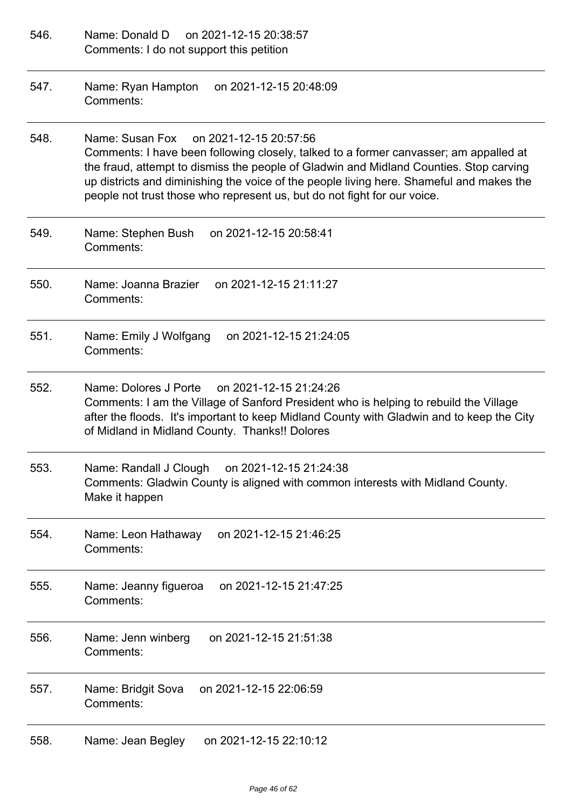| 546. | Name: Donald D<br>on 2021-12-15 20:38:57<br>Comments: I do not support this petition                                                                                                                                                                                                                                                                                                                 |
|------|------------------------------------------------------------------------------------------------------------------------------------------------------------------------------------------------------------------------------------------------------------------------------------------------------------------------------------------------------------------------------------------------------|
| 547. | Name: Ryan Hampton<br>on 2021-12-15 20:48:09<br>Comments:                                                                                                                                                                                                                                                                                                                                            |
| 548. | Name: Susan Fox<br>on 2021-12-15 20:57:56<br>Comments: I have been following closely, talked to a former canvasser; am appalled at<br>the fraud, attempt to dismiss the people of Gladwin and Midland Counties. Stop carving<br>up districts and diminishing the voice of the people living here. Shameful and makes the<br>people not trust those who represent us, but do not fight for our voice. |
| 549. | Name: Stephen Bush<br>on 2021-12-15 20:58:41<br>Comments:                                                                                                                                                                                                                                                                                                                                            |
| 550. | Name: Joanna Brazier<br>on 2021-12-15 21:11:27<br>Comments:                                                                                                                                                                                                                                                                                                                                          |
| 551. | Name: Emily J Wolfgang<br>on 2021-12-15 21:24:05<br>Comments:                                                                                                                                                                                                                                                                                                                                        |
| 552. | Name: Dolores J Porte<br>on 2021-12-15 21:24:26<br>Comments: I am the Village of Sanford President who is helping to rebuild the Village<br>after the floods. It's important to keep Midland County with Gladwin and to keep the City<br>of Midland in Midland County. Thanks!! Dolores                                                                                                              |
| 553. | Name: Randall J Clough<br>on 2021-12-15 21:24:38<br>Comments: Gladwin County is aligned with common interests with Midland County.<br>Make it happen                                                                                                                                                                                                                                                 |
| 554. | on 2021-12-15 21:46:25<br>Name: Leon Hathaway<br>Comments:                                                                                                                                                                                                                                                                                                                                           |
| 555. | on 2021-12-15 21:47:25<br>Name: Jeanny figueroa<br>Comments:                                                                                                                                                                                                                                                                                                                                         |
| 556. | on 2021-12-15 21:51:38<br>Name: Jenn winberg<br>Comments:                                                                                                                                                                                                                                                                                                                                            |
| 557. | on 2021-12-15 22:06:59<br>Name: Bridgit Sova<br>Comments:                                                                                                                                                                                                                                                                                                                                            |
| 558. | on 2021-12-15 22:10:12<br>Name: Jean Begley                                                                                                                                                                                                                                                                                                                                                          |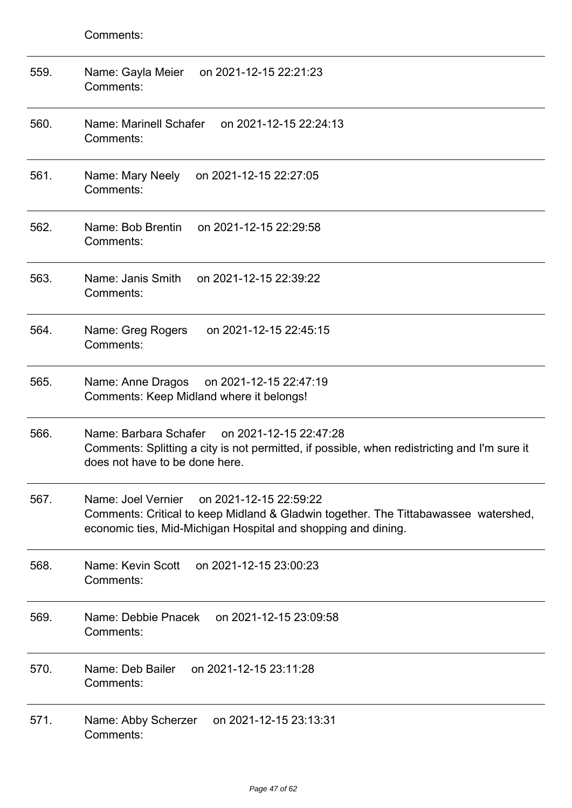| 559. | on 2021-12-15 22:21:23<br>Name: Gayla Meier<br>Comments:                                                                                                                                             |
|------|------------------------------------------------------------------------------------------------------------------------------------------------------------------------------------------------------|
| 560. | Name: Marinell Schafer<br>on 2021-12-15 22:24:13<br>Comments:                                                                                                                                        |
| 561. | on 2021-12-15 22:27:05<br>Name: Mary Neely<br>Comments:                                                                                                                                              |
| 562. | Name: Bob Brentin<br>on 2021-12-15 22:29:58<br>Comments:                                                                                                                                             |
| 563. | Name: Janis Smith<br>on 2021-12-15 22:39:22<br>Comments:                                                                                                                                             |
| 564. | on 2021-12-15 22:45:15<br>Name: Greg Rogers<br>Comments:                                                                                                                                             |
| 565. | on 2021-12-15 22:47:19<br>Name: Anne Dragos<br>Comments: Keep Midland where it belongs!                                                                                                              |
| 566. | Name: Barbara Schafer<br>on 2021-12-15 22:47:28<br>Comments: Splitting a city is not permitted, if possible, when redistricting and I'm sure it<br>does not have to be done here.                    |
| 567. | Name: Joel Vernier<br>on 2021-12-15 22:59:22<br>Comments: Critical to keep Midland & Gladwin together. The Tittabawassee watershed,<br>economic ties, Mid-Michigan Hospital and shopping and dining. |
| 568. | Name: Kevin Scott<br>on 2021-12-15 23:00:23<br>Comments:                                                                                                                                             |
| 569. | Name: Debbie Pnacek<br>on 2021-12-15 23:09:58<br>Comments:                                                                                                                                           |
| 570. | Name: Deb Bailer<br>on 2021-12-15 23:11:28<br>Comments:                                                                                                                                              |
| 571. | on 2021-12-15 23:13:31<br>Name: Abby Scherzer<br>Comments:                                                                                                                                           |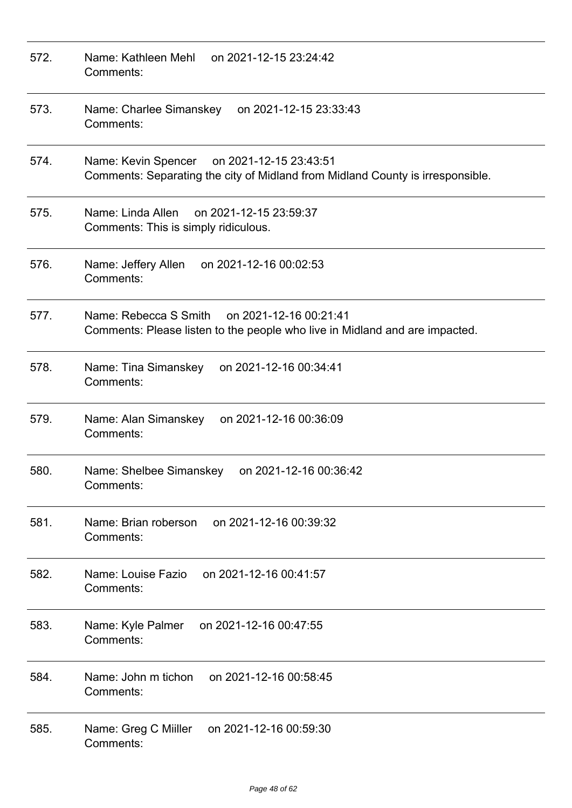| 572. | on 2021-12-15 23:24:42<br>Name: Kathleen Mehl<br>Comments:                                                                      |
|------|---------------------------------------------------------------------------------------------------------------------------------|
| 573. | Name: Charlee Simanskey<br>on 2021-12-15 23:33:43<br>Comments:                                                                  |
| 574. | on 2021-12-15 23:43:51<br>Name: Kevin Spencer<br>Comments: Separating the city of Midland from Midland County is irresponsible. |
| 575. | on 2021-12-15 23:59:37<br>Name: Linda Allen<br>Comments: This is simply ridiculous.                                             |
| 576. | Name: Jeffery Allen<br>on 2021-12-16 00:02:53<br>Comments:                                                                      |
| 577. | Name: Rebecca S Smith on 2021-12-16 00:21:41<br>Comments: Please listen to the people who live in Midland and are impacted.     |
| 578. | Name: Tina Simanskey<br>on 2021-12-16 00:34:41<br>Comments:                                                                     |
| 579. | Name: Alan Simanskey<br>on 2021-12-16 00:36:09<br>Comments:                                                                     |
| 580. | Name: Shelbee Simanskey<br>on 2021-12-16 00:36:42<br>Comments:                                                                  |
| 581. | Name: Brian roberson<br>on 2021-12-16 00:39:32<br>Comments:                                                                     |
| 582. | Name: Louise Fazio<br>on 2021-12-16 00:41:57<br>Comments:                                                                       |
| 583. | Name: Kyle Palmer<br>on 2021-12-16 00:47:55<br>Comments:                                                                        |
| 584. | Name: John m tichon<br>on 2021-12-16 00:58:45<br>Comments:                                                                      |
| 585. | Name: Greg C Miiller<br>on 2021-12-16 00:59:30<br>Comments:                                                                     |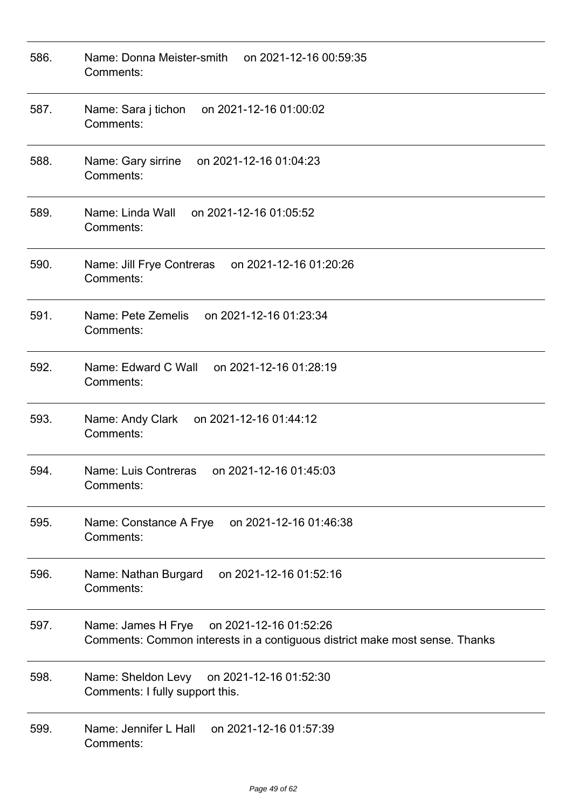| 586. | Name: Donna Meister-smith<br>on 2021-12-16 00:59:35<br>Comments:                                                            |
|------|-----------------------------------------------------------------------------------------------------------------------------|
| 587. | on 2021-12-16 01:00:02<br>Name: Sara j tichon<br>Comments:                                                                  |
| 588. | on 2021-12-16 01:04:23<br>Name: Gary sirrine<br>Comments:                                                                   |
| 589. | Name: Linda Wall<br>on 2021-12-16 01:05:52<br>Comments:                                                                     |
| 590. | Name: Jill Frye Contreras<br>on 2021-12-16 01:20:26<br>Comments:                                                            |
| 591. | on 2021-12-16 01:23:34<br>Name: Pete Zemelis<br>Comments:                                                                   |
| 592. | Name: Edward C Wall<br>on 2021-12-16 01:28:19<br>Comments:                                                                  |
| 593. | Name: Andy Clark<br>on 2021-12-16 01:44:12<br>Comments:                                                                     |
| 594. | on 2021-12-16 01:45:03<br>Name: Luis Contreras<br>Comments:                                                                 |
| 595. | on 2021-12-16 01:46:38<br>Name: Constance A Frye<br>Comments:                                                               |
| 596. | on 2021-12-16 01:52:16<br>Name: Nathan Burgard<br>Comments:                                                                 |
| 597. | Name: James H Frye<br>on 2021-12-16 01:52:26<br>Comments: Common interests in a contiguous district make most sense. Thanks |
| 598. | Name: Sheldon Levy on 2021-12-16 01:52:30<br>Comments: I fully support this.                                                |
| 599. | Name: Jennifer L Hall on 2021-12-16 01:57:39<br>Comments:                                                                   |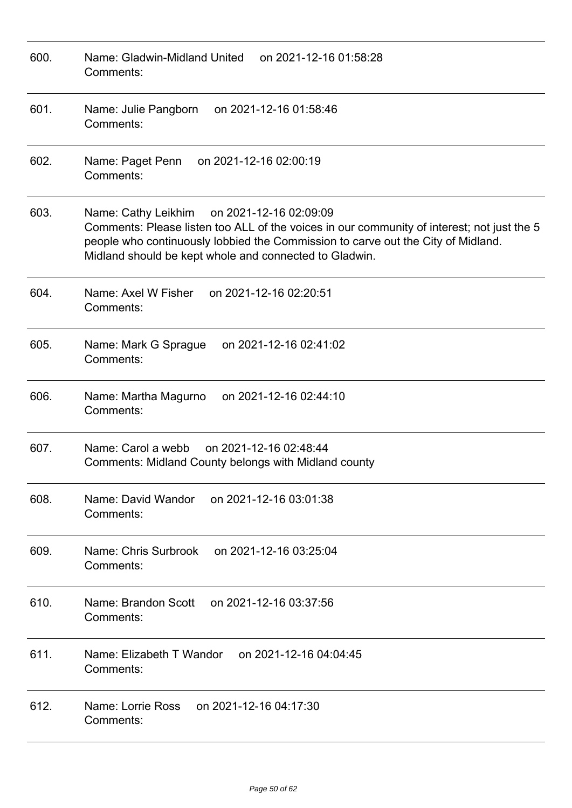| 600. | Name: Gladwin-Midland United<br>on 2021-12-16 01:58:28<br>Comments:                                                                                                                                                                                                                       |
|------|-------------------------------------------------------------------------------------------------------------------------------------------------------------------------------------------------------------------------------------------------------------------------------------------|
| 601. | Name: Julie Pangborn<br>on 2021-12-16 01:58:46<br>Comments:                                                                                                                                                                                                                               |
| 602. | on 2021-12-16 02:00:19<br>Name: Paget Penn<br>Comments:                                                                                                                                                                                                                                   |
| 603. | Name: Cathy Leikhim<br>on 2021-12-16 02:09:09<br>Comments: Please listen too ALL of the voices in our community of interest; not just the 5<br>people who continuously lobbied the Commission to carve out the City of Midland.<br>Midland should be kept whole and connected to Gladwin. |
| 604. | Name: Axel W Fisher<br>on 2021-12-16 02:20:51<br>Comments:                                                                                                                                                                                                                                |
| 605. | on 2021-12-16 02:41:02<br>Name: Mark G Sprague<br>Comments:                                                                                                                                                                                                                               |
| 606. | Name: Martha Magurno<br>on 2021-12-16 02:44:10<br>Comments:                                                                                                                                                                                                                               |
| 607. | on 2021-12-16 02:48:44<br>Name: Carol a webb<br>Comments: Midland County belongs with Midland county                                                                                                                                                                                      |
| 608. | Name: David Wandor<br>on 2021-12-16 03:01:38<br>Comments:                                                                                                                                                                                                                                 |
| 609. | Name: Chris Surbrook on 2021-12-16 03:25:04<br>Comments:                                                                                                                                                                                                                                  |
| 610. | Name: Brandon Scott<br>on 2021-12-16 03:37:56<br>Comments:                                                                                                                                                                                                                                |
| 611. | Name: Elizabeth T Wandor on 2021-12-16 04:04:45<br>Comments:                                                                                                                                                                                                                              |
| 612. | Name: Lorrie Ross<br>on 2021-12-16 04:17:30<br>Comments:                                                                                                                                                                                                                                  |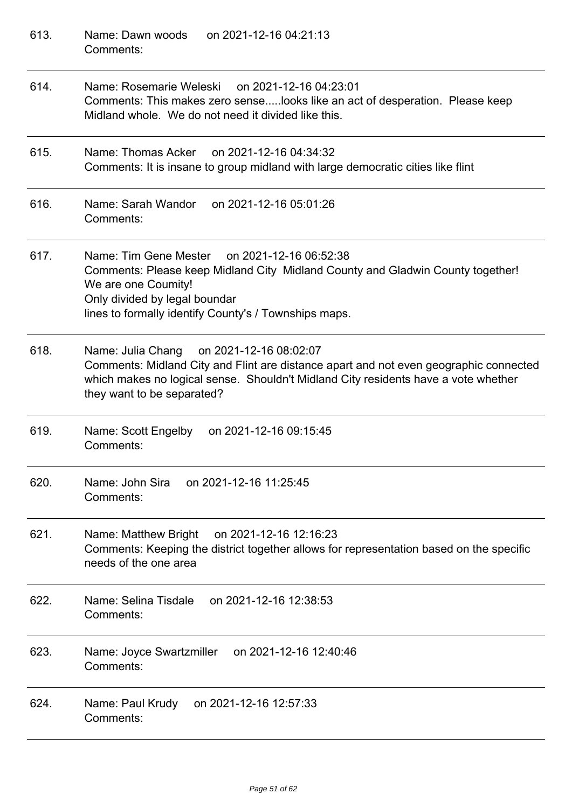| 613. | on 2021-12-16 04:21:13<br>Name: Dawn woods<br>Comments:                                                                                                                                                                                                  |
|------|----------------------------------------------------------------------------------------------------------------------------------------------------------------------------------------------------------------------------------------------------------|
| 614. | Name: Rosemarie Weleski<br>on 2021-12-16 04:23:01<br>Comments: This makes zero senselooks like an act of desperation. Please keep<br>Midland whole. We do not need it divided like this.                                                                 |
| 615. | Name: Thomas Acker on 2021-12-16 04:34:32<br>Comments: It is insane to group midland with large democratic cities like flint                                                                                                                             |
| 616. | Name: Sarah Wandor<br>on 2021-12-16 05:01:26<br>Comments:                                                                                                                                                                                                |
| 617. | Name: Tim Gene Mester on 2021-12-16 06:52:38<br>Comments: Please keep Midland City Midland County and Gladwin County together!<br>We are one Coumity!<br>Only divided by legal boundar<br>lines to formally identify County's / Townships maps.          |
| 618. | on 2021-12-16 08:02:07<br>Name: Julia Chang<br>Comments: Midland City and Flint are distance apart and not even geographic connected<br>which makes no logical sense. Shouldn't Midland City residents have a vote whether<br>they want to be separated? |
| 619. | on 2021-12-16 09:15:45<br>Name: Scott Engelby<br>Comments:                                                                                                                                                                                               |
| 620. | Name: John Sira<br>on 2021-12-16 11:25:45<br>Comments:                                                                                                                                                                                                   |
| 621. | Name: Matthew Bright<br>on 2021-12-16 12:16:23<br>Comments: Keeping the district together allows for representation based on the specific<br>needs of the one area                                                                                       |
| 622. | on 2021-12-16 12:38:53<br>Name: Selina Tisdale<br>Comments:                                                                                                                                                                                              |
| 623. | Name: Joyce Swartzmiller<br>on 2021-12-16 12:40:46<br>Comments:                                                                                                                                                                                          |
| 624. | on 2021-12-16 12:57:33<br>Name: Paul Krudy<br>Comments:                                                                                                                                                                                                  |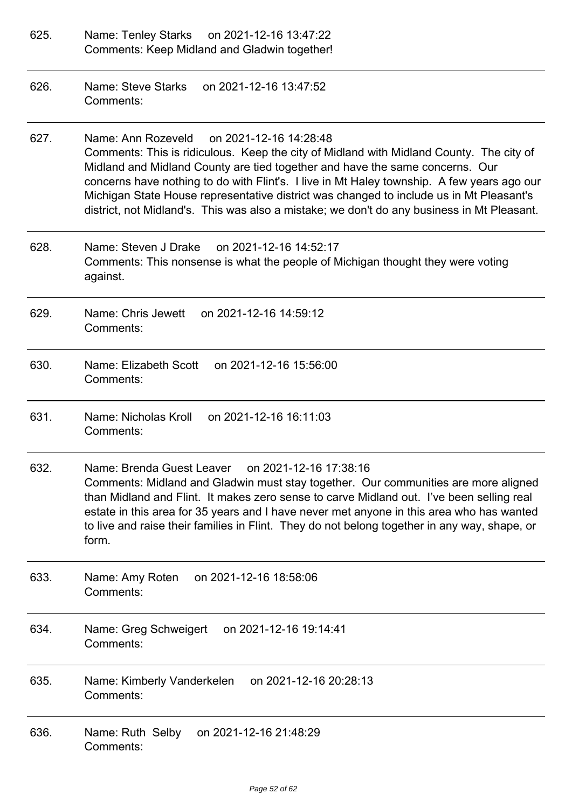- 625. Name: Tenley Starks on 2021-12-16 13:47:22 Comments: Keep Midland and Gladwin together!
- 626. Name: Steve Starks on 2021-12-16 13:47:52 Comments:
- 627. Name: Ann Rozeveld on 2021-12-16 14:28:48 Comments: This is ridiculous. Keep the city of Midland with Midland County. The city of Midland and Midland County are tied together and have the same concerns. Our concerns have nothing to do with Flint's. I live in Mt Haley township. A few years ago our Michigan State House representative district was changed to include us in Mt Pleasant's district, not Midland's. This was also a mistake; we don't do any business in Mt Pleasant.
- 628. Name: Steven J Drake on 2021-12-16 14:52:17 Comments: This nonsense is what the people of Michigan thought they were voting against.
- 629. Name: Chris Jewett on 2021-12-16 14:59:12 Comments:
- 630. Name: Elizabeth Scott on 2021-12-16 15:56:00 Comments:
- 631. Name: Nicholas Kroll on 2021-12-16 16:11:03 Comments:
- 632. Name: Brenda Guest Leaver on 2021-12-16 17:38:16 Comments: Midland and Gladwin must stay together. Our communities are more aligned than Midland and Flint. It makes zero sense to carve Midland out. I've been selling real estate in this area for 35 years and I have never met anyone in this area who has wanted to live and raise their families in Flint. They do not belong together in any way, shape, or form.
- 633. Name: Amy Roten on 2021-12-16 18:58:06 Comments:
- 634. Name: Greg Schweigert on 2021-12-16 19:14:41 Comments:
- 635. Name: Kimberly Vanderkelen on 2021-12-16 20:28:13 Comments:
- 636. Name: Ruth Selby on 2021-12-16 21:48:29 Comments: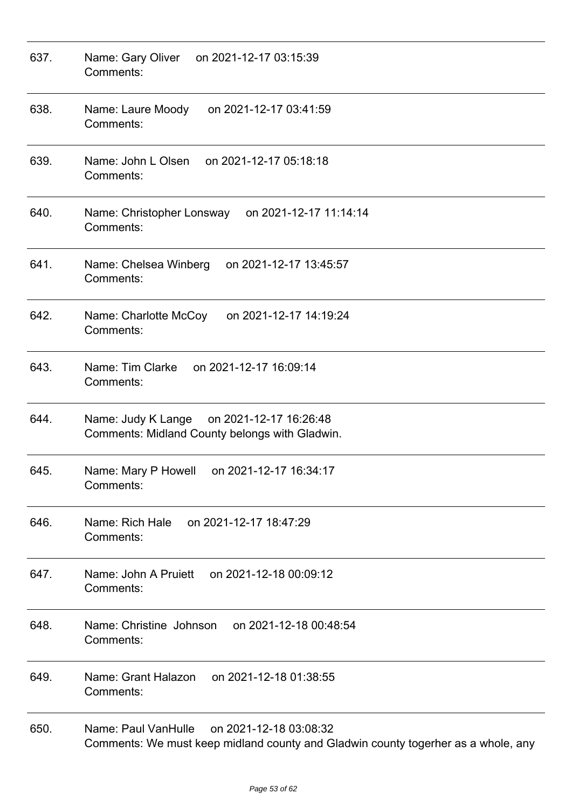| 637. | Name: Gary Oliver<br>on 2021-12-17 03:15:39<br>Comments:                                                                           |
|------|------------------------------------------------------------------------------------------------------------------------------------|
| 638. | Name: Laure Moody<br>on 2021-12-17 03:41:59<br>Comments:                                                                           |
| 639. | Name: John L Olsen<br>on 2021-12-17 05:18:18<br>Comments:                                                                          |
| 640. | Name: Christopher Lonsway<br>on 2021-12-17 11:14:14<br>Comments:                                                                   |
| 641. | on 2021-12-17 13:45:57<br>Name: Chelsea Winberg<br>Comments:                                                                       |
| 642. | Name: Charlotte McCoy<br>on 2021-12-17 14:19:24<br>Comments:                                                                       |
| 643. | Name: Tim Clarke<br>on 2021-12-17 16:09:14<br>Comments:                                                                            |
| 644. | Name: Judy K Lange<br>on 2021-12-17 16:26:48<br>Comments: Midland County belongs with Gladwin.                                     |
| 645. | Name: Mary P Howell<br>on 2021-12-17 16:34:17<br>Comments:                                                                         |
| 646. | on 2021-12-17 18:47:29<br>Name: Rich Hale<br>Comments:                                                                             |
| 647. | Name: John A Pruiett<br>on 2021-12-18 00:09:12<br>Comments:                                                                        |
| 648. | Name: Christine Johnson<br>on 2021-12-18 00:48:54<br>Comments:                                                                     |
| 649. | Name: Grant Halazon<br>on 2021-12-18 01:38:55<br>Comments:                                                                         |
| 650. | Name: Paul VanHulle<br>on 2021-12-18 03:08:32<br>Comments: We must keep midland county and Gladwin county togerher as a whole, any |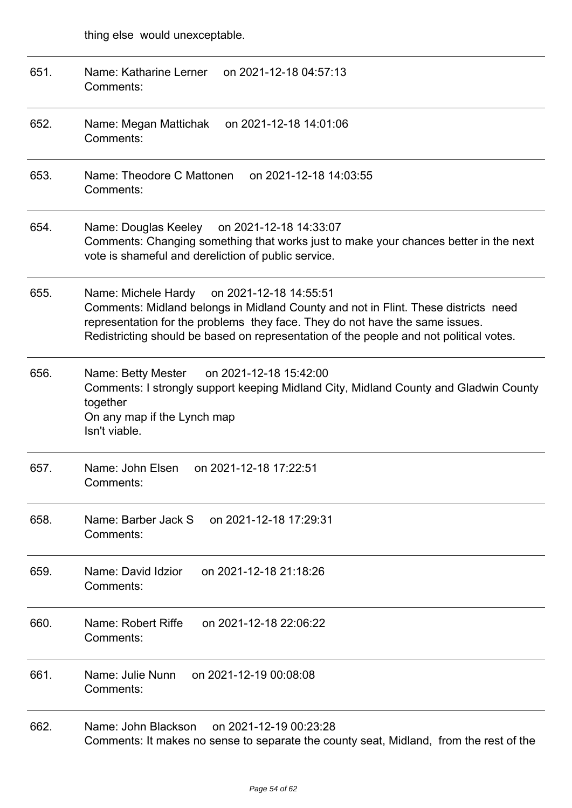| 651. | Name: Katharine Lerner<br>on 2021-12-18 04:57:13<br>Comments:                                                                                                                                                                                                                                              |
|------|------------------------------------------------------------------------------------------------------------------------------------------------------------------------------------------------------------------------------------------------------------------------------------------------------------|
| 652. | on 2021-12-18 14:01:06<br>Name: Megan Mattichak<br>Comments:                                                                                                                                                                                                                                               |
| 653. | Name: Theodore C Mattonen<br>on 2021-12-18 14:03:55<br>Comments:                                                                                                                                                                                                                                           |
| 654. | Name: Douglas Keeley on 2021-12-18 14:33:07<br>Comments: Changing something that works just to make your chances better in the next<br>vote is shameful and dereliction of public service.                                                                                                                 |
| 655. | Name: Michele Hardy on 2021-12-18 14:55:51<br>Comments: Midland belongs in Midland County and not in Flint. These districts need<br>representation for the problems they face. They do not have the same issues.<br>Redistricting should be based on representation of the people and not political votes. |
| 656. | Name: Betty Mester on 2021-12-18 15:42:00<br>Comments: I strongly support keeping Midland City, Midland County and Gladwin County<br>together<br>On any map if the Lynch map<br>Isn't viable.                                                                                                              |
| 657. | on 2021-12-18 17:22:51<br>Name: John Elsen<br>Comments:                                                                                                                                                                                                                                                    |
| 658. | Name: Barber Jack S<br>on 2021-12-18 17:29:31<br>Comments:                                                                                                                                                                                                                                                 |
| 659. | on 2021-12-18 21:18:26<br>Name: David Idzior<br>Comments:                                                                                                                                                                                                                                                  |
| 660. | Name: Robert Riffe<br>on 2021-12-18 22:06:22<br>Comments:                                                                                                                                                                                                                                                  |
| 661. | Name: Julie Nunn<br>on 2021-12-19 00:08:08<br>Comments:                                                                                                                                                                                                                                                    |
| 662. | Name: John Blackson<br>on 2021-12-19 00:23:28<br>Comments: It makes no sense to separate the county seat, Midland, from the rest of the                                                                                                                                                                    |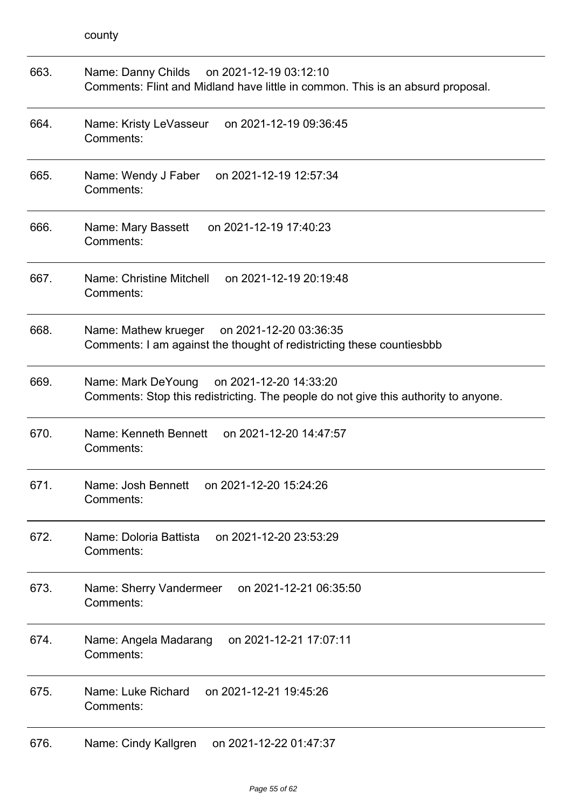| 663. | Name: Danny Childs on 2021-12-19 03:12:10<br>Comments: Flint and Midland have little in common. This is an absurd proposal.      |
|------|----------------------------------------------------------------------------------------------------------------------------------|
| 664. | Name: Kristy LeVasseur on 2021-12-19 09:36:45<br>Comments:                                                                       |
| 665. | on 2021-12-19 12:57:34<br>Name: Wendy J Faber<br>Comments:                                                                       |
| 666. | on 2021-12-19 17:40:23<br>Name: Mary Bassett<br>Comments:                                                                        |
| 667. | Name: Christine Mitchell<br>on 2021-12-19 20:19:48<br>Comments:                                                                  |
| 668. | Name: Mathew krueger on 2021-12-20 03:36:35<br>Comments: I am against the thought of redistricting these countiesbbb             |
| 669. | Name: Mark DeYoung on 2021-12-20 14:33:20<br>Comments: Stop this redistricting. The people do not give this authority to anyone. |
| 670. | Name: Kenneth Bennett<br>on 2021-12-20 14:47:57<br>Comments:                                                                     |
| 671. | Name: Josh Bennett<br>on 2021-12-20 15:24:26<br>Comments:                                                                        |
| 672. | Name: Doloria Battista<br>on 2021-12-20 23:53:29<br>Comments:                                                                    |
| 673. | on 2021-12-21 06:35:50<br>Name: Sherry Vandermeer<br>Comments:                                                                   |
| 674. | on 2021-12-21 17:07:11<br>Name: Angela Madarang<br>Comments:                                                                     |
| 675. | on 2021-12-21 19:45:26<br>Name: Luke Richard<br>Comments:                                                                        |
| 676. | Name: Cindy Kallgren<br>on 2021-12-22 01:47:37                                                                                   |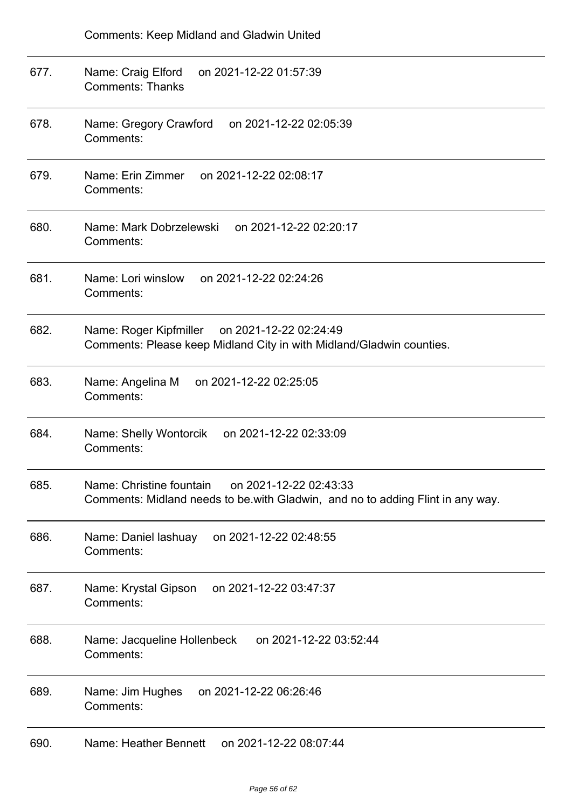| 677. | Name: Craig Elford<br>on 2021-12-22 01:57:39<br><b>Comments: Thanks</b>                                                              |
|------|--------------------------------------------------------------------------------------------------------------------------------------|
| 678. | Name: Gregory Crawford<br>on 2021-12-22 02:05:39<br>Comments:                                                                        |
| 679. | Name: Erin Zimmer on 2021-12-22 02:08:17<br>Comments:                                                                                |
| 680. | Name: Mark Dobrzelewski<br>on 2021-12-22 02:20:17<br>Comments:                                                                       |
| 681. | on 2021-12-22 02:24:26<br>Name: Lori winslow<br>Comments:                                                                            |
| 682. | Name: Roger Kipfmiller on 2021-12-22 02:24:49<br>Comments: Please keep Midland City in with Midland/Gladwin counties.                |
| 683. | on 2021-12-22 02:25:05<br>Name: Angelina M<br>Comments:                                                                              |
| 684. | Name: Shelly Wontorcik<br>on 2021-12-22 02:33:09<br>Comments:                                                                        |
| 685. | Name: Christine fountain<br>on 2021-12-22 02:43:33<br>Comments: Midland needs to be with Gladwin, and no to adding Flint in any way. |
| 686. | on 2021-12-22 02:48:55<br>Name: Daniel lashuay<br>Comments:                                                                          |
| 687. | Name: Krystal Gipson<br>on 2021-12-22 03:47:37<br>Comments:                                                                          |
| 688. | Name: Jacqueline Hollenbeck<br>on 2021-12-22 03:52:44<br>Comments:                                                                   |
| 689. | Name: Jim Hughes<br>on 2021-12-22 06:26:46<br>Comments:                                                                              |
| 690. | Name: Heather Bennett<br>on 2021-12-22 08:07:44                                                                                      |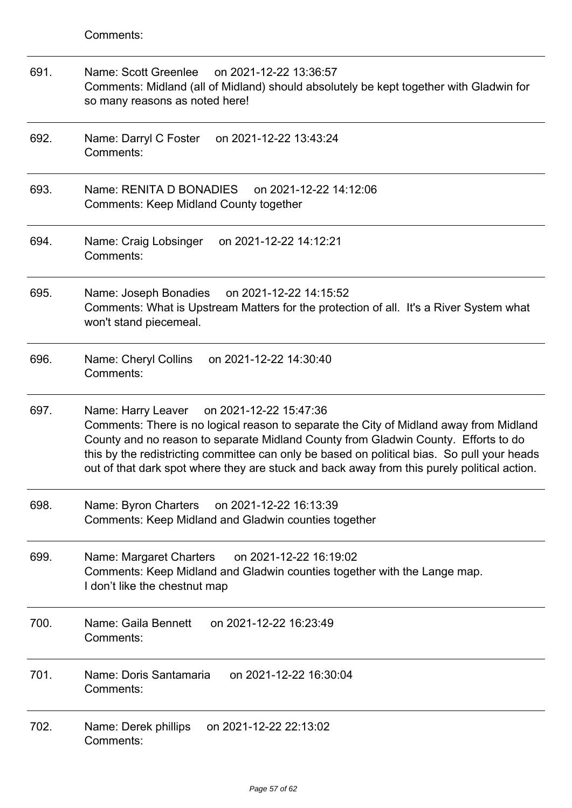| 691. | Name: Scott Greenlee<br>on 2021-12-22 13:36:57<br>Comments: Midland (all of Midland) should absolutely be kept together with Gladwin for<br>so many reasons as noted here!                                                                                                                                                                                                                                                 |
|------|----------------------------------------------------------------------------------------------------------------------------------------------------------------------------------------------------------------------------------------------------------------------------------------------------------------------------------------------------------------------------------------------------------------------------|
| 692. | Name: Darryl C Foster<br>on 2021-12-22 13:43:24<br>Comments:                                                                                                                                                                                                                                                                                                                                                               |
| 693. | Name: RENITA D BONADIES<br>on 2021-12-22 14:12:06<br><b>Comments: Keep Midland County together</b>                                                                                                                                                                                                                                                                                                                         |
| 694. | on 2021-12-22 14:12:21<br>Name: Craig Lobsinger<br>Comments:                                                                                                                                                                                                                                                                                                                                                               |
| 695. | on 2021-12-22 14:15:52<br>Name: Joseph Bonadies<br>Comments: What is Upstream Matters for the protection of all. It's a River System what<br>won't stand piecemeal.                                                                                                                                                                                                                                                        |
| 696. | on 2021-12-22 14:30:40<br>Name: Cheryl Collins<br>Comments:                                                                                                                                                                                                                                                                                                                                                                |
| 697. | on 2021-12-22 15:47:36<br>Name: Harry Leaver<br>Comments: There is no logical reason to separate the City of Midland away from Midland<br>County and no reason to separate Midland County from Gladwin County. Efforts to do<br>this by the redistricting committee can only be based on political bias. So pull your heads<br>out of that dark spot where they are stuck and back away from this purely political action. |
| 698. | Name: Byron Charters on 2021-12-22 16:13:39<br>Comments: Keep Midland and Gladwin counties together                                                                                                                                                                                                                                                                                                                        |
| 699. | on 2021-12-22 16:19:02<br>Name: Margaret Charters<br>Comments: Keep Midland and Gladwin counties together with the Lange map.<br>I don't like the chestnut map                                                                                                                                                                                                                                                             |
| 700. | Name: Gaila Bennett<br>on 2021-12-22 16:23:49<br>Comments:                                                                                                                                                                                                                                                                                                                                                                 |
| 701. | Name: Doris Santamaria<br>on 2021-12-22 16:30:04<br>Comments:                                                                                                                                                                                                                                                                                                                                                              |
| 702. | on 2021-12-22 22:13:02<br>Name: Derek phillips<br>Comments:                                                                                                                                                                                                                                                                                                                                                                |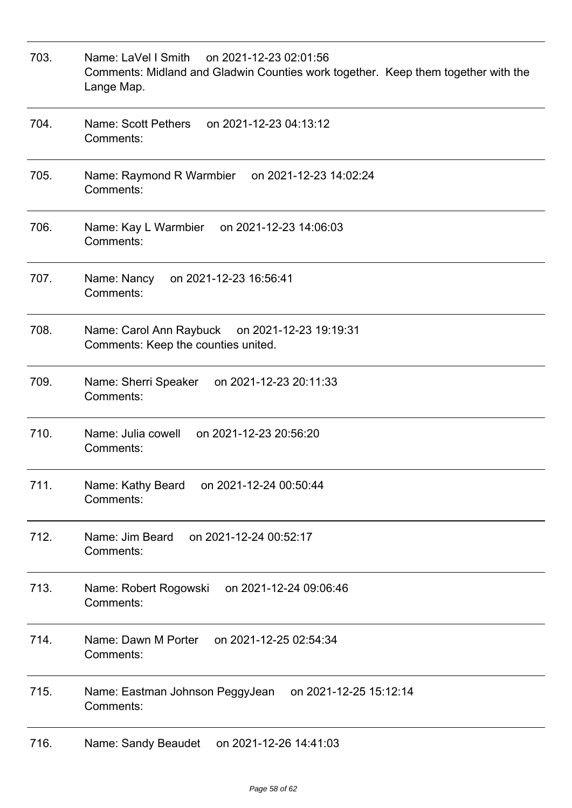| 703. | Name: LaVel I Smith<br>on 2021-12-23 02:01:56<br>Comments: Midland and Gladwin Counties work together. Keep them together with the<br>Lange Map. |
|------|--------------------------------------------------------------------------------------------------------------------------------------------------|
| 704. | Name: Scott Pethers<br>on 2021-12-23 04:13:12<br>Comments:                                                                                       |
| 705. | Name: Raymond R Warmbier<br>on 2021-12-23 14:02:24<br>Comments:                                                                                  |
| 706. | Name: Kay L Warmbier<br>on 2021-12-23 14:06:03<br>Comments:                                                                                      |
| 707. | on 2021-12-23 16:56:41<br>Name: Nancy<br>Comments:                                                                                               |
| 708. | Name: Carol Ann Raybuck on 2021-12-23 19:19:31<br>Comments: Keep the counties united.                                                            |
| 709. | on 2021-12-23 20:11:33<br>Name: Sherri Speaker<br>Comments:                                                                                      |
| 710. | Name: Julia cowell<br>on 2021-12-23 20:56:20<br>Comments:                                                                                        |
| 711. | on 2021-12-24 00:50:44<br>Name: Kathy Beard<br>Comments:                                                                                         |
| 712. | on 2021-12-24 00:52:17<br>Name: Jim Beard<br>Comments:                                                                                           |
| 713. | on 2021-12-24 09:06:46<br>Name: Robert Rogowski<br>Comments:                                                                                     |
| 714. | Name: Dawn M Porter<br>on 2021-12-25 02:54:34<br>Comments:                                                                                       |
| 715. | on 2021-12-25 15:12:14<br>Name: Eastman Johnson PeggyJean<br>Comments:                                                                           |
| 716. | Name: Sandy Beaudet<br>on 2021-12-26 14:41:03                                                                                                    |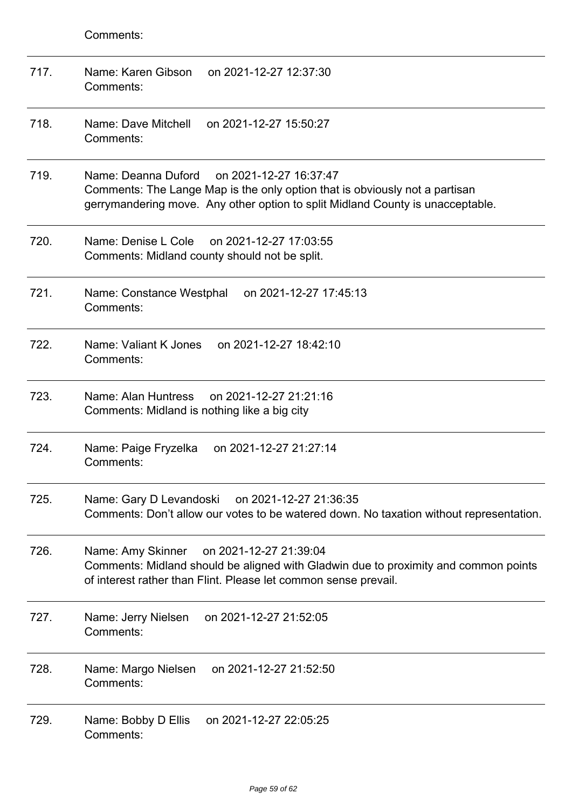| 717. | Name: Karen Gibson<br>on 2021-12-27 12:37:30<br>Comments:                                                                                                                                                      |
|------|----------------------------------------------------------------------------------------------------------------------------------------------------------------------------------------------------------------|
| 718. | Name: Dave Mitchell<br>on 2021-12-27 15:50:27<br>Comments:                                                                                                                                                     |
| 719. | Name: Deanna Duford<br>on 2021-12-27 16:37:47<br>Comments: The Lange Map is the only option that is obviously not a partisan<br>gerrymandering move. Any other option to split Midland County is unacceptable. |
| 720. | Name: Denise L Cole<br>on 2021-12-27 17:03:55<br>Comments: Midland county should not be split.                                                                                                                 |
| 721. | on 2021-12-27 17:45:13<br>Name: Constance Westphal<br>Comments:                                                                                                                                                |
| 722. | Name: Valiant K Jones<br>on 2021-12-27 18:42:10<br>Comments:                                                                                                                                                   |
| 723. | Name: Alan Huntress<br>on 2021-12-27 21:21:16<br>Comments: Midland is nothing like a big city                                                                                                                  |
| 724. | on 2021-12-27 21:27:14<br>Name: Paige Fryzelka<br>Comments:                                                                                                                                                    |
| 725. | Name: Gary D Levandoski<br>on 2021-12-27 21:36:35<br>Comments: Don't allow our votes to be watered down. No taxation without representation.                                                                   |
| 726. | on 2021-12-27 21:39:04<br>Name: Amy Skinner<br>Comments: Midland should be aligned with Gladwin due to proximity and common points<br>of interest rather than Flint. Please let common sense prevail.          |
| 727. | Name: Jerry Nielsen on 2021-12-27 21:52:05<br>Comments:                                                                                                                                                        |
| 728. | Name: Margo Nielsen<br>on 2021-12-27 21:52:50<br>Comments:                                                                                                                                                     |
| 729. | on 2021-12-27 22:05:25<br>Name: Bobby D Ellis<br>Comments:                                                                                                                                                     |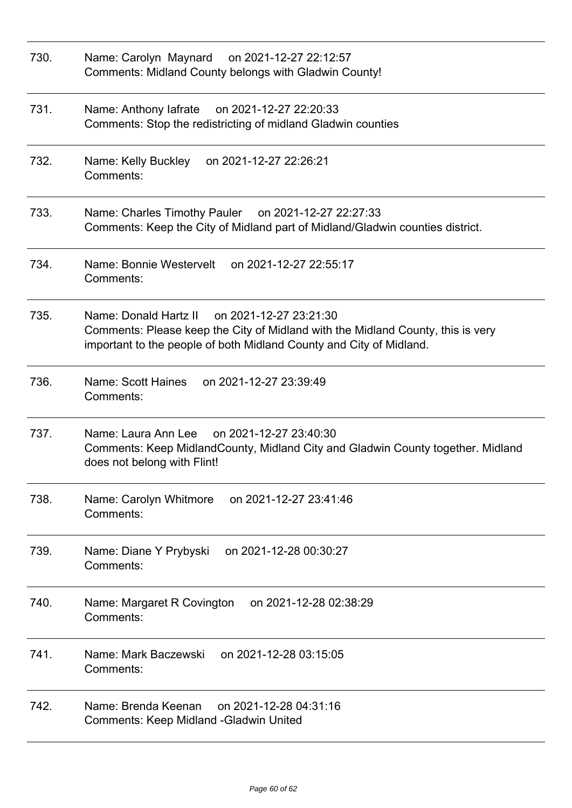| 730. | Name: Carolyn Maynard on 2021-12-27 22:12:57<br>Comments: Midland County belongs with Gladwin County!                                                                                                  |
|------|--------------------------------------------------------------------------------------------------------------------------------------------------------------------------------------------------------|
| 731. | Name: Anthony lafrate on 2021-12-27 22:20:33<br>Comments: Stop the redistricting of midland Gladwin counties                                                                                           |
| 732. | on 2021-12-27 22:26:21<br>Name: Kelly Buckley<br>Comments:                                                                                                                                             |
| 733. | Name: Charles Timothy Pauler on 2021-12-27 22:27:33<br>Comments: Keep the City of Midland part of Midland/Gladwin counties district.                                                                   |
| 734. | Name: Bonnie Westervelt<br>on 2021-12-27 22:55:17<br>Comments:                                                                                                                                         |
| 735. | Name: Donald Hartz II on 2021-12-27 23:21:30<br>Comments: Please keep the City of Midland with the Midland County, this is very<br>important to the people of both Midland County and City of Midland. |
| 736. | Name: Scott Haines<br>on 2021-12-27 23:39:49<br>Comments:                                                                                                                                              |
| 737. | on 2021-12-27 23:40:30<br>Name: Laura Ann Lee<br>Comments: Keep MidlandCounty, Midland City and Gladwin County together. Midland<br>does not belong with Flint!                                        |
| 738. | on 2021-12-27 23:41:46<br>Name: Carolyn Whitmore<br>Comments:                                                                                                                                          |
| 739. | Name: Diane Y Prybyski<br>on 2021-12-28 00:30:27<br>Comments:                                                                                                                                          |
| 740. | on 2021-12-28 02:38:29<br>Name: Margaret R Covington<br>Comments:                                                                                                                                      |
| 741. | Name: Mark Baczewski<br>on 2021-12-28 03:15:05<br>Comments:                                                                                                                                            |
| 742. | Name: Brenda Keenan<br>on 2021-12-28 04:31:16<br>Comments: Keep Midland - Gladwin United                                                                                                               |